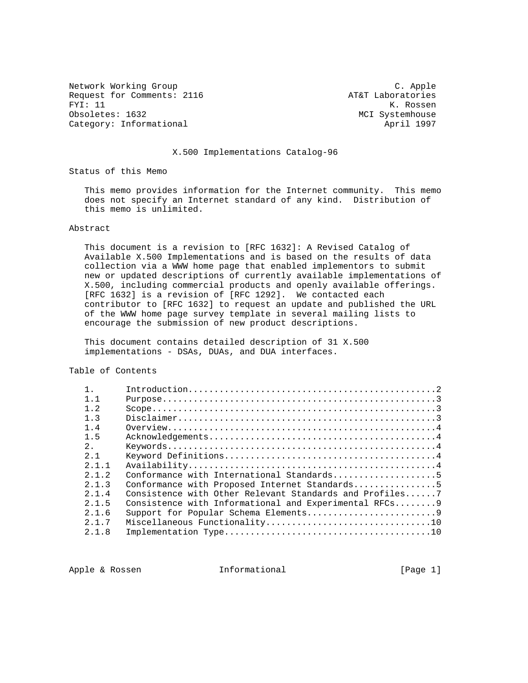Network Working Group C. Apple Request for Comments: 2116 <br>FYI: 11 K. Rossen FYI: 11 K. Rossen<br>Obsoletes: 1632 K. Rossen<br>MCI Systemhouse Category: Informational and April 1997

MCI Systemhouse

# X.500 Implementations Catalog-96

Status of this Memo

 This memo provides information for the Internet community. This memo does not specify an Internet standard of any kind. Distribution of this memo is unlimited.

# Abstract

 This document is a revision to [RFC 1632]: A Revised Catalog of Available X.500 Implementations and is based on the results of data collection via a WWW home page that enabled implementors to submit new or updated descriptions of currently available implementations of X.500, including commercial products and openly available offerings. [RFC 1632] is a revision of [RFC 1292]. We contacted each contributor to [RFC 1632] to request an update and published the URL of the WWW home page survey template in several mailing lists to encourage the submission of new product descriptions.

 This document contains detailed description of 31 X.500 implementations - DSAs, DUAs, and DUA interfaces.

Table of Contents

| $1 \quad 1$ |                                                         |
|-------------|---------------------------------------------------------|
| $1 \t2$     |                                                         |
| 1.3         |                                                         |
| $1\quad 4$  |                                                         |
| 1.5         |                                                         |
| 2.1         |                                                         |
| 2.1         |                                                         |
| 2 1 1       |                                                         |
| 2 1 2       |                                                         |
| 2.1.3       | Conformance with Proposed Internet Standards5           |
| 2.1.4       | Consistence with Other Relevant Standards and Profiles7 |
| 2, 1, 5     | Consistence with Informational and Experimental RFCs 9  |
| 2.1.6       | Support for Popular Schema Elements9                    |
| 2 1 7       |                                                         |
| 2.1.8       |                                                         |

Apple & Rossen **Informational** [Page 1]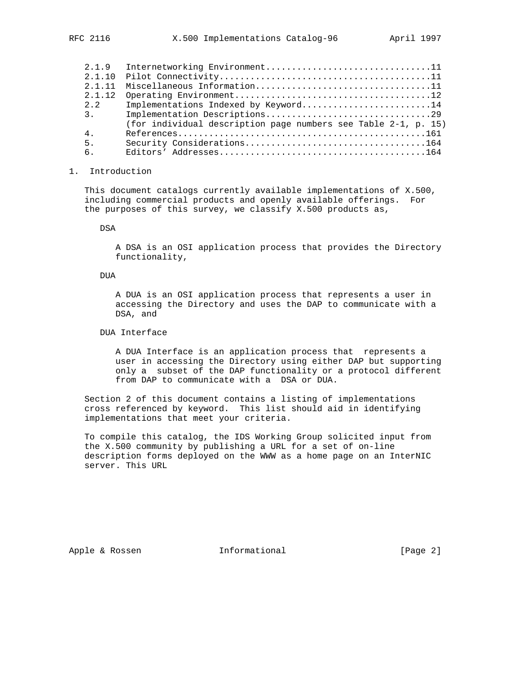| 2.1.9   | Internetworking Environment11                                  |
|---------|----------------------------------------------------------------|
|         |                                                                |
| 2 1 1 1 | Miscellaneous Information11                                    |
| 2.1.12  |                                                                |
| 2.2     | Implementations Indexed by Keyword14                           |
| 3.      | Implementation Descriptions29                                  |
|         | (for individual description page numbers see Table 2-1, p. 15) |
| $4$ .   |                                                                |
| 5.      |                                                                |
| 6.      |                                                                |

### 1. Introduction

 This document catalogs currently available implementations of X.500, including commercial products and openly available offerings. For the purposes of this survey, we classify X.500 products as,

DSA

 A DSA is an OSI application process that provides the Directory functionality,

### DUA

 A DUA is an OSI application process that represents a user in accessing the Directory and uses the DAP to communicate with a DSA, and

# DUA Interface

 A DUA Interface is an application process that represents a user in accessing the Directory using either DAP but supporting only a subset of the DAP functionality or a protocol different from DAP to communicate with a DSA or DUA.

 Section 2 of this document contains a listing of implementations cross referenced by keyword. This list should aid in identifying implementations that meet your criteria.

 To compile this catalog, the IDS Working Group solicited input from the X.500 community by publishing a URL for a set of on-line description forms deployed on the WWW as a home page on an InterNIC server. This URL

Apple & Rossen **Informational** [Page 2]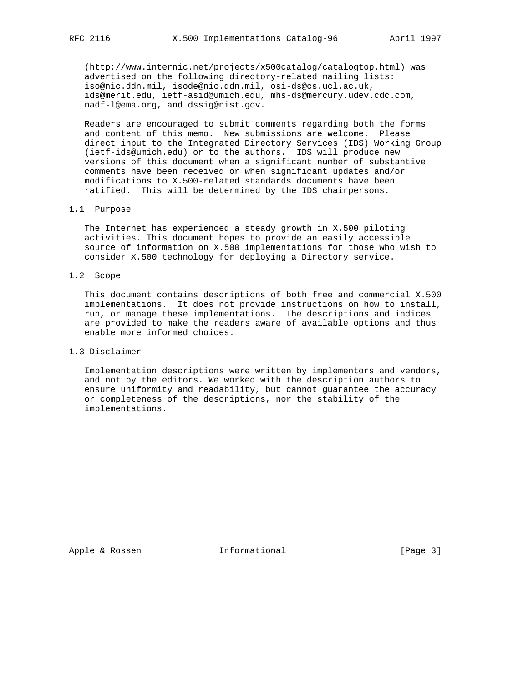(http://www.internic.net/projects/x500catalog/catalogtop.html) was advertised on the following directory-related mailing lists: iso@nic.ddn.mil, isode@nic.ddn.mil, osi-ds@cs.ucl.ac.uk, ids@merit.edu, ietf-asid@umich.edu, mhs-ds@mercury.udev.cdc.com, nadf-l@ema.org, and dssig@nist.gov.

 Readers are encouraged to submit comments regarding both the forms and content of this memo. New submissions are welcome. Please direct input to the Integrated Directory Services (IDS) Working Group (ietf-ids@umich.edu) or to the authors. IDS will produce new versions of this document when a significant number of substantive comments have been received or when significant updates and/or modifications to X.500-related standards documents have been ratified. This will be determined by the IDS chairpersons.

## 1.1 Purpose

 The Internet has experienced a steady growth in X.500 piloting activities. This document hopes to provide an easily accessible source of information on X.500 implementations for those who wish to consider X.500 technology for deploying a Directory service.

# 1.2 Scope

 This document contains descriptions of both free and commercial X.500 implementations. It does not provide instructions on how to install, run, or manage these implementations. The descriptions and indices are provided to make the readers aware of available options and thus enable more informed choices.

### 1.3 Disclaimer

 Implementation descriptions were written by implementors and vendors, and not by the editors. We worked with the description authors to ensure uniformity and readability, but cannot guarantee the accuracy or completeness of the descriptions, nor the stability of the implementations.

Apple & Rossen **Informational** [Page 3]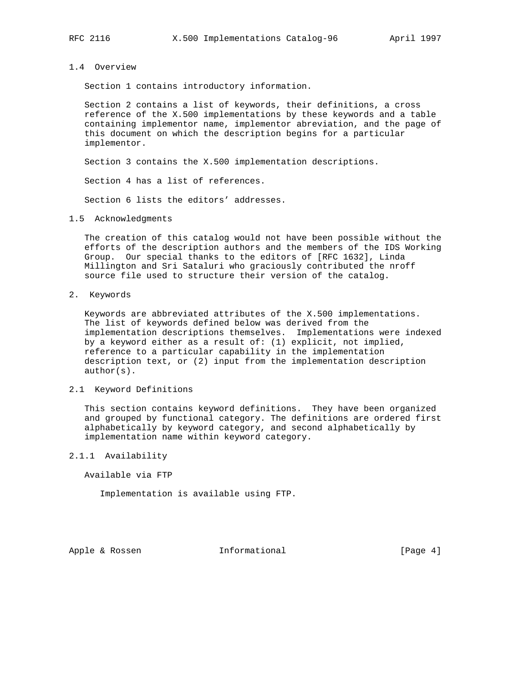### 1.4 Overview

Section 1 contains introductory information.

 Section 2 contains a list of keywords, their definitions, a cross reference of the X.500 implementations by these keywords and a table containing implementor name, implementor abreviation, and the page of this document on which the description begins for a particular implementor.

Section 3 contains the X.500 implementation descriptions.

Section 4 has a list of references.

Section 6 lists the editors' addresses.

1.5 Acknowledgments

 The creation of this catalog would not have been possible without the efforts of the description authors and the members of the IDS Working Group. Our special thanks to the editors of [RFC 1632], Linda Millington and Sri Sataluri who graciously contributed the nroff source file used to structure their version of the catalog.

2. Keywords

 Keywords are abbreviated attributes of the X.500 implementations. The list of keywords defined below was derived from the implementation descriptions themselves. Implementations were indexed by a keyword either as a result of: (1) explicit, not implied, reference to a particular capability in the implementation description text, or (2) input from the implementation description author(s).

### 2.1 Keyword Definitions

 This section contains keyword definitions. They have been organized and grouped by functional category. The definitions are ordered first alphabetically by keyword category, and second alphabetically by implementation name within keyword category.

2.1.1 Availability

Available via FTP

Implementation is available using FTP.

Apple & Rossen **Informational** [Page 4]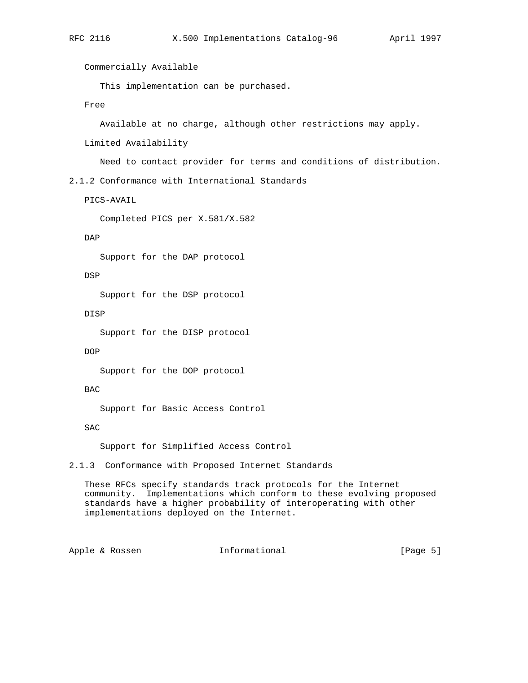Commercially Available

This implementation can be purchased.

Free

Available at no charge, although other restrictions may apply.

Limited Availability

Need to contact provider for terms and conditions of distribution.

2.1.2 Conformance with International Standards

PICS-AVAIL

Completed PICS per X.581/X.582

DAP

Support for the DAP protocol

DSP

Support for the DSP protocol

DISP

Support for the DISP protocol

DOP

Support for the DOP protocol

BAC

Support for Basic Access Control

SAC

Support for Simplified Access Control

2.1.3 Conformance with Proposed Internet Standards

 These RFCs specify standards track protocols for the Internet community. Implementations which conform to these evolving proposed standards have a higher probability of interoperating with other implementations deployed on the Internet.

Apple & Rossen **Informational** [Page 5]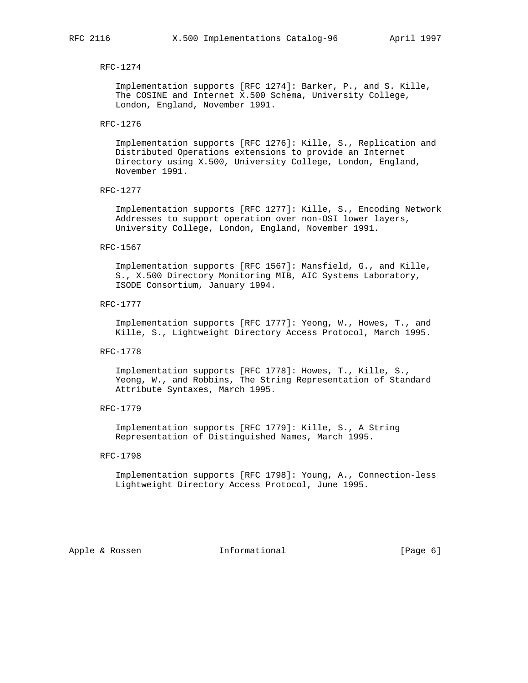### RFC-1274

 Implementation supports [RFC 1274]: Barker, P., and S. Kille, The COSINE and Internet X.500 Schema, University College, London, England, November 1991.

RFC-1276

 Implementation supports [RFC 1276]: Kille, S., Replication and Distributed Operations extensions to provide an Internet Directory using X.500, University College, London, England, November 1991.

RFC-1277

 Implementation supports [RFC 1277]: Kille, S., Encoding Network Addresses to support operation over non-OSI lower layers, University College, London, England, November 1991.

#### RFC-1567

 Implementation supports [RFC 1567]: Mansfield, G., and Kille, S., X.500 Directory Monitoring MIB, AIC Systems Laboratory, ISODE Consortium, January 1994.

RFC-1777

 Implementation supports [RFC 1777]: Yeong, W., Howes, T., and Kille, S., Lightweight Directory Access Protocol, March 1995.

RFC-1778

 Implementation supports [RFC 1778]: Howes, T., Kille, S., Yeong, W., and Robbins, The String Representation of Standard Attribute Syntaxes, March 1995.

RFC-1779

 Implementation supports [RFC 1779]: Kille, S., A String Representation of Distinguished Names, March 1995.

#### RFC-1798

 Implementation supports [RFC 1798]: Young, A., Connection-less Lightweight Directory Access Protocol, June 1995.

Apple & Rossen **Informational** [Page 6]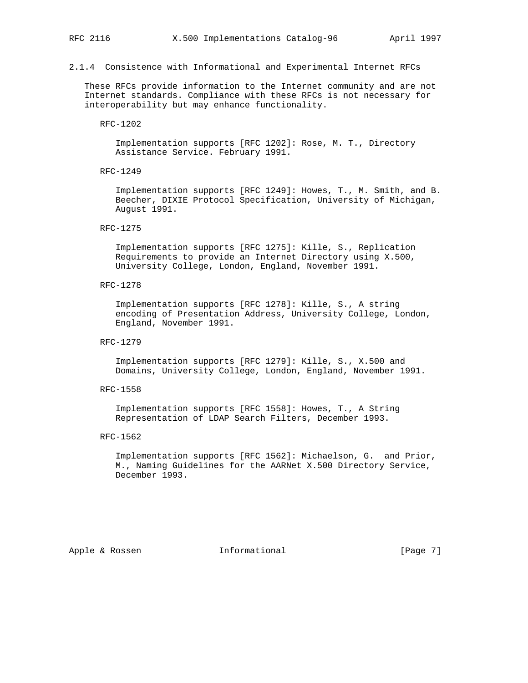2.1.4 Consistence with Informational and Experimental Internet RFCs

 These RFCs provide information to the Internet community and are not Internet standards. Compliance with these RFCs is not necessary for interoperability but may enhance functionality.

# RFC-1202

 Implementation supports [RFC 1202]: Rose, M. T., Directory Assistance Service. February 1991.

RFC-1249

 Implementation supports [RFC 1249]: Howes, T., M. Smith, and B. Beecher, DIXIE Protocol Specification, University of Michigan, August 1991.

#### RFC-1275

 Implementation supports [RFC 1275]: Kille, S., Replication Requirements to provide an Internet Directory using X.500, University College, London, England, November 1991.

RFC-1278

 Implementation supports [RFC 1278]: Kille, S., A string encoding of Presentation Address, University College, London, England, November 1991.

RFC-1279

 Implementation supports [RFC 1279]: Kille, S., X.500 and Domains, University College, London, England, November 1991.

RFC-1558

 Implementation supports [RFC 1558]: Howes, T., A String Representation of LDAP Search Filters, December 1993.

### RFC-1562

 Implementation supports [RFC 1562]: Michaelson, G. and Prior, M., Naming Guidelines for the AARNet X.500 Directory Service, December 1993.

Apple & Rossen **Informational** [Page 7]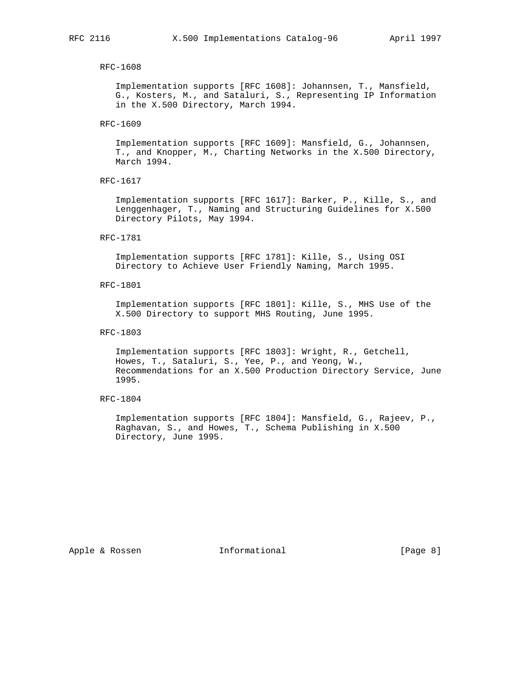### RFC-1608

 Implementation supports [RFC 1608]: Johannsen, T., Mansfield, G., Kosters, M., and Sataluri, S., Representing IP Information in the X.500 Directory, March 1994.

### RFC-1609

 Implementation supports [RFC 1609]: Mansfield, G., Johannsen, T., and Knopper, M., Charting Networks in the X.500 Directory, March 1994.

RFC-1617

 Implementation supports [RFC 1617]: Barker, P., Kille, S., and Lenggenhager, T., Naming and Structuring Guidelines for X.500 Directory Pilots, May 1994.

# RFC-1781

 Implementation supports [RFC 1781]: Kille, S., Using OSI Directory to Achieve User Friendly Naming, March 1995.

### RFC-1801

 Implementation supports [RFC 1801]: Kille, S., MHS Use of the X.500 Directory to support MHS Routing, June 1995.

#### RFC-1803

 Implementation supports [RFC 1803]: Wright, R., Getchell, Howes, T., Sataluri, S., Yee, P., and Yeong, W., Recommendations for an X.500 Production Directory Service, June 1995.

### RFC-1804

 Implementation supports [RFC 1804]: Mansfield, G., Rajeev, P., Raghavan, S., and Howes, T., Schema Publishing in X.500 Directory, June 1995.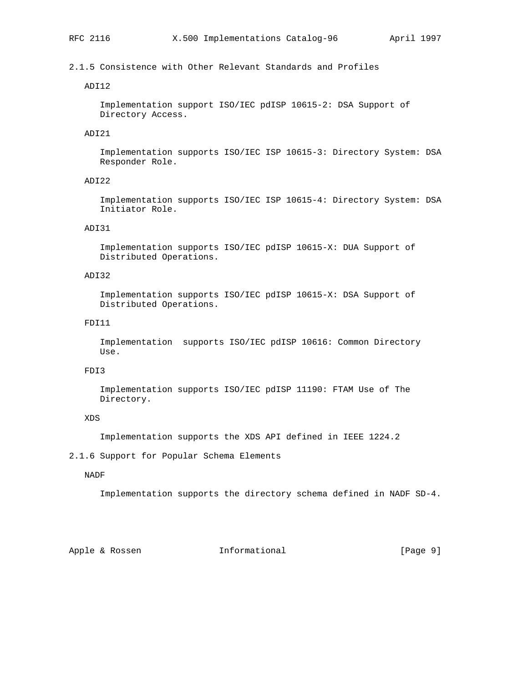# 2.1.5 Consistence with Other Relevant Standards and Profiles

# ADI12

 Implementation support ISO/IEC pdISP 10615-2: DSA Support of Directory Access.

# ADI21

 Implementation supports ISO/IEC ISP 10615-3: Directory System: DSA Responder Role.

# ADI22

 Implementation supports ISO/IEC ISP 10615-4: Directory System: DSA Initiator Role.

# ADI31

 Implementation supports ISO/IEC pdISP 10615-X: DUA Support of Distributed Operations.

# ADI32

 Implementation supports ISO/IEC pdISP 10615-X: DSA Support of Distributed Operations.

### FDI11

 Implementation supports ISO/IEC pdISP 10616: Common Directory Use.

# FDI3

 Implementation supports ISO/IEC pdISP 11190: FTAM Use of The Directory.

### XDS

Implementation supports the XDS API defined in IEEE 1224.2

# 2.1.6 Support for Popular Schema Elements

### NADF

Implementation supports the directory schema defined in NADF SD-4.

Apple & Rossen **Informational** [Page 9]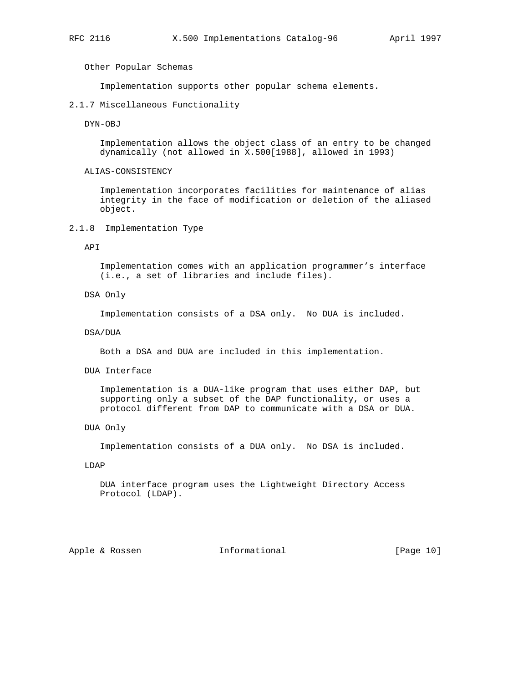Other Popular Schemas

Implementation supports other popular schema elements.

### 2.1.7 Miscellaneous Functionality

DYN-OBJ

 Implementation allows the object class of an entry to be changed dynamically (not allowed in X.500[1988], allowed in 1993)

ALIAS-CONSISTENCY

 Implementation incorporates facilities for maintenance of alias integrity in the face of modification or deletion of the aliased object.

2.1.8 Implementation Type

API

 Implementation comes with an application programmer's interface (i.e., a set of libraries and include files).

DSA Only

Implementation consists of a DSA only. No DUA is included.

DSA/DUA

Both a DSA and DUA are included in this implementation.

DUA Interface

 Implementation is a DUA-like program that uses either DAP, but supporting only a subset of the DAP functionality, or uses a protocol different from DAP to communicate with a DSA or DUA.

DUA Only

Implementation consists of a DUA only. No DSA is included.

LDAP

 DUA interface program uses the Lightweight Directory Access Protocol (LDAP).

Apple & Rossen **Informational** [Page 10]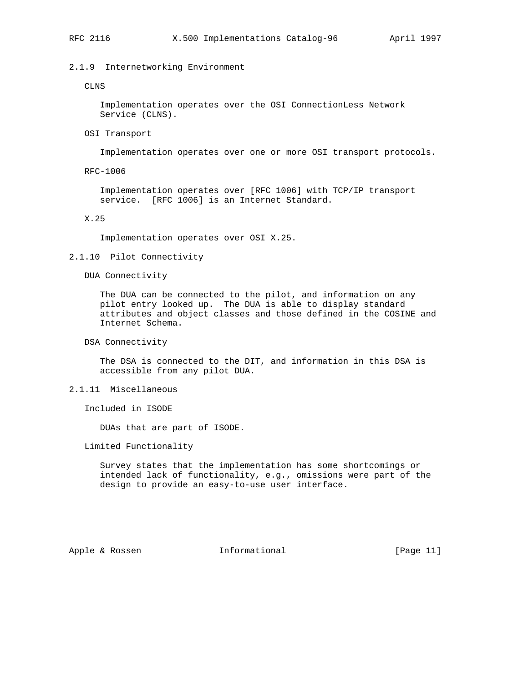# 2.1.9 Internetworking Environment

### CLNS

 Implementation operates over the OSI ConnectionLess Network Service (CLNS).

OSI Transport

Implementation operates over one or more OSI transport protocols.

RFC-1006

 Implementation operates over [RFC 1006] with TCP/IP transport service. [RFC 1006] is an Internet Standard.

X.25

Implementation operates over OSI X.25.

# 2.1.10 Pilot Connectivity

DUA Connectivity

 The DUA can be connected to the pilot, and information on any pilot entry looked up. The DUA is able to display standard attributes and object classes and those defined in the COSINE and Internet Schema.

DSA Connectivity

 The DSA is connected to the DIT, and information in this DSA is accessible from any pilot DUA.

2.1.11 Miscellaneous

Included in ISODE

DUAs that are part of ISODE.

Limited Functionality

 Survey states that the implementation has some shortcomings or intended lack of functionality, e.g., omissions were part of the design to provide an easy-to-use user interface.

Apple & Rossen **Informational** [Page 11]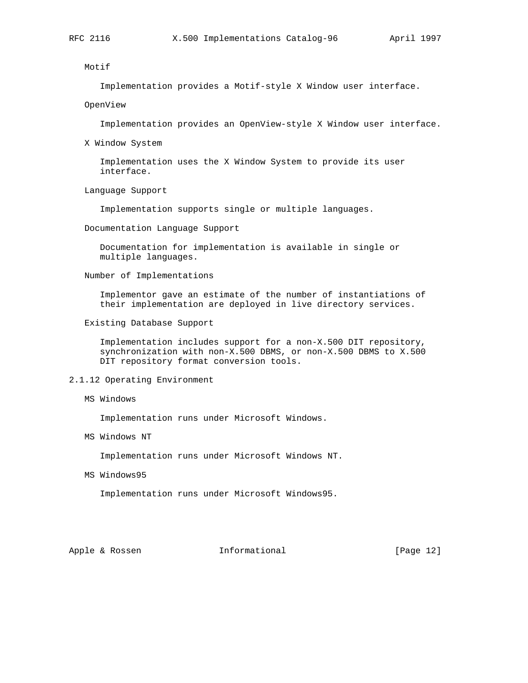Motif

Implementation provides a Motif-style X Window user interface.

OpenView

Implementation provides an OpenView-style X Window user interface.

X Window System

 Implementation uses the X Window System to provide its user interface.

Language Support

Implementation supports single or multiple languages.

Documentation Language Support

 Documentation for implementation is available in single or multiple languages.

Number of Implementations

 Implementor gave an estimate of the number of instantiations of their implementation are deployed in live directory services.

Existing Database Support

 Implementation includes support for a non-X.500 DIT repository, synchronization with non-X.500 DBMS, or non-X.500 DBMS to X.500 DIT repository format conversion tools.

# 2.1.12 Operating Environment

MS Windows

Implementation runs under Microsoft Windows.

MS Windows NT

Implementation runs under Microsoft Windows NT.

MS Windows95

Implementation runs under Microsoft Windows95.

Apple & Rossen **Informational** [Page 12]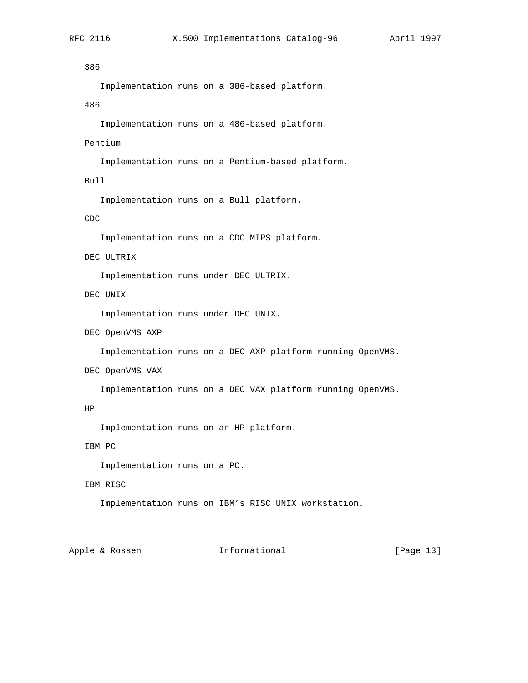# 386

Implementation runs on a 386-based platform.

# 486

Implementation runs on a 486-based platform.

# Pentium

Implementation runs on a Pentium-based platform.

# Bull

Implementation runs on a Bull platform.

# CDC

Implementation runs on a CDC MIPS platform.

# DEC ULTRIX

Implementation runs under DEC ULTRIX.

# DEC UNIX

Implementation runs under DEC UNIX.

DEC OpenVMS AXP

Implementation runs on a DEC AXP platform running OpenVMS.

DEC OpenVMS VAX

Implementation runs on a DEC VAX platform running OpenVMS.

# HP

Implementation runs on an HP platform.

# IBM PC

Implementation runs on a PC.

# IBM RISC

Implementation runs on IBM's RISC UNIX workstation.

# Apple & Rossen **Informational** [Page 13]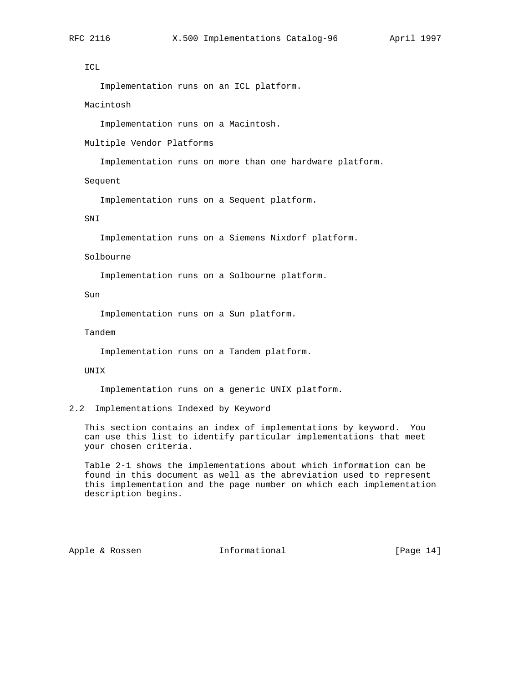# ICL

Implementation runs on an ICL platform.

### Macintosh

Implementation runs on a Macintosh.

Multiple Vendor Platforms

Implementation runs on more than one hardware platform.

Sequent

Implementation runs on a Sequent platform.

# SNI

Implementation runs on a Siemens Nixdorf platform.

# Solbourne

Implementation runs on a Solbourne platform.

### Sun

Implementation runs on a Sun platform.

# Tandem

Implementation runs on a Tandem platform.

#### UNIX

Implementation runs on a generic UNIX platform.

### 2.2 Implementations Indexed by Keyword

 This section contains an index of implementations by keyword. You can use this list to identify particular implementations that meet your chosen criteria.

 Table 2-1 shows the implementations about which information can be found in this document as well as the abreviation used to represent this implementation and the page number on which each implementation description begins.

Apple & Rossen **Informational** [Page 14]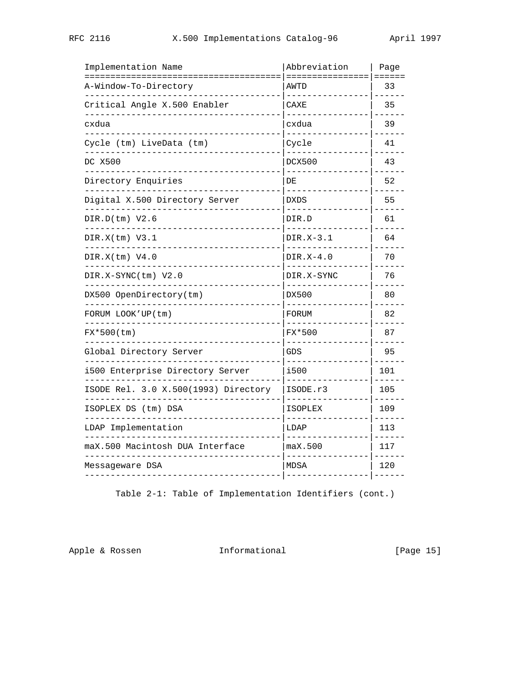| Implementation Name<br>=============================== | Abbreviation<br>================ | Page<br>======     |
|--------------------------------------------------------|----------------------------------|--------------------|
| A-Window-To-Directory                                  | AWTD                             | 33                 |
| Critical Angle X.500 Enabler                           | CAXE<br>------                   | 35                 |
| cxdua                                                  | cxdua                            | 39                 |
| Cycle (tm) LiveData (tm)                               | Cycle                            | 41                 |
| DC X500                                                | <b>DCX500</b>                    | 43                 |
| Directory Enquiries                                    | DE                               | 52                 |
| Digital X.500 Directory Server                         | <b>DXDS</b>                      | 55                 |
| DIR.D(tm) V2.6<br>$- - - - - -$                        | DIR.D<br>$\frac{1}{2}$           | 61                 |
| DIR.X(tm) V3.1<br>-----------                          | DIR.X-3.1<br>.                   | 64                 |
| DIR.X(tm) V4.0                                         | $DIR.X-4.0$                      | 70                 |
| DIR.X-SYNC(tm) V2.0                                    | DIR.X-SYNC<br>--------           | 76                 |
| DX500 OpenDirectory(tm)                                | DX500<br>$- - -$                 | 80                 |
| FORUM LOOK'UP(tm)                                      | FORUM                            | 82                 |
| FX*500(tm)                                             | FX*500                           | 87                 |
| Global Directory Server                                | <b>GDS</b>                       | 95                 |
| i500 Enterprise Directory Server                       | i500                             | 101                |
| ISODE Rel. 3.0 X.500(1993) Directory                   | ISODE.r3                         | 105                |
| ISOPLEX DS (tm) DSA                                    | <b>ISOPLEX</b><br>------         | 109                |
| LDAP Implementation                                    | LDAP                             | $- - - - -$<br>113 |
| maX.500 Macintosh DUA Interface                        | maX.500                          | 117                |
| Messageware DSA<br>. _ _ _ _ _ _ _ _ _ _ _ _ _ _ _ _ . | <b>MDSA</b>                      | 120                |

Table 2-1: Table of Implementation Identifiers (cont.)

Apple & Rossen 1nformational [Page 15]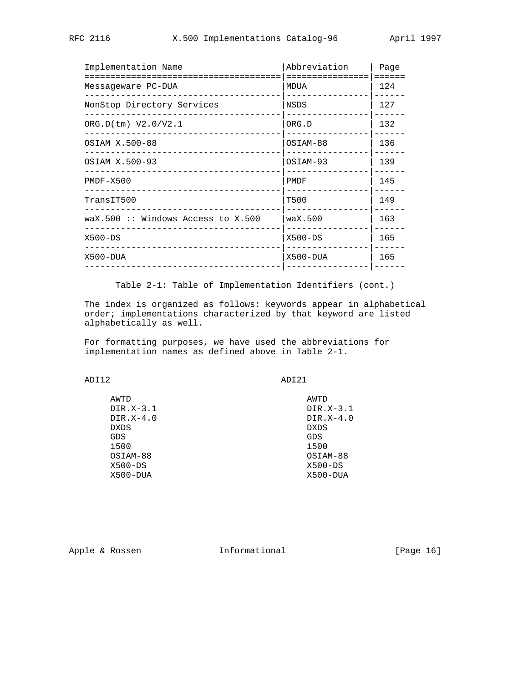| Implementation Name                                | Abbreviation<br>========== | Page<br>$=$ = = = = = |
|----------------------------------------------------|----------------------------|-----------------------|
| Messageware PC-DUA                                 | MDUA                       | 124                   |
| NonStop Directory Services                         | NSDS                       | 127                   |
| ORG.D(tm) V2.0/V2.1                                | ORG.D                      | 132                   |
| OSIAM X.500-88                                     | OSIAM-88                   | 136                   |
| OSIAM X.500-93                                     | OSIAM-93                   | 139                   |
| $PMDF - X500$                                      | PMDF                       | 145                   |
| TransIT500                                         | T500                       | 149                   |
| $\text{wax}.500 :: \text{Windows Access to X.500}$ | $\text{wax}.500$           | 163                   |
| $X500 - DS$<br>__________________________          | $X500 - DS$                | 165                   |
| X500-DUA                                           | $X500 - DUA$               | 165                   |
|                                                    |                            |                       |

Table 2-1: Table of Implementation Identifiers (cont.)

 The index is organized as follows: keywords appear in alphabetical order; implementations characterized by that keyword are listed alphabetically as well.

 For formatting purposes, we have used the abbreviations for implementation names as defined above in Table 2-1.

ADI12 ADI21

| AWTD         |
|--------------|
| $DIR.X-3.1$  |
| $DIR.X-4.0$  |
| <b>DXDS</b>  |
| GDS          |
| i500         |
| OSIAM-88     |
| $X500 - DS$  |
| $X500 - DUA$ |
|              |

Apple & Rossen **Informational** [Page 16]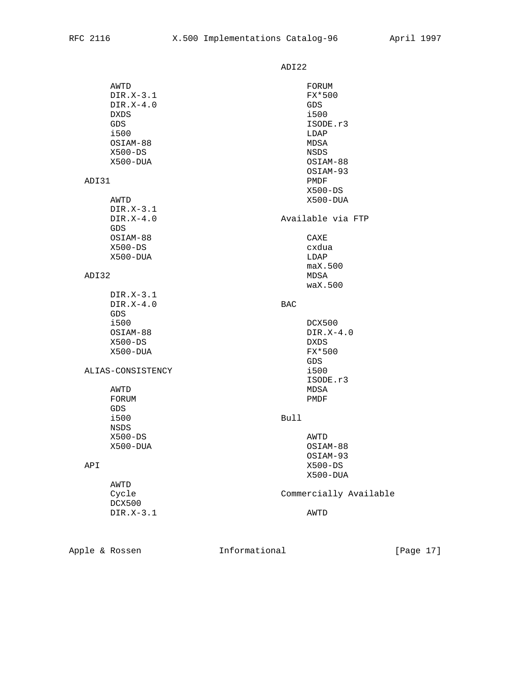ADI22

| AWTD<br>$DIR.X-3.1$<br>$DIR.X-4.0$<br><b>DXDS</b><br>GDS<br>i500<br>OSIAM-88<br>$X500 - DS$ | FORUM<br>FX*500<br>GDS<br>i500<br>ISODE.r3<br>LDAP<br>MDSA<br>NSDS |
|---------------------------------------------------------------------------------------------|--------------------------------------------------------------------|
| X500-DUA<br>ADI31                                                                           | OSIAM-88<br>OSIAM-93<br>PMDF<br>$X500 - DS$                        |
| AWTD<br>DIR.X-3.1<br>$DIR.X-4.0$<br><b>GDS</b>                                              | X500-DUA<br>Available via FTP                                      |
| OSIAM-88<br>$X500 - DS$<br>X500-DUA                                                         | CAXE<br>cxdua<br>LDAP<br>max.500                                   |
| ADI32<br>$DIR.X-3.1$                                                                        | MDSA<br>waX.500                                                    |
| $DIR.X-4.0$<br>GDS                                                                          | <b>BAC</b>                                                         |
| i500<br>OSIAM-88<br>$X500 - DS$<br>X500-DUA                                                 | DCX500<br>$DIR.X-4.0$<br><b>DXDS</b><br>FX*500<br>GDS              |
| ALIAS-CONSISTENCY<br>AWTD                                                                   | i500<br>ISODE.r3<br>MDSA                                           |
| FORUM<br><b>GDS</b><br>i500<br><b>NSDS</b>                                                  | PMDF<br>Bull                                                       |
| $X500 - DS$<br>X500-DUA                                                                     | AWTD<br>OSIAM-88<br>OSIAM-93                                       |
| API<br>AWTD                                                                                 | $X500 - DS$<br>X500-DUA                                            |
| Cycle<br>DCX500<br>DIR.X-3.1                                                                | Commercially Available<br>AWTD                                     |
|                                                                                             |                                                                    |

Apple & Rossen **Informational** [Page 17]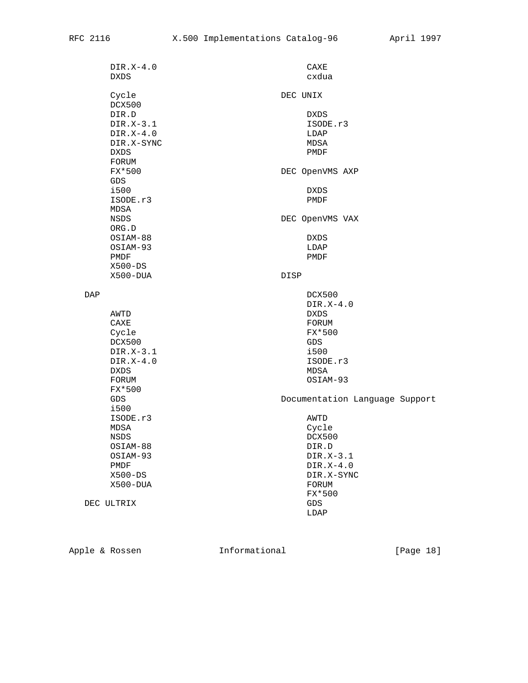| $DIR.X-4.0$ | CAXE                           |
|-------------|--------------------------------|
| <b>DXDS</b> | cxdua                          |
|             |                                |
| Cycle       | DEC UNIX                       |
| DCX500      |                                |
| DIR.D       | DXDS                           |
| $DIR.X-3.1$ | ISODE.r3                       |
| $DIR.X-4.0$ | LDAP                           |
| DIR.X-SYNC  | MDSA                           |
|             |                                |
| <b>DXDS</b> | PMDF                           |
| FORUM       |                                |
| FX*500      | DEC OpenVMS AXP                |
| <b>GDS</b>  |                                |
| i500        | <b>DXDS</b>                    |
| ISODE.r3    | PMDF                           |
| MDSA        |                                |
| NSDS        | DEC OpenVMS VAX                |
| ORG.D       |                                |
| OSIAM-88    | <b>DXDS</b>                    |
| OSIAM-93    |                                |
|             | LDAP                           |
| PMDF        | PMDF                           |
| $X500 - DS$ |                                |
| X500-DUA    | DISP                           |
|             |                                |
| DAP         | DCX500                         |
|             | $DIR.X-4.0$                    |
| AWTD        | <b>DXDS</b>                    |
| CAXE        | FORUM                          |
| Cycle       | FX*500                         |
| DCX500      | GDS                            |
| $DIR.X-3.1$ | i500                           |
| $DIR.X-4.0$ | ISODE.r3                       |
|             | MDSA                           |
| <b>DXDS</b> |                                |
| FORUM       | OSIAM-93                       |
| FX*500      |                                |
| GDS         | Documentation Language Support |
| i500        |                                |
| ISODE.r3    | AWTD                           |
| MDSA        | Cycle                          |
| NSDS        | DCX500                         |
| OSIAM-88    | DIR.D                          |
| OSIAM-93    | $DIR.X-3.1$                    |
| PMDF        | $DIR.X-4.0$                    |
|             |                                |
| $X500 - DS$ | DIR.X-SYNC                     |
| X500-DUA    | FORUM                          |
|             | FX*500                         |
| DEC ULTRIX  | <b>GDS</b>                     |
|             | LDAP                           |
|             |                                |

Apple & Rossen 1nformational [Page 18]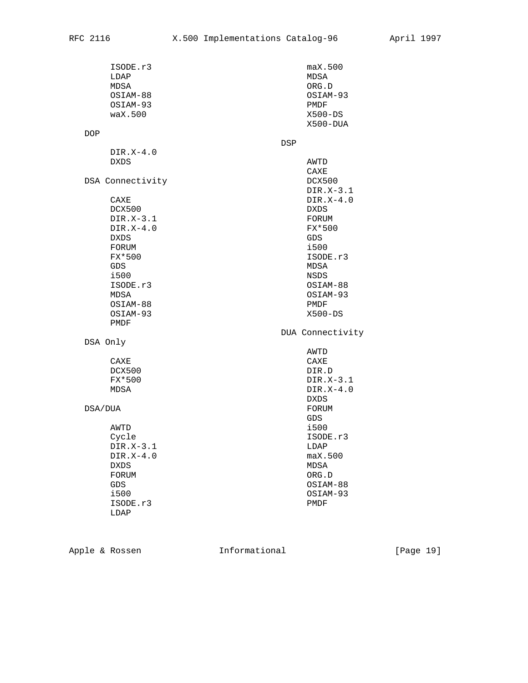| ISODE.r3<br>LDAP    | max.500<br>MDSA          |
|---------------------|--------------------------|
| MDSA                | ORG.D                    |
| OSIAM-88            | OSIAM-93                 |
| OSIAM-93            | PMDF                     |
| $\text{wax}.500$    | $X500 - DS$              |
|                     | X500-DUA                 |
| DOP                 |                          |
|                     | DSP                      |
| $DIR.X-4.0$         |                          |
| DXDS                | AWTD                     |
|                     | CAXE                     |
| DSA Connectivity    | DCX500                   |
|                     | DIR.X-3.1                |
| CAXE                | $DIR.X-4.0$              |
| DCX500              | DXDS                     |
| DIR.X-3.1           | FORUM                    |
| $DIR.X-4.0$         | FX*500                   |
| <b>DXDS</b>         | GDS                      |
| FORUM               | i500                     |
| FX*500              | ISODE.r3                 |
| GDS                 | MDSA                     |
| i500                | <b>NSDS</b>              |
| ISODE.r3            | OSIAM-88                 |
| MDSA                | OSIAM-93                 |
| OSIAM-88            | PMDF                     |
| OSIAM-93            | $X500 - DS$              |
| PMDF                |                          |
|                     | DUA Connectivity         |
| DSA Only            |                          |
|                     | AWTD                     |
| CAXE                | CAXE                     |
| DCX500              | DIR.D                    |
| FX*500              | DIR.X-3.1<br>$DIR.X-4.0$ |
| MDSA                |                          |
|                     | DXDS                     |
| DSA/DUA             | FORUM<br>GDS             |
|                     | i500                     |
| AWTD                | ISODE.r3                 |
| Cycle               |                          |
| $DIR.X-3.1$         | LDAP                     |
| DIR.X-4.0           | max.500                  |
| <b>DXDS</b>         | MDSA                     |
| FORUM<br><b>GDS</b> | ORG.D                    |
|                     | OSIAM-88                 |
| i500                | OSIAM-93                 |
| ISODE.r3            | PMDF                     |
| LDAP                |                          |

Apple & Rossen 1nformational [Page 19]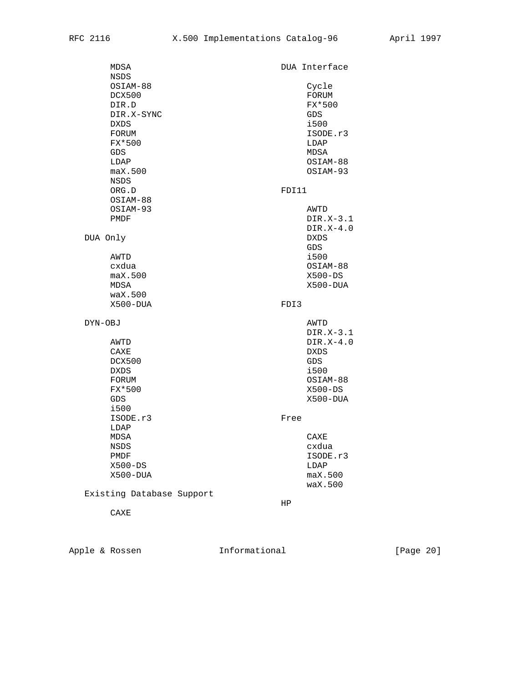| MDSA<br>NSDS                                                                                                         |       | DUA Interface                                                                                         |
|----------------------------------------------------------------------------------------------------------------------|-------|-------------------------------------------------------------------------------------------------------|
| OSIAM-88<br>DCX500<br>DIR.D<br>DIR.X-SYNC<br><b>DXDS</b><br>FORUM<br>FX*500<br><b>GDS</b><br>LDAP<br>max.500<br>NSDS |       | Cycle<br>FORUM<br>FX*500<br><b>GDS</b><br>i500<br>ISODE.r3<br>LDAP<br>MDSA<br>OSIAM-88<br>OSIAM-93    |
| ORG.D                                                                                                                | FDI11 |                                                                                                       |
| OSIAM-88<br>OSIAM-93<br>PMDF                                                                                         |       | AWTD<br>DIR.X-3.1<br>$DIR.X-4.0$                                                                      |
| DUA Only<br>AWTD<br>cxdua<br>max.500<br>MDSA<br>$\text{wax}.500$                                                     |       | <b>DXDS</b><br>GDS<br>i500<br>OSIAM-88<br>$X500 - DS$<br>X500-DUA                                     |
| X500-DUA                                                                                                             | FDI3  |                                                                                                       |
| DYN-OBJ<br>AWTD<br>CAXE<br>DCX500<br><b>DXDS</b><br>FORUM<br>FX*500<br>GDS<br>i500                                   |       | AWTD<br>DIR.X-3.1<br>$DIR.X-4.0$<br><b>DXDS</b><br>GDS<br>i500<br>OSIAM-88<br>$X500 - DS$<br>X500-DUA |
| ISODE.r3<br>LDAP                                                                                                     | Free  |                                                                                                       |
| MDSA<br>NSDS<br>PMDF<br>$X500 - DS$<br>X500-DUA<br>Existing Database Support                                         |       | CAXE<br>cxdua<br>ISODE.r3<br>LDAP<br>max.500<br>waX.500                                               |
|                                                                                                                      | HP    |                                                                                                       |

CAXE

Apple & Rossen 1nformational [Page 20]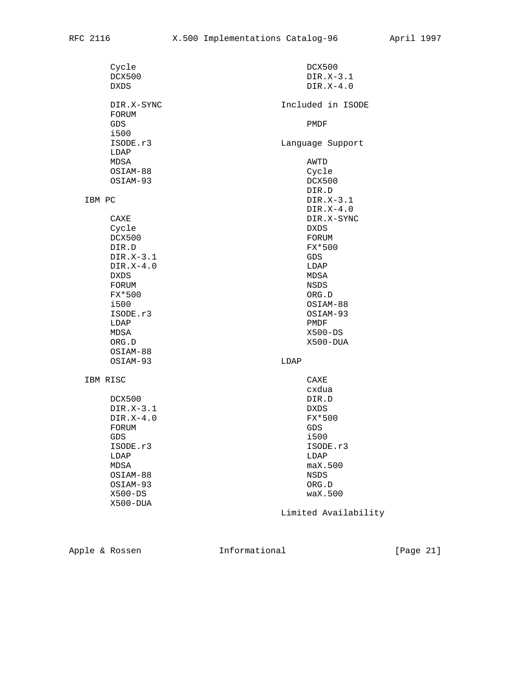| Cycle<br>DCX500<br><b>DXDS</b> | DCX500<br>DIR.X-3.1<br>$DIR.X-4.0$ |
|--------------------------------|------------------------------------|
| DIR.X-SYNC<br>FORUM<br>GDS     | Included in ISODE<br>PMDF          |
| i500                           |                                    |
| ISODE.r3                       | Language Support                   |
| LDAP                           |                                    |
| MDSA                           | AWTD                               |
| OSIAM-88                       | Cycle                              |
| OSIAM-93                       | DCX500                             |
|                                | DIR.D                              |
| IBM PC                         | DIR.X-3.1<br>$DIR.X-4.0$           |
| CAXE                           | DIR.X-SYNC                         |
| Cycle                          | DXDS                               |
| DCX500                         | FORUM                              |
| DIR.D                          | FX*500                             |
| $DIR.X-3.1$                    | GDS                                |
| $DIR.X-4.0$                    | LDAP                               |
| <b>DXDS</b>                    | MDSA                               |
| FORUM                          | NSDS                               |
| FX*500<br>i500                 | ORG.D<br>OSIAM-88                  |
| ISODE.r3                       | OSIAM-93                           |
| LDAP                           | PMDF                               |
| MDSA                           | $X500 - DS$                        |
| ORG.D                          | X500-DUA                           |
| OSIAM-88                       |                                    |
| OSIAM-93                       | LDAP                               |
|                                |                                    |
| IBM RISC                       | CAXE                               |
|                                | cxdua                              |
| DCX500<br>DIR.X-3.1            | DIR.D<br>DXDS                      |
| DIR.X-4.0                      | FX*500                             |
| FORUM                          | GDS                                |
| GDS                            | i500                               |
| ISODE.r3                       | ISODE.r3                           |
| LDAP                           | LDAP                               |
| MDSA                           | max.500                            |
| OSIAM-88                       | NSDS                               |
| OSIAM-93                       | ORG.D                              |
| $X500 - DS$                    | waX.500                            |
| X500-DUA                       |                                    |
|                                | Limited Availability               |

Apple & Rossen 1nformational [Page 21]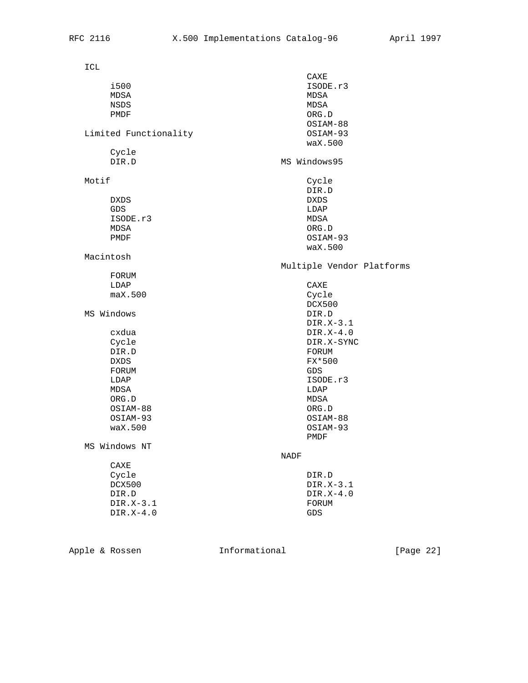| ICL                     |                           |
|-------------------------|---------------------------|
|                         | CAXE                      |
| i500                    | ISODE.r3                  |
| MDSA                    | MDSA                      |
| NSDS                    | MDSA                      |
| PMDF                    | ORG.D                     |
|                         | OSIAM-88                  |
| Limited Functionality   | OSIAM-93                  |
|                         | $\text{wax}.500$          |
| Cycle                   |                           |
| DIR.D                   | MS Windows95              |
|                         |                           |
| Motif                   | Cycle                     |
|                         | DIR.D                     |
| <b>DXDS</b>             | <b>DXDS</b>               |
| GDS                     | LDAP                      |
| ISODE.r3                | MDSA                      |
| MDSA                    | ORG.D                     |
| PMDF                    | OSIAM-93                  |
|                         | waX.500                   |
| Macintosh               |                           |
|                         | Multiple Vendor Platforms |
| FORUM                   |                           |
| LDAP                    | CAXE                      |
| max.500                 | Cycle                     |
|                         | DCX500                    |
| MS Windows              | DIR.D                     |
|                         | DIR.X-3.1                 |
| cxdua                   | $DIR.X-4.0$               |
| Cycle                   | DIR.X-SYNC                |
| DIR.D                   | FORUM                     |
| <b>DXDS</b>             | FX*500                    |
| FORUM                   | GDS                       |
| LDAP                    | ISODE.r3                  |
| MDSA                    | LDAP                      |
| ${\sf ORG}$ . ${\sf D}$ | MDSA                      |
| OSIAM-88                | ORG.D                     |
| OSIAM-93                | OSIAM-88                  |
| waX.500                 | OSIAM-93                  |
|                         | PMDF                      |
| MS Windows NT           |                           |
|                         | NADF                      |
| CAXE                    |                           |
| Cycle                   | DIR.D                     |
| DCX500                  | DIR.X-3.1                 |
| DIR.D                   | $DIR.X-4.0$               |
| DIR.X-3.1               | FORUM                     |
| $DIR.X-4.0$             | GDS                       |
|                         |                           |
|                         |                           |

Apple & Rossen 1nformational [Page 22]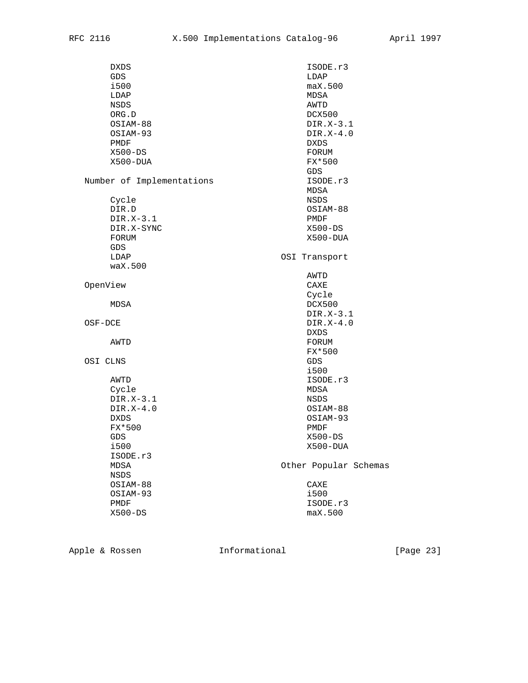| DXDS                      | ISODE.r3              |
|---------------------------|-----------------------|
| GDS                       | LDAP                  |
| i500                      | max.500               |
| LDAP                      | MDSA                  |
| NSDS                      | AWTD                  |
| ORG.D                     | DCX500                |
| OSIAM-88                  | $DIR.X-3.1$           |
| OSIAM-93                  | $DIR.X-4.0$           |
| PMDF                      | DXDS                  |
| $X500 - DS$               | FORUM                 |
| $X500 - DUA$              | FX*500                |
|                           | <b>GDS</b>            |
| Number of Implementations | ISODE.r3              |
|                           | MDSA                  |
| Cycle                     | NSDS                  |
| DIR.D                     | OSIAM-88              |
| $DIR.X-3.1$               | PMDF                  |
| DIR.X-SYNC                | $X500 - DS$           |
| FORUM                     | X500-DUA              |
| GDS                       |                       |
| LDAP                      | OSI Transport         |
| $\text{wax}.500$          |                       |
|                           | AWTD                  |
| OpenView                  | CAXE                  |
|                           | Cycle                 |
| MDSA                      | DCX500                |
|                           | $DIR.X-3.1$           |
| OSF-DCE                   | $DIR.X-4.0$           |
|                           | <b>DXDS</b>           |
| AWTD                      | FORUM                 |
|                           | FX*500                |
| OSI CLNS                  | GDS                   |
|                           | i500                  |
| AWTD                      | ISODE.r3              |
| Cycle                     | MDSA                  |
| $DIR.X-3.1$               | <b>NSDS</b>           |
| $DIR.X-4.0$               | OSIAM-88              |
| <b>DXDS</b>               | OSIAM-93              |
| FX*500                    | PMDF                  |
| <b>GDS</b>                | $X500 - DS$           |
| i500                      | X500-DUA              |
| ISODE.r3                  |                       |
| MDSA                      | Other Popular Schemas |
| NSDS                      |                       |
| OSIAM-88                  | CAXE                  |
| OSIAM-93                  | i500                  |
| PMDF                      | ISODE.r3              |
| X500-DS                   | max.500               |

Apple & Rossen 1nformational [Page 23]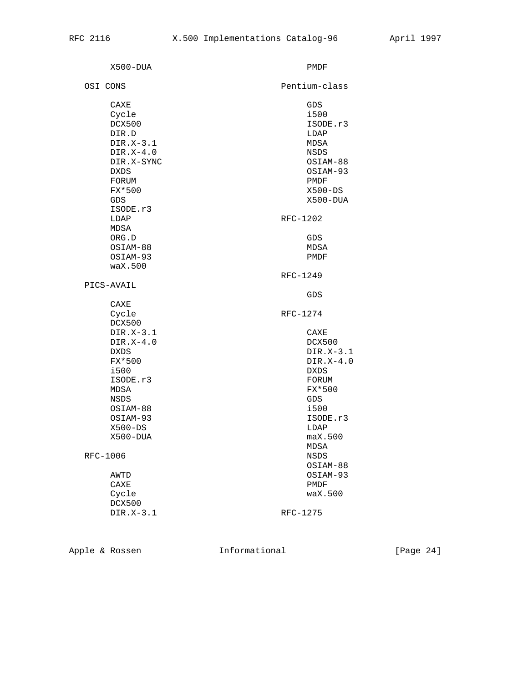| X500-DUA                                                                                                                                                                         | PMDF                                                                                                                                                     |
|----------------------------------------------------------------------------------------------------------------------------------------------------------------------------------|----------------------------------------------------------------------------------------------------------------------------------------------------------|
| OSI CONS                                                                                                                                                                         | Pentium-class                                                                                                                                            |
| CAXE<br>Cycle<br>DCX500<br>DIR.D<br>DIR.X-3.1<br>$DIR.X-4.0$<br>DIR.X-SYNC<br><b>DXDS</b><br>FORUM<br>FX*500<br>GDS.<br>ISODE.r3<br>LDAP                                         | GDS<br>i500<br>ISODE.r3<br>LDAP<br>MDSA<br><b>NSDS</b><br>OSIAM-88<br>OSIAM-93<br>PMDF<br>$X500 - DS$<br>X500-DUA<br>RFC-1202                            |
| MDSA<br>ORG.D<br>OSIAM-88<br>OSIAM-93<br>waX.500                                                                                                                                 | GDS<br>MDSA<br>PMDF<br>RFC-1249                                                                                                                          |
| PICS-AVAIL                                                                                                                                                                       | GDS                                                                                                                                                      |
| CAXE<br>Cycle<br>DCX500<br>$DIR.X-3.1$<br>$DIR.X-4.0$<br><b>DXDS</b><br>FX*500<br>i500<br>ISODE.r3<br>MDSA<br><b>NSDS</b><br>OSIAM-88<br>OSIAM-93<br>$X500 - DS$<br>$X500 - DUA$ | RFC-1274<br>CAXE<br>DCX500<br>$DIR.X-3.1$<br>$DIR.X-4.0$<br><b>DXDS</b><br>FORUM<br>FX*500<br>GDS<br>i500<br>ISODE.r3<br>LDAP<br>max.500<br>${\tt MDSA}$ |
| RFC-1006                                                                                                                                                                         | NSDS<br>OSIAM-88                                                                                                                                         |
| AWTD<br>CAXE<br>Cycle<br>DCX500<br>$DIR.X-3.1$                                                                                                                                   | OSIAM-93<br>PMDF<br>waX.500<br>RFC-1275                                                                                                                  |
|                                                                                                                                                                                  |                                                                                                                                                          |

Apple & Rossen 1nformational [Page 24]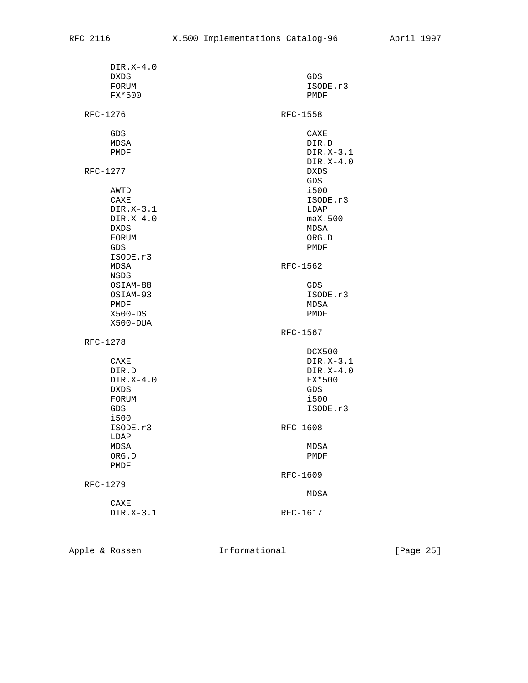|  | $DIR.X-4.0$<br>DXDS | GDS         |  |  |
|--|---------------------|-------------|--|--|
|  | FORUM               | ISODE.r3    |  |  |
|  | FX*500              | PMDF        |  |  |
|  |                     |             |  |  |
|  | RFC-1276            | RFC-1558    |  |  |
|  | GDS                 | CAXE        |  |  |
|  | MDSA                | DIR.D       |  |  |
|  | PMDF                | $DIR.X-3.1$ |  |  |
|  |                     | $DIR.X-4.0$ |  |  |
|  | RFC-1277            | DXDS        |  |  |
|  |                     | GDS         |  |  |
|  | AWTD                | i500        |  |  |
|  | CAXE                | ISODE.r3    |  |  |
|  | $DIR.X-3.1$         | LDAP        |  |  |
|  | $DIR.X-4.0$         | max.500     |  |  |
|  | <b>DXDS</b>         | MDSA        |  |  |
|  | FORUM               | ORG.D       |  |  |
|  | GDS                 | PMDF        |  |  |
|  | ISODE.r3            |             |  |  |
|  | MDSA                | RFC-1562    |  |  |
|  | NSDS                |             |  |  |
|  | OSIAM-88            | GDS         |  |  |
|  | OSIAM-93            | ISODE.r3    |  |  |
|  | PMDF                | MDSA        |  |  |
|  | $X500 - DS$         | PMDF        |  |  |
|  | X500-DUA            |             |  |  |
|  |                     | RFC-1567    |  |  |
|  | RFC-1278            |             |  |  |
|  |                     | DCX500      |  |  |
|  | CAXE                | $DIR.X-3.1$ |  |  |
|  | DIR.D               | $DIR.X-4.0$ |  |  |
|  | $DIR.X-4.0$         | FX*500      |  |  |
|  | DXDS                | GDS         |  |  |
|  | FORUM               | i500        |  |  |
|  | GDS.                | ISODE.r3    |  |  |
|  | i500                |             |  |  |
|  | ISODE.r3            | RFC-1608    |  |  |
|  | LDAP                |             |  |  |
|  | MDSA                | MDSA        |  |  |
|  | ORG.D               | PMDF        |  |  |
|  | PMDF                |             |  |  |
|  |                     | RFC-1609    |  |  |
|  | RFC-1279            |             |  |  |
|  |                     | <b>MDSA</b> |  |  |
|  | CAXE                |             |  |  |
|  | DIR.X-3.1           | RFC-1617    |  |  |
|  |                     |             |  |  |

Apple & Rossen **Informational** [Page 25]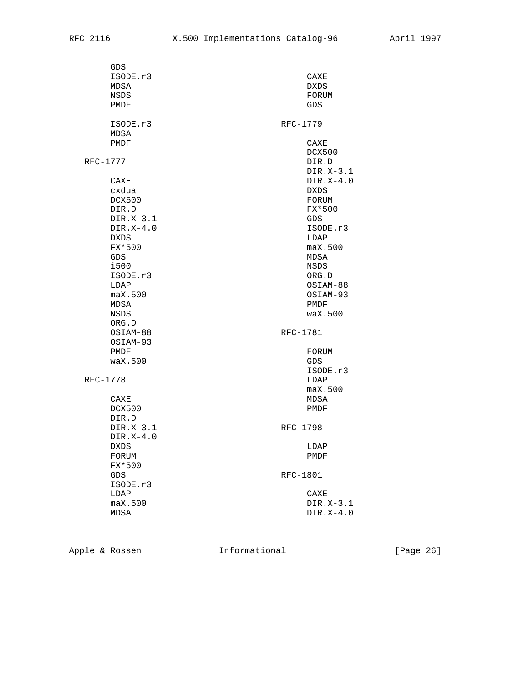| GDS              |                  |
|------------------|------------------|
| ISODE.r3         | CAXE             |
| MDSA             | DXDS             |
| NSDS             | FORUM            |
| PMDF             | GDS              |
|                  |                  |
| ISODE.r3         | RFC-1779         |
| MDSA             |                  |
| PMDF             | CAXE             |
|                  | DCX500           |
| RFC-1777         | DIR.D            |
|                  | $DIR.X-3.1$      |
| CAXE             | $DIR.X-4.0$      |
| cxdua            | DXDS.            |
| DCX500           | FORUM            |
| DIR.D            | FX*500           |
| $DIR.X-3.1$      | GDS              |
| $DIR.X-4.0$      | ISODE.r3         |
| <b>DXDS</b>      | LDAP             |
| FX*500           | max.500          |
|                  |                  |
| GDS.             | MDSA             |
| i500             | NSDS             |
| ISODE.r3         | ORG.D            |
| LDAP             | OSIAM-88         |
| max.500          | OSIAM-93         |
| MDSA             | PMDF             |
| NSDS             | $\text{wax}.500$ |
| ORG.D            |                  |
| OSIAM-88         | RFC-1781         |
| OSIAM-93         |                  |
| PMDF             | FORUM            |
| $\text{wax}.500$ | GDS              |
|                  | ISODE.r3         |
| RFC-1778         | LDAP             |
|                  | max.500          |
| CAXE             | MDSA             |
| DCX500           | PMDF             |
| DIR.D            |                  |
| $DIR.X-3.1$      | RFC-1798         |
| $DIR.X-4.0$      |                  |
| <b>DXDS</b>      | LDAP             |
| FORUM            | PMDF             |
| FX*500           |                  |
| GDS              | RFC-1801         |
| ISODE.r3         |                  |
| LDAP             | CAXE             |
| max.500          | $DIR.X-3.1$      |
| <b>MDSA</b>      | $DIR.X-4.0$      |
|                  |                  |

Apple & Rossen **Informational** [Page 26]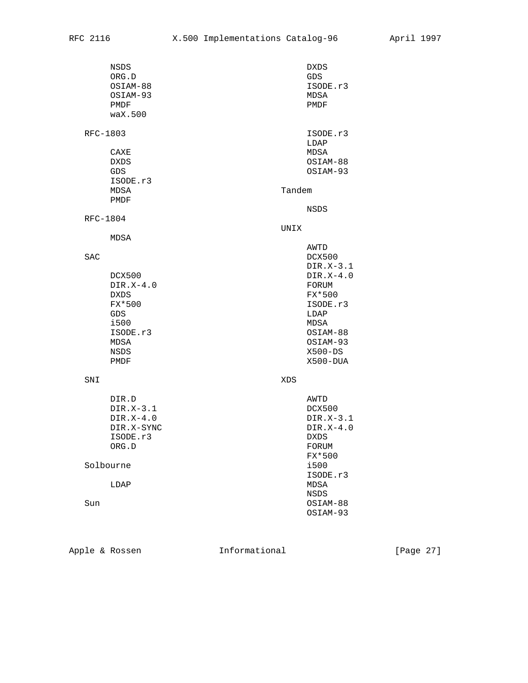|          | NSDS<br>${\sf ORG}$ . ${\sf D}$<br>OSIAM-88<br>OSIAM-93<br>PMDF<br>waX.500                 |        | <b>DXDS</b><br>GDS<br>ISODE.r3<br>MDSA<br>PMDF                                                                                         |
|----------|--------------------------------------------------------------------------------------------|--------|----------------------------------------------------------------------------------------------------------------------------------------|
| RFC-1803 | CAXE<br>DXDS<br>GDS<br>ISODE.r3                                                            |        | ISODE.r3<br>LDAP<br>MDSA<br>OSIAM-88<br>OSIAM-93                                                                                       |
|          | MDSA<br>PMDF                                                                               | Tandem |                                                                                                                                        |
| RFC-1804 |                                                                                            | UNIX   | NSDS                                                                                                                                   |
|          | MDSA                                                                                       |        | AWTD                                                                                                                                   |
| SAC      | DCX500<br>$DIR.X-4.0$<br>DXDS<br>FX*500<br>GDS<br>i500<br>ISODE.r3<br>MDSA<br>NSDS<br>PMDF |        | DCX500<br>$DIR.X-3.1$<br>$DIR.X-4.0$<br>FORUM<br>FX*500<br>ISODE.r3<br>LDAP<br>MDSA<br>OSIAM-88<br>OSIAM-93<br>$X500 - DS$<br>X500-DUA |
| SNI      |                                                                                            | XDS    |                                                                                                                                        |
|          | DIR.D<br>DIR.X-3.1<br>$DIR.X-4.0$<br>DIR.X-SYNC<br>ISODE.r3<br>ORG.D                       |        | AWTD<br>DCX500<br>DIR.X-3.1<br>$DIR.X-4.0$<br><b>DXDS</b><br>FORUM<br>FX*500                                                           |
|          | Solbourne                                                                                  |        | i500<br>ISODE.r3                                                                                                                       |
| Sun      | LDAP                                                                                       |        | MDSA<br>NSDS<br>OSIAM-88<br>OSIAM-93                                                                                                   |

Apple & Rossen **Informational** [Page 27]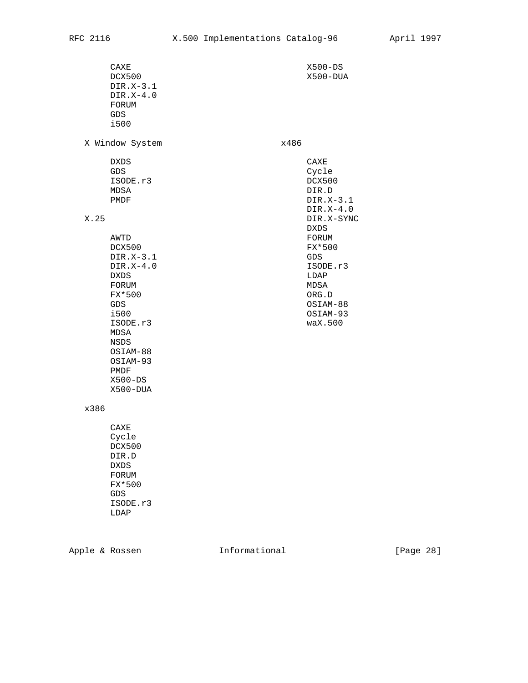$\begin{array}{cccc}\n\texttt{CAXE} & \texttt{X500-DS} \\
\texttt{DCX500} & \texttt{X500-DU} \end{array}$  DIR.X-3.1 DIR.X-4.0 FORUM GDS i500 X Window System x486 DXDS CAXE GDS Cycle ISODE.r3 DCX500<br>MDSA DIR.D MDSA DIR.D PMDF DIR.X-3.1 DIR.X-4.0<br>DIR.X-5YN DXDS AWTD FORUM DCX500 FX\*500 DIR.X-3.1 GDS DIR.X-4.0 ISODE.r3<br>DXDS LDAP LDAP DXDS LDAP FORUM **MDSA**  FX\*500 ORG.D GDS OSIAM-88 i500 OSIAM-93 ISODE.r3 MDSA NSDS OSIAM-88 OSIAM-93 PMDF X500-DS X500-DUA

DIR.X-SYNC<br>DXDS

 $X500 - DUA$ 

# x386

 CAXE Cycle DCX500 DIR.D DXDS FORUM FX\*500 GDS ISODE.r3 LDAP

Apple & Rossen **Informational** [Page 28]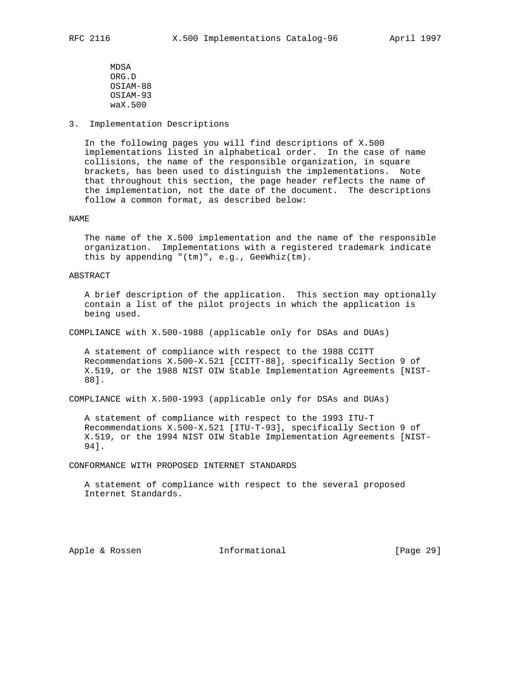MDSA ORG.D OSIAM-88 OSIAM-93 waX.500

3. Implementation Descriptions

 In the following pages you will find descriptions of X.500 implementations listed in alphabetical order. In the case of name collisions, the name of the responsible organization, in square brackets, has been used to distinguish the implementations. Note that throughout this section, the page header reflects the name of the implementation, not the date of the document. The descriptions follow a common format, as described below:

### NAME

 The name of the X.500 implementation and the name of the responsible organization. Implementations with a registered trademark indicate this by appending "(tm)", e.g., GeeWhiz(tm).

### ABSTRACT

 A brief description of the application. This section may optionally contain a list of the pilot projects in which the application is being used.

COMPLIANCE with X.500-1988 (applicable only for DSAs and DUAs)

 A statement of compliance with respect to the 1988 CCITT Recommendations X.500-X.521 [CCITT-88], specifically Section 9 of X.519, or the 1988 NIST OIW Stable Implementation Agreements [NIST- 88].

COMPLIANCE with X.500-1993 (applicable only for DSAs and DUAs)

 A statement of compliance with respect to the 1993 ITU-T Recommendations X.500-X.521 [ITU-T-93], specifically Section 9 of X.519, or the 1994 NIST OIW Stable Implementation Agreements [NIST- 94].

CONFORMANCE WITH PROPOSED INTERNET STANDARDS

 A statement of compliance with respect to the several proposed Internet Standards.

Apple & Rossen **Informational** [Page 29]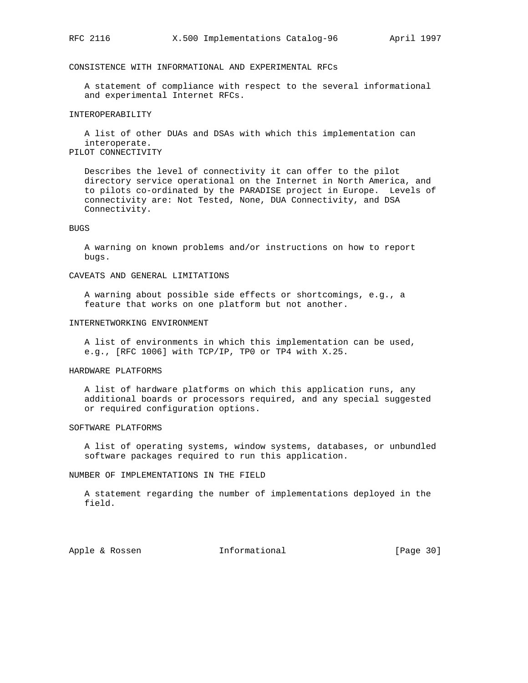# CONSISTENCE WITH INFORMATIONAL AND EXPERIMENTAL RFCs

 A statement of compliance with respect to the several informational and experimental Internet RFCs.

# INTEROPERABILITY

 A list of other DUAs and DSAs with which this implementation can interoperate. PILOT CONNECTIVITY

 Describes the level of connectivity it can offer to the pilot directory service operational on the Internet in North America, and to pilots co-ordinated by the PARADISE project in Europe. Levels of connectivity are: Not Tested, None, DUA Connectivity, and DSA Connectivity.

### BUGS

 A warning on known problems and/or instructions on how to report bugs.

# CAVEATS AND GENERAL LIMITATIONS

 A warning about possible side effects or shortcomings, e.g., a feature that works on one platform but not another.

### INTERNETWORKING ENVIRONMENT

 A list of environments in which this implementation can be used, e.g., [RFC 1006] with TCP/IP, TP0 or TP4 with X.25.

### HARDWARE PLATFORMS

 A list of hardware platforms on which this application runs, any additional boards or processors required, and any special suggested or required configuration options.

#### SOFTWARE PLATFORMS

 A list of operating systems, window systems, databases, or unbundled software packages required to run this application.

NUMBER OF IMPLEMENTATIONS IN THE FIELD

 A statement regarding the number of implementations deployed in the field.

Apple & Rossen **Informational** [Page 30]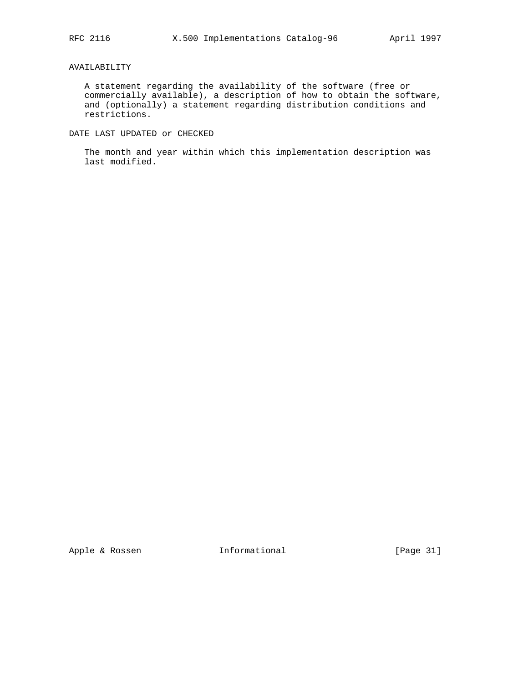# AVAILABILITY

 A statement regarding the availability of the software (free or commercially available), a description of how to obtain the software, and (optionally) a statement regarding distribution conditions and restrictions.

DATE LAST UPDATED or CHECKED

 The month and year within which this implementation description was last modified.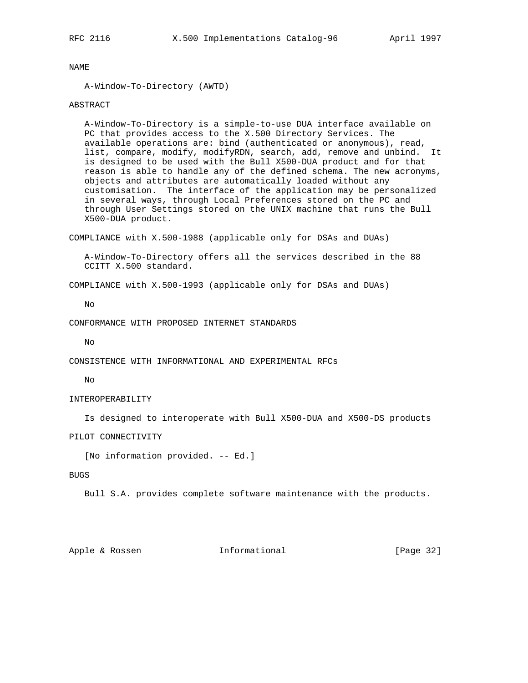NAME

A-Window-To-Directory (AWTD)

# ABSTRACT

 A-Window-To-Directory is a simple-to-use DUA interface available on PC that provides access to the X.500 Directory Services. The available operations are: bind (authenticated or anonymous), read, list, compare, modify, modifyRDN, search, add, remove and unbind. It is designed to be used with the Bull X500-DUA product and for that reason is able to handle any of the defined schema. The new acronyms, objects and attributes are automatically loaded without any customisation. The interface of the application may be personalized in several ways, through Local Preferences stored on the PC and through User Settings stored on the UNIX machine that runs the Bull X500-DUA product.

COMPLIANCE with X.500-1988 (applicable only for DSAs and DUAs)

 A-Window-To-Directory offers all the services described in the 88 CCITT X.500 standard.

COMPLIANCE with X.500-1993 (applicable only for DSAs and DUAs)

No

CONFORMANCE WITH PROPOSED INTERNET STANDARDS

 $N<sub>O</sub>$ 

CONSISTENCE WITH INFORMATIONAL AND EXPERIMENTAL RFCs

No

### INTEROPERABILITY

Is designed to interoperate with Bull X500-DUA and X500-DS products

PILOT CONNECTIVITY

[No information provided. -- Ed.]

BUGS

Bull S.A. provides complete software maintenance with the products.

# Apple & Rossen **Informational** [Page 32]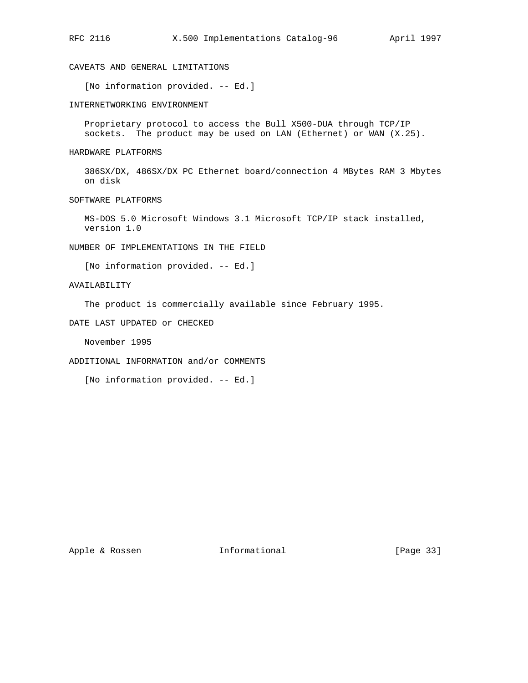CAVEATS AND GENERAL LIMITATIONS

[No information provided. -- Ed.]

INTERNETWORKING ENVIRONMENT

 Proprietary protocol to access the Bull X500-DUA through TCP/IP sockets. The product may be used on LAN (Ethernet) or WAN (X.25).

HARDWARE PLATFORMS

 386SX/DX, 486SX/DX PC Ethernet board/connection 4 MBytes RAM 3 Mbytes on disk

SOFTWARE PLATFORMS

 MS-DOS 5.0 Microsoft Windows 3.1 Microsoft TCP/IP stack installed, version 1.0

NUMBER OF IMPLEMENTATIONS IN THE FIELD

[No information provided. -- Ed.]

AVAILABILITY

The product is commercially available since February 1995.

DATE LAST UPDATED or CHECKED

November 1995

ADDITIONAL INFORMATION and/or COMMENTS

[No information provided. -- Ed.]

Apple & Rossen **Informational** [Page 33]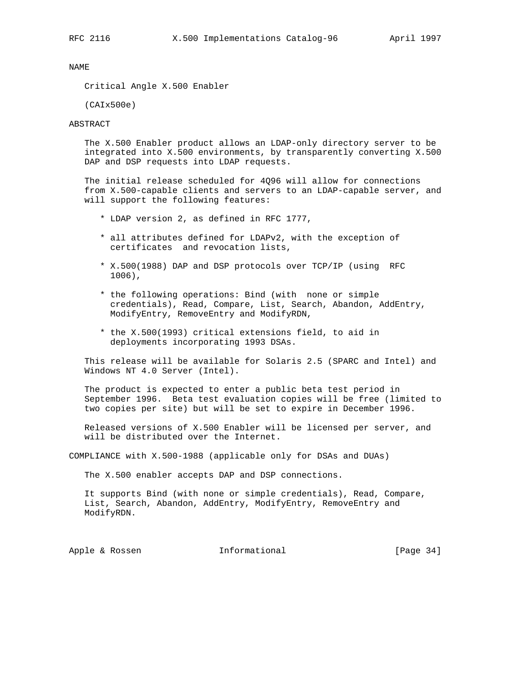NAME

Critical Angle X.500 Enabler

(CAIx500e)

### ABSTRACT

 The X.500 Enabler product allows an LDAP-only directory server to be integrated into X.500 environments, by transparently converting X.500 DAP and DSP requests into LDAP requests.

 The initial release scheduled for 4Q96 will allow for connections from X.500-capable clients and servers to an LDAP-capable server, and will support the following features:

- \* LDAP version 2, as defined in RFC 1777,
- \* all attributes defined for LDAPv2, with the exception of certificates and revocation lists,
- \* X.500(1988) DAP and DSP protocols over TCP/IP (using RFC 1006),
- \* the following operations: Bind (with none or simple credentials), Read, Compare, List, Search, Abandon, AddEntry, ModifyEntry, RemoveEntry and ModifyRDN,
- \* the X.500(1993) critical extensions field, to aid in deployments incorporating 1993 DSAs.

 This release will be available for Solaris 2.5 (SPARC and Intel) and Windows NT 4.0 Server (Intel).

 The product is expected to enter a public beta test period in September 1996. Beta test evaluation copies will be free (limited to two copies per site) but will be set to expire in December 1996.

 Released versions of X.500 Enabler will be licensed per server, and will be distributed over the Internet.

COMPLIANCE with X.500-1988 (applicable only for DSAs and DUAs)

The X.500 enabler accepts DAP and DSP connections.

 It supports Bind (with none or simple credentials), Read, Compare, List, Search, Abandon, AddEntry, ModifyEntry, RemoveEntry and ModifyRDN.

Apple & Rossen **Informational** [Page 34]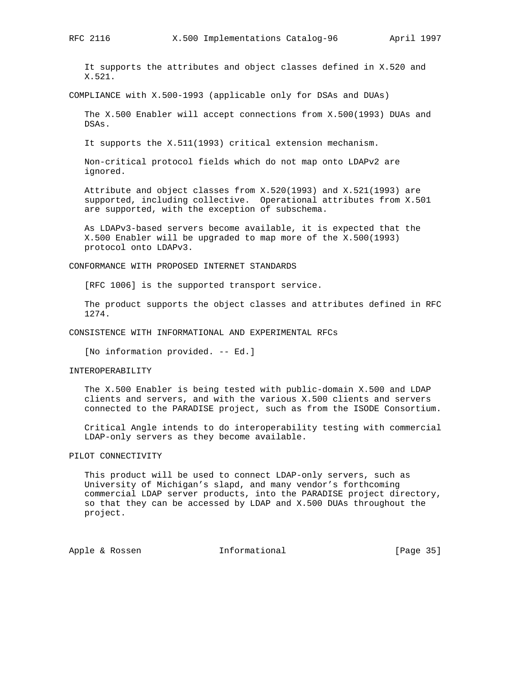It supports the attributes and object classes defined in X.520 and X.521.

COMPLIANCE with X.500-1993 (applicable only for DSAs and DUAs)

 The X.500 Enabler will accept connections from X.500(1993) DUAs and DSAs.

It supports the X.511(1993) critical extension mechanism.

 Non-critical protocol fields which do not map onto LDAPv2 are ignored.

 Attribute and object classes from X.520(1993) and X.521(1993) are supported, including collective. Operational attributes from X.501 are supported, with the exception of subschema.

 As LDAPv3-based servers become available, it is expected that the X.500 Enabler will be upgraded to map more of the X.500(1993) protocol onto LDAPv3.

CONFORMANCE WITH PROPOSED INTERNET STANDARDS

[RFC 1006] is the supported transport service.

 The product supports the object classes and attributes defined in RFC 1274.

CONSISTENCE WITH INFORMATIONAL AND EXPERIMENTAL RFCs

[No information provided. -- Ed.]

### INTEROPERABILITY

 The X.500 Enabler is being tested with public-domain X.500 and LDAP clients and servers, and with the various X.500 clients and servers connected to the PARADISE project, such as from the ISODE Consortium.

 Critical Angle intends to do interoperability testing with commercial LDAP-only servers as they become available.

### PILOT CONNECTIVITY

 This product will be used to connect LDAP-only servers, such as University of Michigan's slapd, and many vendor's forthcoming commercial LDAP server products, into the PARADISE project directory, so that they can be accessed by LDAP and X.500 DUAs throughout the project.

Apple & Rossen **Informational** [Page 35]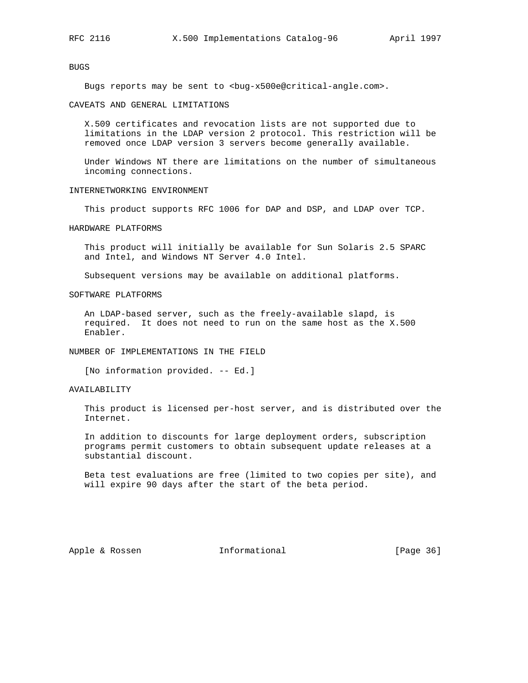# BUGS

Bugs reports may be sent to <br/> <br/> <br/> <br/> <br/> <br/><br/>sentical-angle.com>.

#### CAVEATS AND GENERAL LIMITATIONS

 X.509 certificates and revocation lists are not supported due to limitations in the LDAP version 2 protocol. This restriction will be removed once LDAP version 3 servers become generally available.

 Under Windows NT there are limitations on the number of simultaneous incoming connections.

#### INTERNETWORKING ENVIRONMENT

This product supports RFC 1006 for DAP and DSP, and LDAP over TCP.

#### HARDWARE PLATFORMS

 This product will initially be available for Sun Solaris 2.5 SPARC and Intel, and Windows NT Server 4.0 Intel.

Subsequent versions may be available on additional platforms.

# SOFTWARE PLATFORMS

 An LDAP-based server, such as the freely-available slapd, is required. It does not need to run on the same host as the X.500 Enabler.

# NUMBER OF IMPLEMENTATIONS IN THE FIELD

[No information provided. -- Ed.]

### AVAILABILITY

 This product is licensed per-host server, and is distributed over the Internet.

 In addition to discounts for large deployment orders, subscription programs permit customers to obtain subsequent update releases at a substantial discount.

 Beta test evaluations are free (limited to two copies per site), and will expire 90 days after the start of the beta period.

Apple & Rossen **Informational** [Page 36]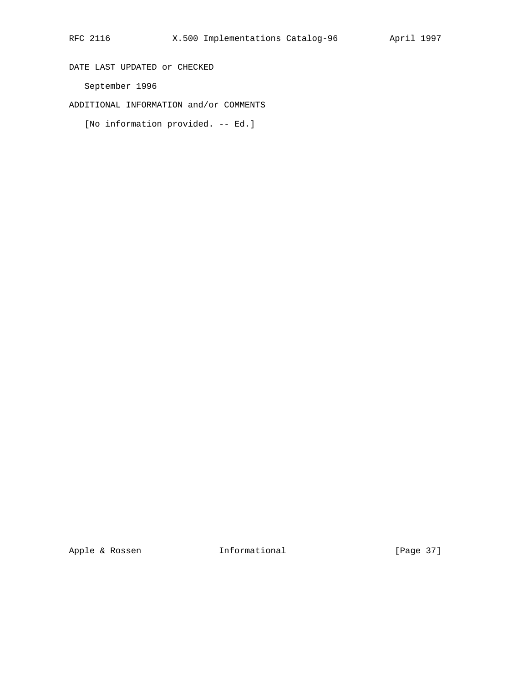DATE LAST UPDATED or CHECKED

September 1996

ADDITIONAL INFORMATION and/or COMMENTS

[No information provided. -- Ed.]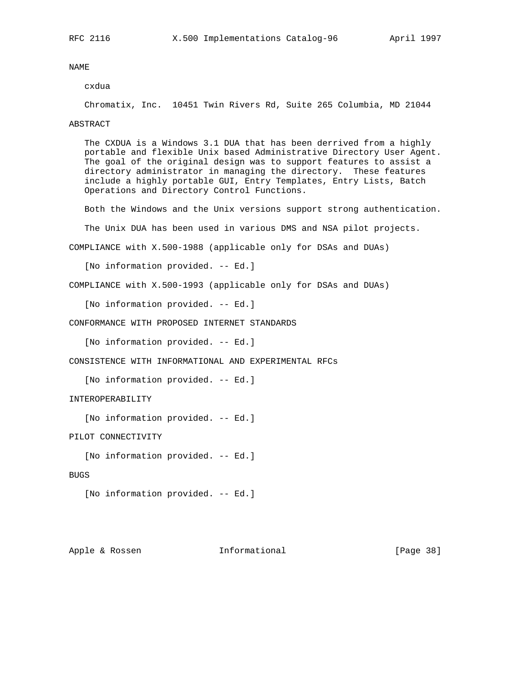#### cxdua

Chromatix, Inc. 10451 Twin Rivers Rd, Suite 265 Columbia, MD 21044

#### ABSTRACT

 The CXDUA is a Windows 3.1 DUA that has been derrived from a highly portable and flexible Unix based Administrative Directory User Agent. The goal of the original design was to support features to assist a directory administrator in managing the directory. These features include a highly portable GUI, Entry Templates, Entry Lists, Batch Operations and Directory Control Functions.

Both the Windows and the Unix versions support strong authentication.

The Unix DUA has been used in various DMS and NSA pilot projects.

COMPLIANCE with X.500-1988 (applicable only for DSAs and DUAs)

[No information provided. -- Ed.]

COMPLIANCE with X.500-1993 (applicable only for DSAs and DUAs)

[No information provided. -- Ed.]

CONFORMANCE WITH PROPOSED INTERNET STANDARDS

[No information provided. -- Ed.]

CONSISTENCE WITH INFORMATIONAL AND EXPERIMENTAL RFCs

[No information provided. -- Ed.]

## INTEROPERABILITY

[No information provided. -- Ed.]

PILOT CONNECTIVITY

[No information provided. -- Ed.]

#### BUGS

[No information provided. -- Ed.]

Apple & Rossen **Informational** [Page 38]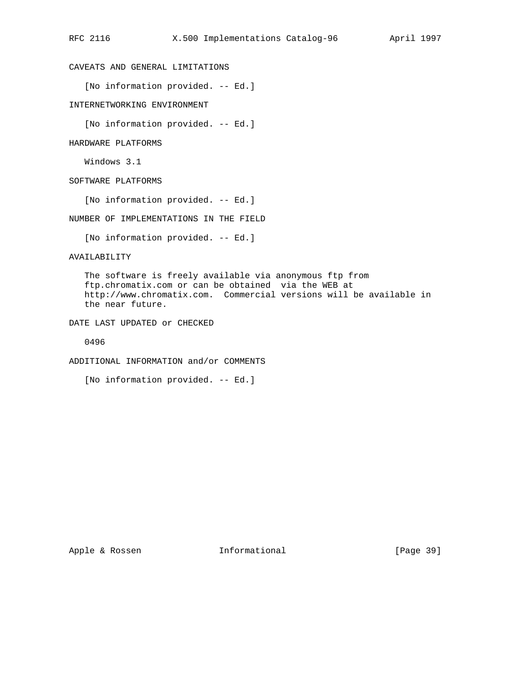# CAVEATS AND GENERAL LIMITATIONS

[No information provided. -- Ed.]

INTERNETWORKING ENVIRONMENT

[No information provided. -- Ed.]

HARDWARE PLATFORMS

Windows 3.1

SOFTWARE PLATFORMS

[No information provided. -- Ed.]

NUMBER OF IMPLEMENTATIONS IN THE FIELD

[No information provided. -- Ed.]

AVAILABILITY

 The software is freely available via anonymous ftp from ftp.chromatix.com or can be obtained via the WEB at http://www.chromatix.com. Commercial versions will be available in the near future.

DATE LAST UPDATED or CHECKED

0496

ADDITIONAL INFORMATION and/or COMMENTS

[No information provided. -- Ed.]

Apple & Rossen **Informational** [Page 39]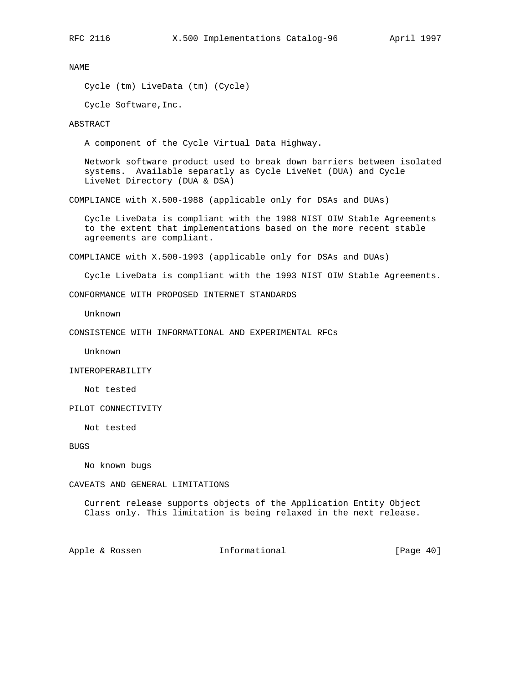Cycle (tm) LiveData (tm) (Cycle)

Cycle Software,Inc.

# ABSTRACT

A component of the Cycle Virtual Data Highway.

 Network software product used to break down barriers between isolated systems. Available separatly as Cycle LiveNet (DUA) and Cycle LiveNet Directory (DUA & DSA)

COMPLIANCE with X.500-1988 (applicable only for DSAs and DUAs)

 Cycle LiveData is compliant with the 1988 NIST OIW Stable Agreements to the extent that implementations based on the more recent stable agreements are compliant.

COMPLIANCE with X.500-1993 (applicable only for DSAs and DUAs)

Cycle LiveData is compliant with the 1993 NIST OIW Stable Agreements.

CONFORMANCE WITH PROPOSED INTERNET STANDARDS

Unknown

CONSISTENCE WITH INFORMATIONAL AND EXPERIMENTAL RFCs

Unknown

INTEROPERABILITY

Not tested

PILOT CONNECTIVITY

Not tested

BUGS

No known bugs

CAVEATS AND GENERAL LIMITATIONS

 Current release supports objects of the Application Entity Object Class only. This limitation is being relaxed in the next release.

Apple & Rossen **Informational** [Page 40]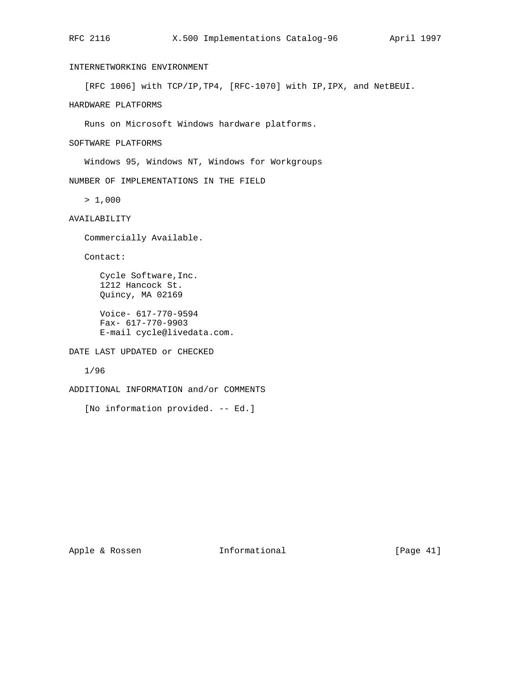# INTERNETWORKING ENVIRONMENT

[RFC 1006] with TCP/IP,TP4, [RFC-1070] with IP,IPX, and NetBEUI.

HARDWARE PLATFORMS

Runs on Microsoft Windows hardware platforms.

SOFTWARE PLATFORMS

Windows 95, Windows NT, Windows for Workgroups

NUMBER OF IMPLEMENTATIONS IN THE FIELD

 $> 1,000$ 

AVAILABILITY

Commercially Available.

Contact:

 Cycle Software,Inc. 1212 Hancock St. Quincy, MA 02169

 Voice- 617-770-9594 Fax- 617-770-9903 E-mail cycle@livedata.com.

DATE LAST UPDATED or CHECKED

1/96

ADDITIONAL INFORMATION and/or COMMENTS

[No information provided. -- Ed.]

Apple & Rossen **Informational** [Page 41]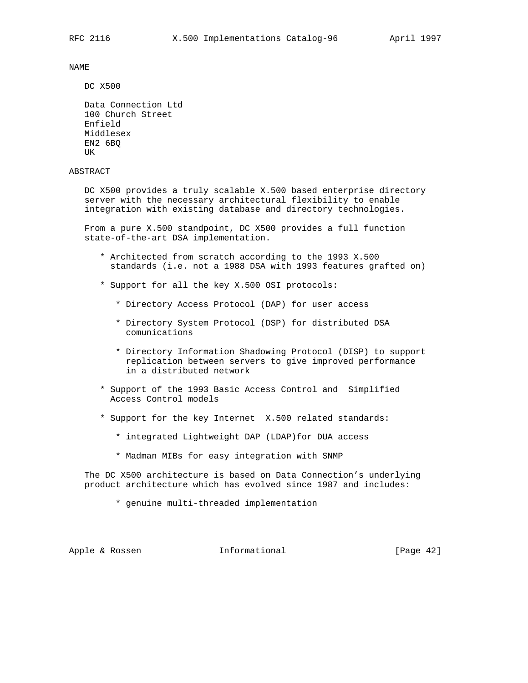DC X500

```
 Data Connection Ltd
 100 Church Street
 Enfield
 Middlesex
 EN2 6BQ
 UK
```
# ABSTRACT

 DC X500 provides a truly scalable X.500 based enterprise directory server with the necessary architectural flexibility to enable integration with existing database and directory technologies.

 From a pure X.500 standpoint, DC X500 provides a full function state-of-the-art DSA implementation.

- \* Architected from scratch according to the 1993 X.500 standards (i.e. not a 1988 DSA with 1993 features grafted on)
- \* Support for all the key X.500 OSI protocols:
	- \* Directory Access Protocol (DAP) for user access
	- \* Directory System Protocol (DSP) for distributed DSA comunications
	- \* Directory Information Shadowing Protocol (DISP) to support replication between servers to give improved performance in a distributed network
- \* Support of the 1993 Basic Access Control and Simplified Access Control models
- \* Support for the key Internet X.500 related standards:
	- \* integrated Lightweight DAP (LDAP)for DUA access
	- \* Madman MIBs for easy integration with SNMP

 The DC X500 architecture is based on Data Connection's underlying product architecture which has evolved since 1987 and includes:

\* genuine multi-threaded implementation

Apple & Rossen **Informational** [Page 42]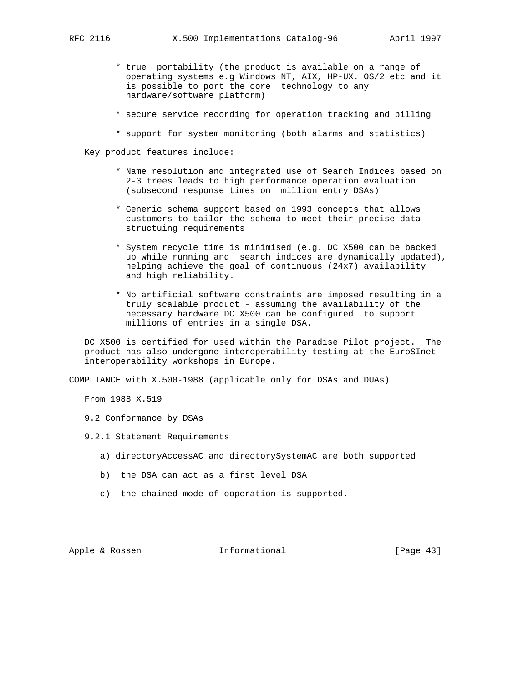- \* true portability (the product is available on a range of operating systems e.g Windows NT, AIX, HP-UX. OS/2 etc and it is possible to port the core technology to any hardware/software platform)
- \* secure service recording for operation tracking and billing
- \* support for system monitoring (both alarms and statistics)

Key product features include:

- \* Name resolution and integrated use of Search Indices based on 2-3 trees leads to high performance operation evaluation (subsecond response times on million entry DSAs)
- \* Generic schema support based on 1993 concepts that allows customers to tailor the schema to meet their precise data structuing requirements
- \* System recycle time is minimised (e.g. DC X500 can be backed up while running and search indices are dynamically updated), helping achieve the goal of continuous (24x7) availability and high reliability.
- \* No artificial software constraints are imposed resulting in a truly scalable product - assuming the availability of the necessary hardware DC X500 can be configured to support millions of entries in a single DSA.

 DC X500 is certified for used within the Paradise Pilot project. The product has also undergone interoperability testing at the EuroSInet interoperability workshops in Europe.

COMPLIANCE with X.500-1988 (applicable only for DSAs and DUAs)

From 1988 X.519

- 9.2 Conformance by DSAs
- 9.2.1 Statement Requirements
	- a) directoryAccessAC and directorySystemAC are both supported
	- b) the DSA can act as a first level DSA
	- c) the chained mode of ooperation is supported.

Apple & Rossen **Informational** [Page 43]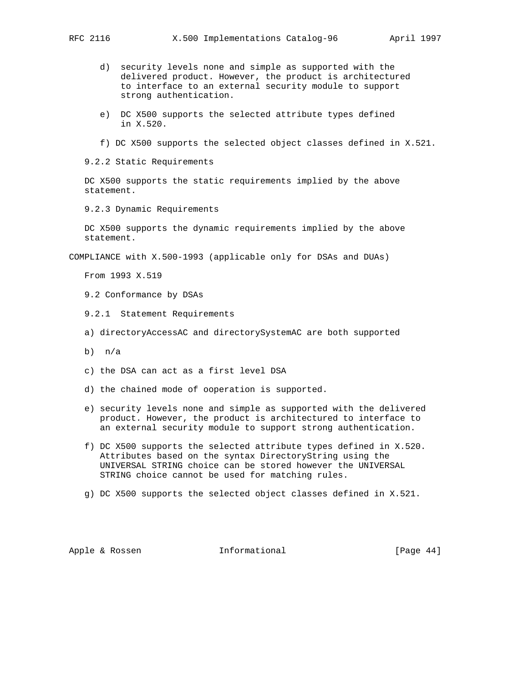- - d) security levels none and simple as supported with the delivered product. However, the product is architectured to interface to an external security module to support strong authentication.
	- e) DC X500 supports the selected attribute types defined in X.520.
	- f) DC X500 supports the selected object classes defined in X.521.

9.2.2 Static Requirements

 DC X500 supports the static requirements implied by the above statement.

9.2.3 Dynamic Requirements

 DC X500 supports the dynamic requirements implied by the above statement.

COMPLIANCE with X.500-1993 (applicable only for DSAs and DUAs)

From 1993 X.519

- 9.2 Conformance by DSAs
- 9.2.1 Statement Requirements
- a) directoryAccessAC and directorySystemAC are both supported
- b) n/a
- c) the DSA can act as a first level DSA
- d) the chained mode of ooperation is supported.
- e) security levels none and simple as supported with the delivered product. However, the product is architectured to interface to an external security module to support strong authentication.
- f) DC X500 supports the selected attribute types defined in X.520. Attributes based on the syntax DirectoryString using the UNIVERSAL STRING choice can be stored however the UNIVERSAL STRING choice cannot be used for matching rules.
- g) DC X500 supports the selected object classes defined in X.521.

Apple & Rossen **Informational** [Page 44]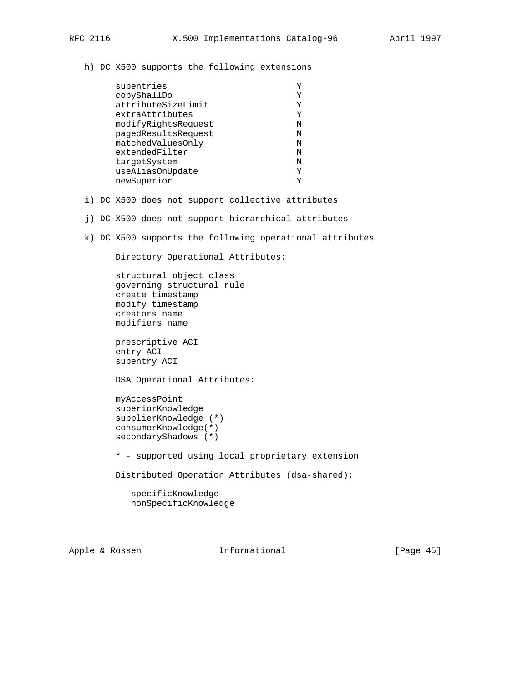h) DC X500 supports the following extensions

| subentries          |   |
|---------------------|---|
| copyShallDo         |   |
| attributeSizeLimit  | Y |
| extraAttributes     | Υ |
| modifyRightsRequest | N |
| pagedResultsRequest | N |
| matchedValuesOnly   | N |
| extendedFilter      | Ν |
| targetSystem        | N |
| useAliasOnUpdate    | Y |
| newSuperior         |   |

- i) DC X500 does not support collective attributes
- j) DC X500 does not support hierarchical attributes
- k) DC X500 supports the following operational attributes

Directory Operational Attributes:

 structural object class governing structural rule create timestamp modify timestamp creators name modifiers name

 prescriptive ACI entry ACI subentry ACI

DSA Operational Attributes:

 myAccessPoint superiorKnowledge supplierKnowledge (\*) consumerKnowledge(\*) secondaryShadows (\*)

\* - supported using local proprietary extension

Distributed Operation Attributes (dsa-shared):

 specificKnowledge nonSpecificKnowledge

Apple & Rossen **Informational** [Page 45]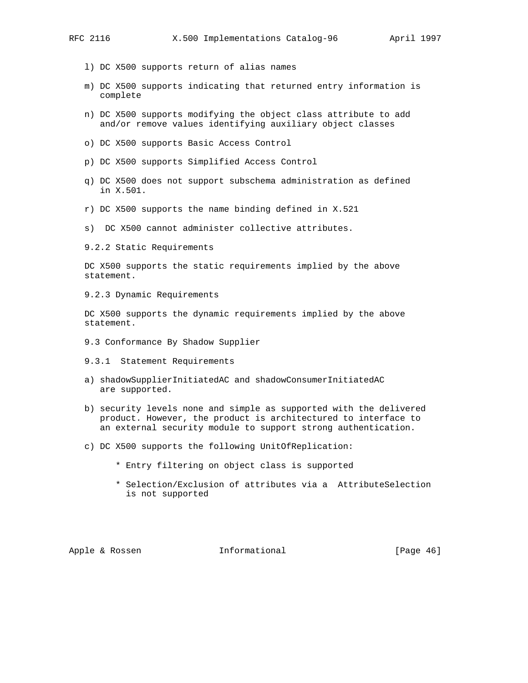- l) DC X500 supports return of alias names
- m) DC X500 supports indicating that returned entry information is complete
- n) DC X500 supports modifying the object class attribute to add and/or remove values identifying auxiliary object classes
- o) DC X500 supports Basic Access Control
- p) DC X500 supports Simplified Access Control
- q) DC X500 does not support subschema administration as defined in X.501.
- r) DC X500 supports the name binding defined in X.521
- s) DC X500 cannot administer collective attributes.
- 9.2.2 Static Requirements

 DC X500 supports the static requirements implied by the above statement.

9.2.3 Dynamic Requirements

 DC X500 supports the dynamic requirements implied by the above statement.

- 9.3 Conformance By Shadow Supplier
- 9.3.1 Statement Requirements
- a) shadowSupplierInitiatedAC and shadowConsumerInitiatedAC are supported.
- b) security levels none and simple as supported with the delivered product. However, the product is architectured to interface to an external security module to support strong authentication.
- c) DC X500 supports the following UnitOfReplication:
	- \* Entry filtering on object class is supported
	- \* Selection/Exclusion of attributes via a AttributeSelection is not supported

Apple & Rossen **Informational** [Page 46]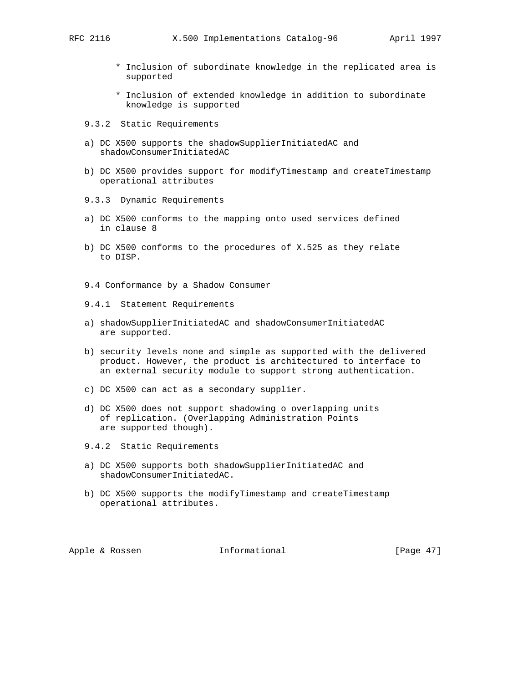- \* Inclusion of subordinate knowledge in the replicated area is supported
- \* Inclusion of extended knowledge in addition to subordinate knowledge is supported
- 9.3.2 Static Requirements
- a) DC X500 supports the shadowSupplierInitiatedAC and shadowConsumerInitiatedAC
- b) DC X500 provides support for modifyTimestamp and createTimestamp operational attributes
- 9.3.3 Dynamic Requirements
- a) DC X500 conforms to the mapping onto used services defined in clause 8
- b) DC X500 conforms to the procedures of X.525 as they relate to DISP.
- 9.4 Conformance by a Shadow Consumer
- 9.4.1 Statement Requirements
- a) shadowSupplierInitiatedAC and shadowConsumerInitiatedAC are supported.
- b) security levels none and simple as supported with the delivered product. However, the product is architectured to interface to an external security module to support strong authentication.
- c) DC X500 can act as a secondary supplier.
- d) DC X500 does not support shadowing o overlapping units of replication. (Overlapping Administration Points are supported though).
- 9.4.2 Static Requirements
- a) DC X500 supports both shadowSupplierInitiatedAC and shadowConsumerInitiatedAC.
- b) DC X500 supports the modifyTimestamp and createTimestamp operational attributes.

Apple & Rossen **Informational** [Page 47]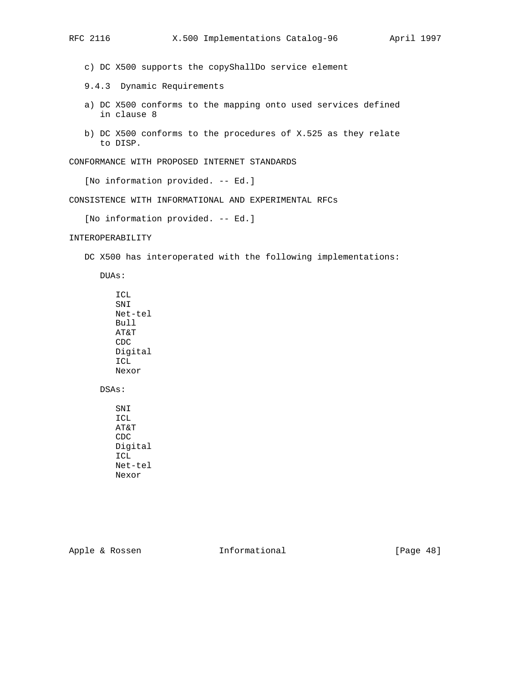c) DC X500 supports the copyShallDo service element

- 9.4.3 Dynamic Requirements
- a) DC X500 conforms to the mapping onto used services defined in clause 8
- b) DC X500 conforms to the procedures of X.525 as they relate to DISP.

CONFORMANCE WITH PROPOSED INTERNET STANDARDS

[No information provided. -- Ed.]

CONSISTENCE WITH INFORMATIONAL AND EXPERIMENTAL RFCs

[No information provided. -- Ed.]

# INTEROPERABILITY

DC X500 has interoperated with the following implementations:

DUAs:

 ICL SNI Net-tel Bull AT&T CDC Digital ICL Nexor

DSAs:

 SNI ICL AT&T CDC Digital ICL Net-tel Nexor

Apple & Rossen **Informational** [Page 48]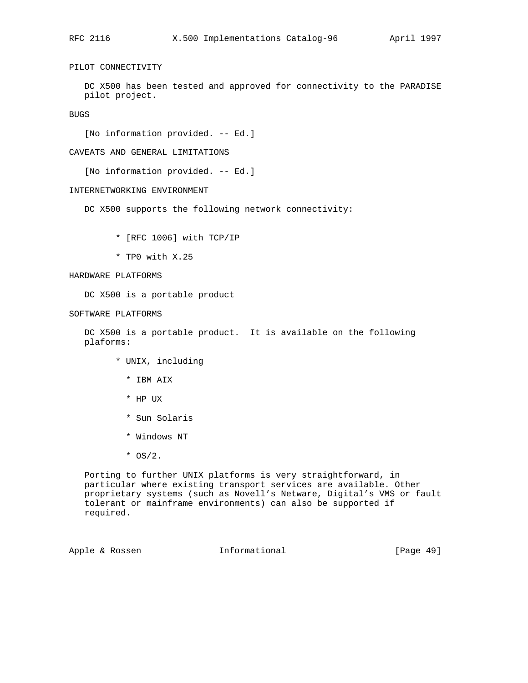# PILOT CONNECTIVITY

 DC X500 has been tested and approved for connectivity to the PARADISE pilot project.

BUGS

[No information provided. -- Ed.]

CAVEATS AND GENERAL LIMITATIONS

[No information provided. -- Ed.]

# INTERNETWORKING ENVIRONMENT

DC X500 supports the following network connectivity:

- \* [RFC 1006] with TCP/IP
- \* TP0 with X.25

# HARDWARE PLATFORMS

DC X500 is a portable product

SOFTWARE PLATFORMS

 DC X500 is a portable product. It is available on the following plaforms:

- \* UNIX, including
	- \* IBM AIX
	- \* HP UX
	- \* Sun Solaris
	- \* Windows NT
	- $*$  OS/2.

 Porting to further UNIX platforms is very straightforward, in particular where existing transport services are available. Other proprietary systems (such as Novell's Netware, Digital's VMS or fault tolerant or mainframe environments) can also be supported if required.

Apple & Rossen **Informational** [Page 49]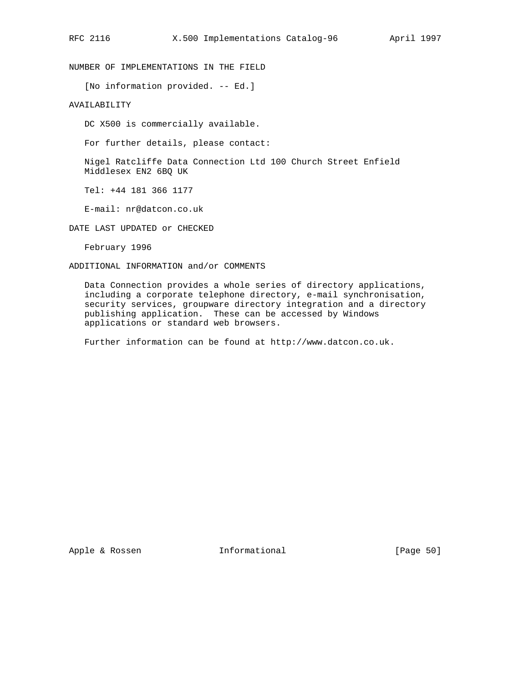NUMBER OF IMPLEMENTATIONS IN THE FIELD

[No information provided. -- Ed.]

# AVAILABILITY

DC X500 is commercially available.

For further details, please contact:

 Nigel Ratcliffe Data Connection Ltd 100 Church Street Enfield Middlesex EN2 6BQ UK

Tel: +44 181 366 1177

E-mail: nr@datcon.co.uk

DATE LAST UPDATED or CHECKED

February 1996

## ADDITIONAL INFORMATION and/or COMMENTS

 Data Connection provides a whole series of directory applications, including a corporate telephone directory, e-mail synchronisation, security services, groupware directory integration and a directory publishing application. These can be accessed by Windows applications or standard web browsers.

Further information can be found at http://www.datcon.co.uk.

Apple & Rossen **Informational** [Page 50]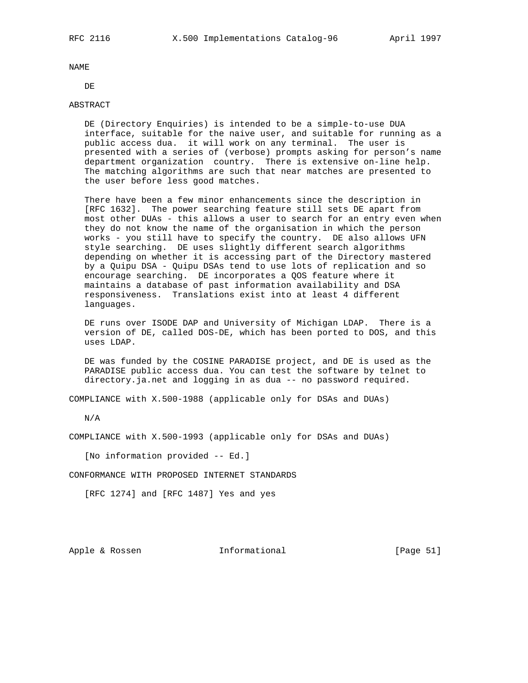DE

## ABSTRACT

 DE (Directory Enquiries) is intended to be a simple-to-use DUA interface, suitable for the naive user, and suitable for running as a public access dua. it will work on any terminal. The user is presented with a series of (verbose) prompts asking for person's name department organization country. There is extensive on-line help. The matching algorithms are such that near matches are presented to the user before less good matches.

 There have been a few minor enhancements since the description in [RFC 1632]. The power searching feature still sets DE apart from most other DUAs - this allows a user to search for an entry even when they do not know the name of the organisation in which the person works - you still have to specify the country. DE also allows UFN style searching. DE uses slightly different search algorithms depending on whether it is accessing part of the Directory mastered by a Quipu DSA - Quipu DSAs tend to use lots of replication and so encourage searching. DE incorporates a QOS feature where it maintains a database of past information availability and DSA responsiveness. Translations exist into at least 4 different languages.

 DE runs over ISODE DAP and University of Michigan LDAP. There is a version of DE, called DOS-DE, which has been ported to DOS, and this uses LDAP.

 DE was funded by the COSINE PARADISE project, and DE is used as the PARADISE public access dua. You can test the software by telnet to directory.ja.net and logging in as dua -- no password required.

COMPLIANCE with X.500-1988 (applicable only for DSAs and DUAs)

N/A

COMPLIANCE with X.500-1993 (applicable only for DSAs and DUAs)

[No information provided -- Ed.]

CONFORMANCE WITH PROPOSED INTERNET STANDARDS

[RFC 1274] and [RFC 1487] Yes and yes

Apple & Rossen **Informational** [Page 51]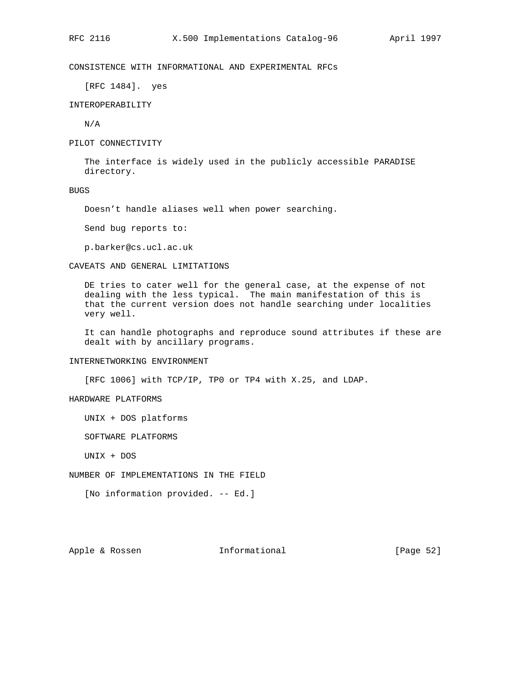# CONSISTENCE WITH INFORMATIONAL AND EXPERIMENTAL RFCs

[RFC 1484]. yes

INTEROPERABILITY

N/A

PILOT CONNECTIVITY

 The interface is widely used in the publicly accessible PARADISE directory.

## BUGS

Doesn't handle aliases well when power searching.

Send bug reports to:

p.barker@cs.ucl.ac.uk

## CAVEATS AND GENERAL LIMITATIONS

 DE tries to cater well for the general case, at the expense of not dealing with the less typical. The main manifestation of this is that the current version does not handle searching under localities very well.

 It can handle photographs and reproduce sound attributes if these are dealt with by ancillary programs.

#### INTERNETWORKING ENVIRONMENT

[RFC 1006] with TCP/IP, TP0 or TP4 with X.25, and LDAP.

# HARDWARE PLATFORMS

UNIX + DOS platforms

SOFTWARE PLATFORMS

UNIX + DOS

NUMBER OF IMPLEMENTATIONS IN THE FIELD

[No information provided. -- Ed.]

# Apple & Rossen **Informational** [Page 52]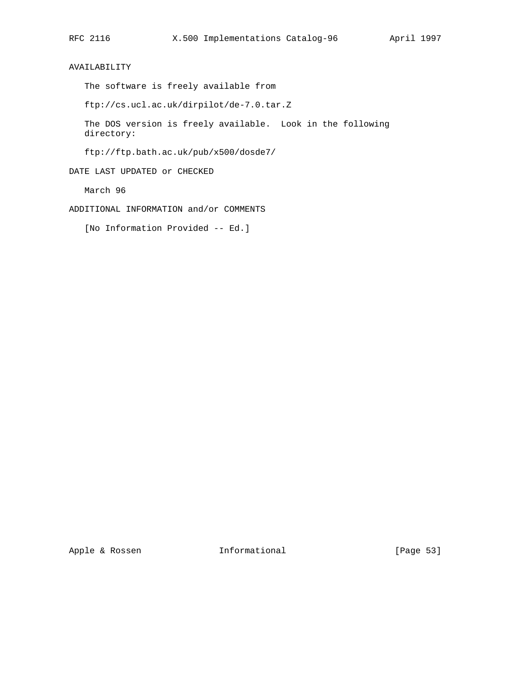AVAILABILITY

The software is freely available from

ftp://cs.ucl.ac.uk/dirpilot/de-7.0.tar.Z

 The DOS version is freely available. Look in the following directory:

ftp://ftp.bath.ac.uk/pub/x500/dosde7/

DATE LAST UPDATED or CHECKED

March 96

ADDITIONAL INFORMATION and/or COMMENTS

[No Information Provided -- Ed.]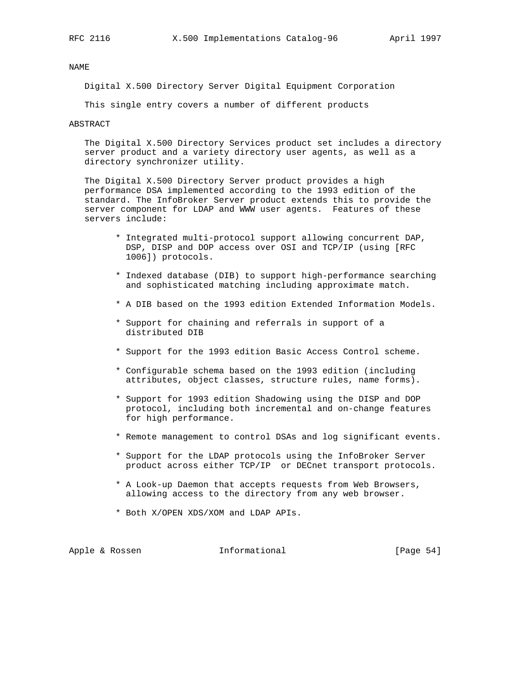Digital X.500 Directory Server Digital Equipment Corporation

This single entry covers a number of different products

ABSTRACT

 The Digital X.500 Directory Services product set includes a directory server product and a variety directory user agents, as well as a directory synchronizer utility.

 The Digital X.500 Directory Server product provides a high performance DSA implemented according to the 1993 edition of the standard. The InfoBroker Server product extends this to provide the server component for LDAP and WWW user agents. Features of these servers include:

- \* Integrated multi-protocol support allowing concurrent DAP, DSP, DISP and DOP access over OSI and TCP/IP (using [RFC 1006]) protocols.
- \* Indexed database (DIB) to support high-performance searching and sophisticated matching including approximate match.
- \* A DIB based on the 1993 edition Extended Information Models.
- \* Support for chaining and referrals in support of a distributed DIB
- \* Support for the 1993 edition Basic Access Control scheme.
- \* Configurable schema based on the 1993 edition (including attributes, object classes, structure rules, name forms).
- \* Support for 1993 edition Shadowing using the DISP and DOP protocol, including both incremental and on-change features for high performance.
- \* Remote management to control DSAs and log significant events.
- \* Support for the LDAP protocols using the InfoBroker Server product across either TCP/IP or DECnet transport protocols.
- \* A Look-up Daemon that accepts requests from Web Browsers, allowing access to the directory from any web browser.
- \* Both X/OPEN XDS/XOM and LDAP APIs.

Apple & Rossen **Informational** [Page 54]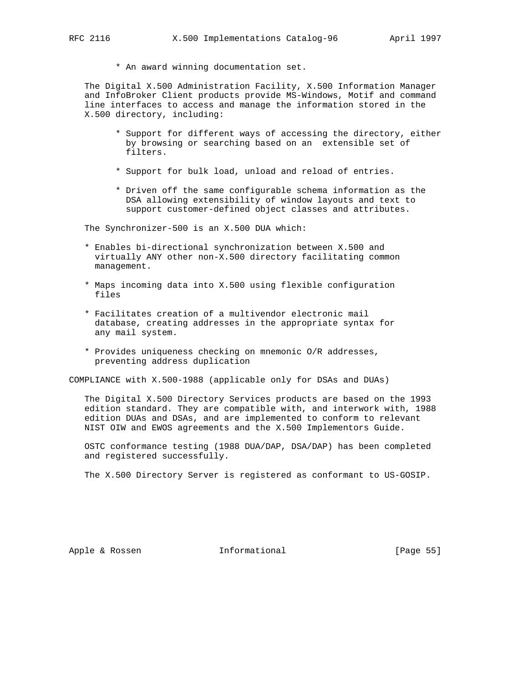\* An award winning documentation set.

 The Digital X.500 Administration Facility, X.500 Information Manager and InfoBroker Client products provide MS-Windows, Motif and command line interfaces to access and manage the information stored in the X.500 directory, including:

- \* Support for different ways of accessing the directory, either by browsing or searching based on an extensible set of filters.
- \* Support for bulk load, unload and reload of entries.
- \* Driven off the same configurable schema information as the DSA allowing extensibility of window layouts and text to support customer-defined object classes and attributes.

The Synchronizer-500 is an X.500 DUA which:

- \* Enables bi-directional synchronization between X.500 and virtually ANY other non-X.500 directory facilitating common management.
- \* Maps incoming data into X.500 using flexible configuration files
- \* Facilitates creation of a multivendor electronic mail database, creating addresses in the appropriate syntax for any mail system.
- \* Provides uniqueness checking on mnemonic O/R addresses, preventing address duplication

COMPLIANCE with X.500-1988 (applicable only for DSAs and DUAs)

 The Digital X.500 Directory Services products are based on the 1993 edition standard. They are compatible with, and interwork with, 1988 edition DUAs and DSAs, and are implemented to conform to relevant NIST OIW and EWOS agreements and the X.500 Implementors Guide.

 OSTC conformance testing (1988 DUA/DAP, DSA/DAP) has been completed and registered successfully.

The X.500 Directory Server is registered as conformant to US-GOSIP.

Apple & Rossen **Informational** [Page 55]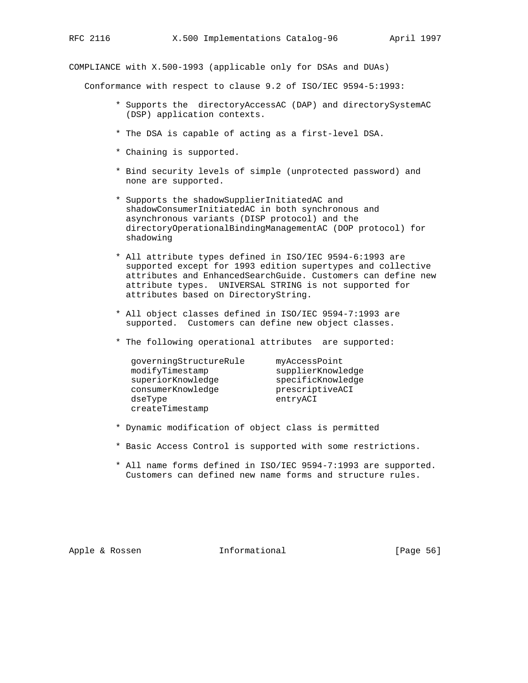COMPLIANCE with X.500-1993 (applicable only for DSAs and DUAs)

Conformance with respect to clause 9.2 of ISO/IEC 9594-5:1993:

- \* Supports the directoryAccessAC (DAP) and directorySystemAC (DSP) application contexts.
- \* The DSA is capable of acting as a first-level DSA.
- \* Chaining is supported.
- \* Bind security levels of simple (unprotected password) and none are supported.
- \* Supports the shadowSupplierInitiatedAC and shadowConsumerInitiatedAC in both synchronous and asynchronous variants (DISP protocol) and the directoryOperationalBindingManagementAC (DOP protocol) for shadowing
- \* All attribute types defined in ISO/IEC 9594-6:1993 are supported except for 1993 edition supertypes and collective attributes and EnhancedSearchGuide. Customers can define new attribute types. UNIVERSAL STRING is not supported for attributes based on DirectoryString.
- \* All object classes defined in ISO/IEC 9594-7:1993 are supported. Customers can define new object classes.
- \* The following operational attributes are supported:

| qoverningStructureRule | myAccessPoint     |
|------------------------|-------------------|
| modifyTimestamp        | supplierKnowledge |
| superiorKnowledge      | specificKnowledge |
| consumerKnowledge      | prescriptiveACI   |
| dseType                | entryACI          |
| createTimestamp        |                   |

- \* Dynamic modification of object class is permitted
- \* Basic Access Control is supported with some restrictions.
- \* All name forms defined in ISO/IEC 9594-7:1993 are supported. Customers can defined new name forms and structure rules.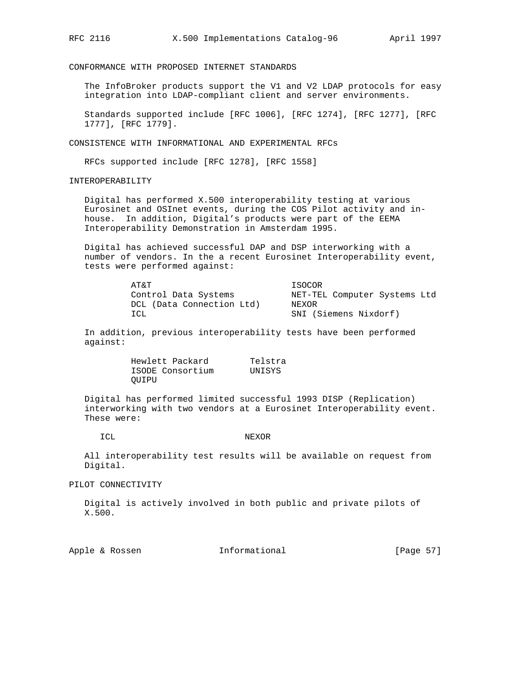CONFORMANCE WITH PROPOSED INTERNET STANDARDS

 The InfoBroker products support the V1 and V2 LDAP protocols for easy integration into LDAP-compliant client and server environments.

 Standards supported include [RFC 1006], [RFC 1274], [RFC 1277], [RFC 1777], [RFC 1779].

CONSISTENCE WITH INFORMATIONAL AND EXPERIMENTAL RFCs

RFCs supported include [RFC 1278], [RFC 1558]

INTEROPERABILITY

 Digital has performed X.500 interoperability testing at various Eurosinet and OSInet events, during the COS Pilot activity and in house. In addition, Digital's products were part of the EEMA Interoperability Demonstration in Amsterdam 1995.

 Digital has achieved successful DAP and DSP interworking with a number of vendors. In the a recent Eurosinet Interoperability event, tests were performed against:

| AT&T                      | ISOCOR                       |
|---------------------------|------------------------------|
| Control Data Systems      | NET-TEL Computer Systems Ltd |
| DCL (Data Connection Ltd) | NEXOR                        |
| TCL.                      | SNI (Siemens Nixdorf)        |

 In addition, previous interoperability tests have been performed against:

> Hewlett Packard Telstra ISODE Consortium UNISYS QUIPU

 Digital has performed limited successful 1993 DISP (Replication) interworking with two vendors at a Eurosinet Interoperability event. These were:

#### ICL NEXOR

 All interoperability test results will be available on request from Digital.

PILOT CONNECTIVITY

 Digital is actively involved in both public and private pilots of X.500.

Apple & Rossen **Informational** [Page 57]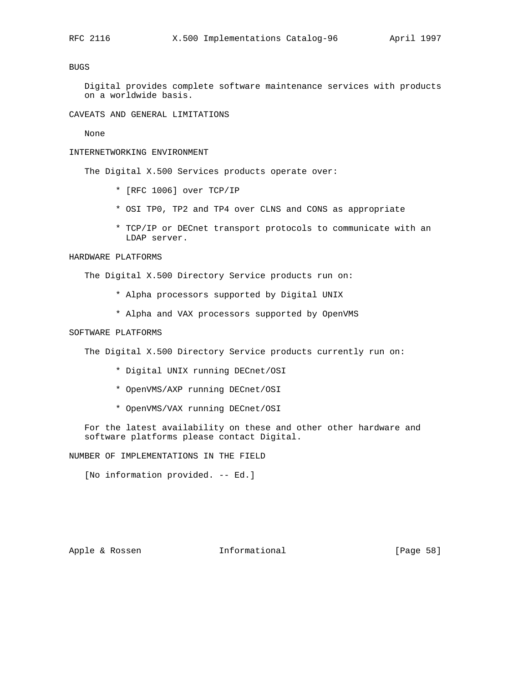# BUGS

 Digital provides complete software maintenance services with products on a worldwide basis.

CAVEATS AND GENERAL LIMITATIONS

None

## INTERNETWORKING ENVIRONMENT

The Digital X.500 Services products operate over:

- \* [RFC 1006] over TCP/IP
- \* OSI TP0, TP2 and TP4 over CLNS and CONS as appropriate
- \* TCP/IP or DECnet transport protocols to communicate with an LDAP server.

## HARDWARE PLATFORMS

The Digital X.500 Directory Service products run on:

- \* Alpha processors supported by Digital UNIX
- \* Alpha and VAX processors supported by OpenVMS

# SOFTWARE PLATFORMS

The Digital X.500 Directory Service products currently run on:

- \* Digital UNIX running DECnet/OSI
- \* OpenVMS/AXP running DECnet/OSI
- \* OpenVMS/VAX running DECnet/OSI

 For the latest availability on these and other other hardware and software platforms please contact Digital.

NUMBER OF IMPLEMENTATIONS IN THE FIELD

[No information provided. -- Ed.]

# Apple & Rossen **Informational** [Page 58]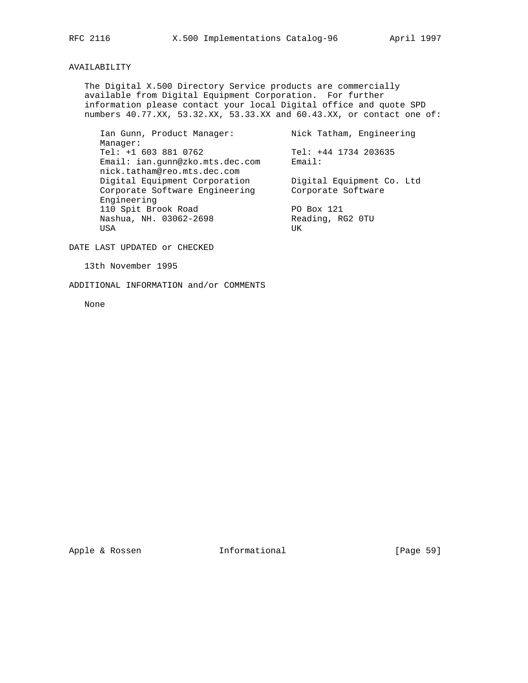# AVAILABILITY

 The Digital X.500 Directory Service products are commercially available from Digital Equipment Corporation. For further information please contact your local Digital office and quote SPD numbers 40.77.XX, 53.32.XX, 53.33.XX and 60.43.XX, or contact one of:

Ian Gunn, Product Manager: Nick Tatham, Engineering Manager: Tel: +1 603 881 0762<br>Email: ian.gunn@zko.mts.dec.com Email: Tensil: Tensil: Tensil: Email: ian.gunn@zko.mts.dec.com nick.tatham@reo.mts.dec.com<br>Digital Equipment Corporation Digital Equipment Corporation Digital Equipment Co. Ltd Corporate Software Engineering Corporate Software Engineering 110 Spit Brook Road<br>
Nashua, NH. 03062-2698 Reading, RG2 0TU Nashua, NH. 03062-2698 Reading, RG2 0TU USA UKA UKA UKA MWAKA WA 1959 NA WAKA WA 1959 NA WAKA WA 1959 NA WAKA WA 2012 NA WAKA WA 2012 NA WAKA 2013 NA W

DATE LAST UPDATED or CHECKED

13th November 1995

ADDITIONAL INFORMATION and/or COMMENTS

None

Apple & Rossen **Informational** [Page 59]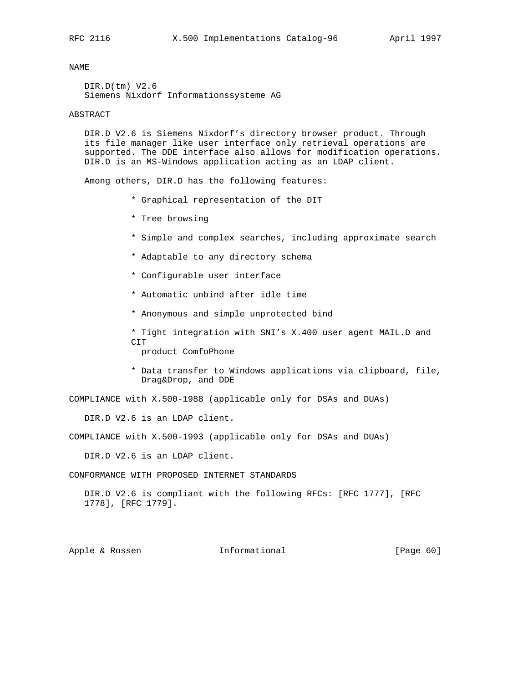DIR.D(tm) V2.6 Siemens Nixdorf Informationssysteme AG

#### ABSTRACT

 DIR.D V2.6 is Siemens Nixdorf's directory browser product. Through its file manager like user interface only retrieval operations are supported. The DDE interface also allows for modification operations. DIR.D is an MS-Windows application acting as an LDAP client.

Among others, DIR.D has the following features:

- \* Graphical representation of the DIT
- \* Tree browsing
- \* Simple and complex searches, including approximate search
- \* Adaptable to any directory schema
- \* Configurable user interface
- \* Automatic unbind after idle time
- \* Anonymous and simple unprotected bind
- \* Tight integration with SNI's X.400 user agent MAIL.D and CIT

product ComfoPhone

 \* Data transfer to Windows applications via clipboard, file, Drag&Drop, and DDE

COMPLIANCE with X.500-1988 (applicable only for DSAs and DUAs)

DIR.D V2.6 is an LDAP client.

COMPLIANCE with X.500-1993 (applicable only for DSAs and DUAs)

DIR.D V2.6 is an LDAP client.

CONFORMANCE WITH PROPOSED INTERNET STANDARDS

 DIR.D V2.6 is compliant with the following RFCs: [RFC 1777], [RFC 1778], [RFC 1779].

Apple & Rossen **Informational** [Page 60]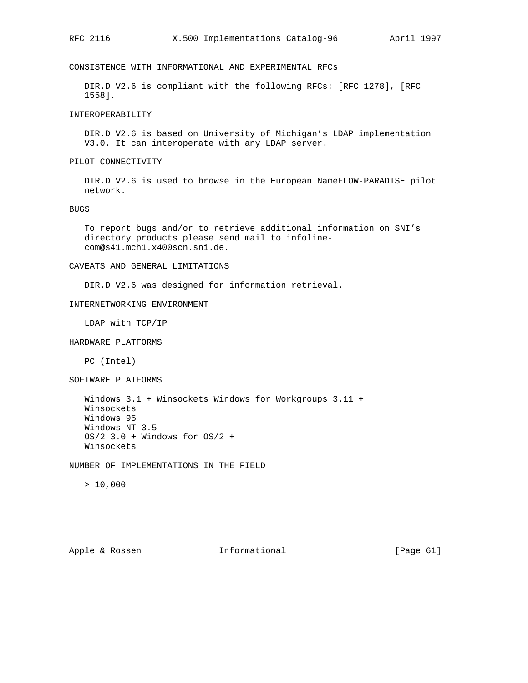CONSISTENCE WITH INFORMATIONAL AND EXPERIMENTAL RFCs

 DIR.D V2.6 is compliant with the following RFCs: [RFC 1278], [RFC 1558].

INTEROPERABILITY

 DIR.D V2.6 is based on University of Michigan's LDAP implementation V3.0. It can interoperate with any LDAP server.

PILOT CONNECTIVITY

 DIR.D V2.6 is used to browse in the European NameFLOW-PARADISE pilot network.

BUGS

 To report bugs and/or to retrieve additional information on SNI's directory products please send mail to infoline com@s41.mch1.x400scn.sni.de.

CAVEATS AND GENERAL LIMITATIONS

DIR.D V2.6 was designed for information retrieval.

## INTERNETWORKING ENVIRONMENT

LDAP with TCP/IP

HARDWARE PLATFORMS

PC (Intel)

SOFTWARE PLATFORMS

 Windows 3.1 + Winsockets Windows for Workgroups 3.11 + Winsockets Windows 95 Windows NT 3.5 OS/2 3.0 + Windows for OS/2 + Winsockets

NUMBER OF IMPLEMENTATIONS IN THE FIELD

 $> 10,000$ 

Apple & Rossen **Informational** [Page 61]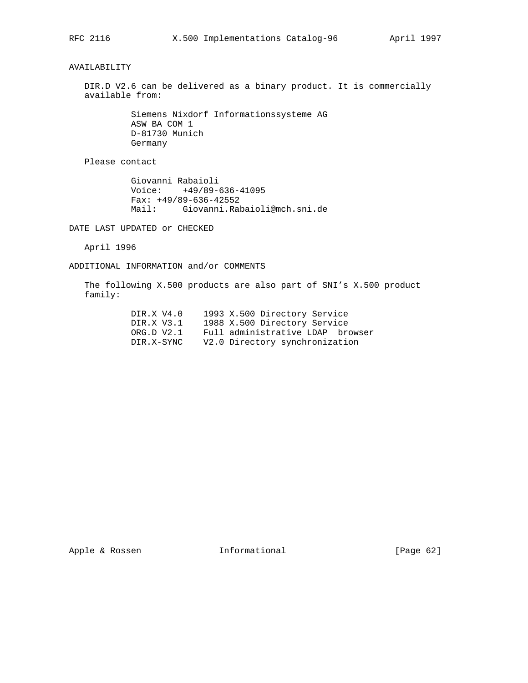AVAILABILITY

 DIR.D V2.6 can be delivered as a binary product. It is commercially available from:

> Siemens Nixdorf Informationssysteme AG ASW BA COM 1 D-81730 Munich Germany

Please contact

 Giovanni Rabaioli Voice: +49/89-636-41095 Fax: +49/89-636-42552 Mail: Giovanni.Rabaioli@mch.sni.de

DATE LAST UPDATED or CHECKED

April 1996

ADDITIONAL INFORMATION and/or COMMENTS

 The following X.500 products are also part of SNI's X.500 product family:

| DIR.X V4.0 | 1993 X.500 Directory Service     |
|------------|----------------------------------|
| DIR.X V3.1 | 1988 X.500 Directory Service     |
| ORG.D V2.1 | Full administrative LDAP browser |
| DIR.X-SYNC | V2.0 Directory synchronization   |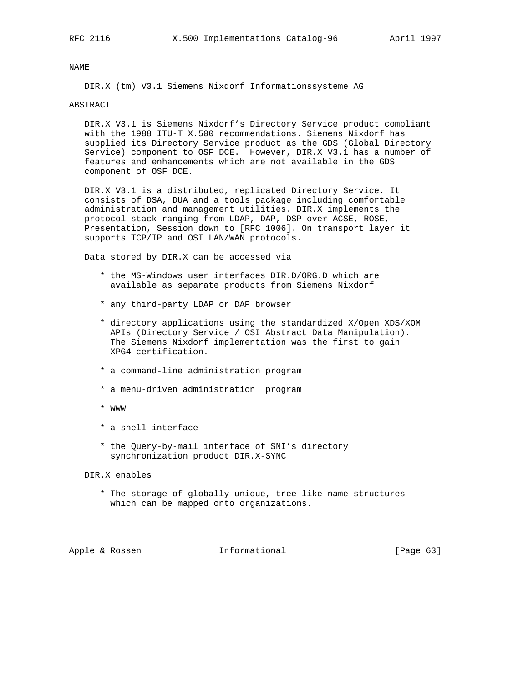DIR.X (tm) V3.1 Siemens Nixdorf Informationssysteme AG

## ABSTRACT

 DIR.X V3.1 is Siemens Nixdorf's Directory Service product compliant with the 1988 ITU-T X.500 recommendations. Siemens Nixdorf has supplied its Directory Service product as the GDS (Global Directory Service) component to OSF DCE. However, DIR.X V3.1 has a number of features and enhancements which are not available in the GDS component of OSF DCE.

 DIR.X V3.1 is a distributed, replicated Directory Service. It consists of DSA, DUA and a tools package including comfortable administration and management utilities. DIR.X implements the protocol stack ranging from LDAP, DAP, DSP over ACSE, ROSE, Presentation, Session down to [RFC 1006]. On transport layer it supports TCP/IP and OSI LAN/WAN protocols.

Data stored by DIR.X can be accessed via

- \* the MS-Windows user interfaces DIR.D/ORG.D which are available as separate products from Siemens Nixdorf
- \* any third-party LDAP or DAP browser
- \* directory applications using the standardized X/Open XDS/XOM APIs (Directory Service / OSI Abstract Data Manipulation). The Siemens Nixdorf implementation was the first to gain XPG4-certification.
- \* a command-line administration program
- \* a menu-driven administration program
- \* WWW
- \* a shell interface
- \* the Query-by-mail interface of SNI's directory synchronization product DIR.X-SYNC

DIR.X enables

 \* The storage of globally-unique, tree-like name structures which can be mapped onto organizations.

Apple & Rossen **Informational** [Page 63]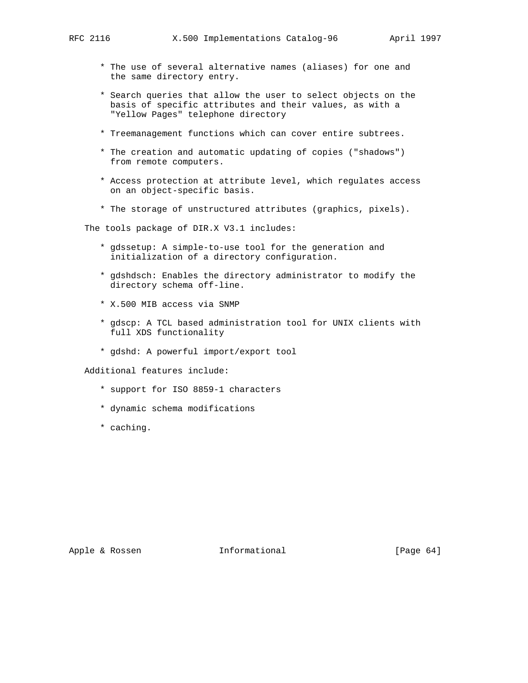- \* The use of several alternative names (aliases) for one and the same directory entry.
- \* Search queries that allow the user to select objects on the basis of specific attributes and their values, as with a "Yellow Pages" telephone directory
- \* Treemanagement functions which can cover entire subtrees.
- \* The creation and automatic updating of copies ("shadows") from remote computers.
- \* Access protection at attribute level, which regulates access on an object-specific basis.
- \* The storage of unstructured attributes (graphics, pixels).

The tools package of DIR.X V3.1 includes:

- \* gdssetup: A simple-to-use tool for the generation and initialization of a directory configuration.
- \* gdshdsch: Enables the directory administrator to modify the directory schema off-line.
- \* X.500 MIB access via SNMP
- \* gdscp: A TCL based administration tool for UNIX clients with full XDS functionality
- \* gdshd: A powerful import/export tool

Additional features include:

- \* support for ISO 8859-1 characters
- \* dynamic schema modifications
- \* caching.

Apple & Rossen **Informational** [Page 64]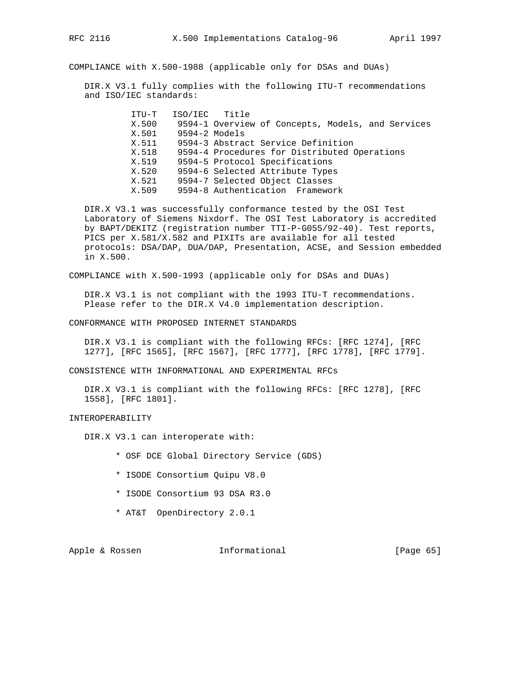COMPLIANCE with X.500-1988 (applicable only for DSAs and DUAs)

 DIR.X V3.1 fully complies with the following ITU-T recommendations and ISO/IEC standards:

> ITU-T ISO/IEC Title X.500 9594-1 Overview of Concepts, Models, and Services X.501 9594-2 Models X.511 9594-3 Abstract Service Definition X.518 9594-4 Procedures for Distributed Operations X.519 9594-5 Protocol Specifications X.520 9594-6 Selected Attribute Types 9594-7 Selected Object Classes X.509 9594-8 Authentication Framework

 DIR.X V3.1 was successfully conformance tested by the OSI Test Laboratory of Siemens Nixdorf. The OSI Test Laboratory is accredited by BAPT/DEKITZ (registration number TTI-P-G055/92-40). Test reports, PICS per X.581/X.582 and PIXITs are available for all tested protocols: DSA/DAP, DUA/DAP, Presentation, ACSE, and Session embedded in X.500.

COMPLIANCE with X.500-1993 (applicable only for DSAs and DUAs)

 DIR.X V3.1 is not compliant with the 1993 ITU-T recommendations. Please refer to the DIR.X V4.0 implementation description.

CONFORMANCE WITH PROPOSED INTERNET STANDARDS

 DIR.X V3.1 is compliant with the following RFCs: [RFC 1274], [RFC 1277], [RFC 1565], [RFC 1567], [RFC 1777], [RFC 1778], [RFC 1779].

CONSISTENCE WITH INFORMATIONAL AND EXPERIMENTAL RFCs

 DIR.X V3.1 is compliant with the following RFCs: [RFC 1278], [RFC 1558], [RFC 1801].

INTEROPERABILITY

DIR.X V3.1 can interoperate with:

- \* OSF DCE Global Directory Service (GDS)
- \* ISODE Consortium Quipu V8.0
- \* ISODE Consortium 93 DSA R3.0
- \* AT&T OpenDirectory 2.0.1

Apple & Rossen **Informational** [Page 65]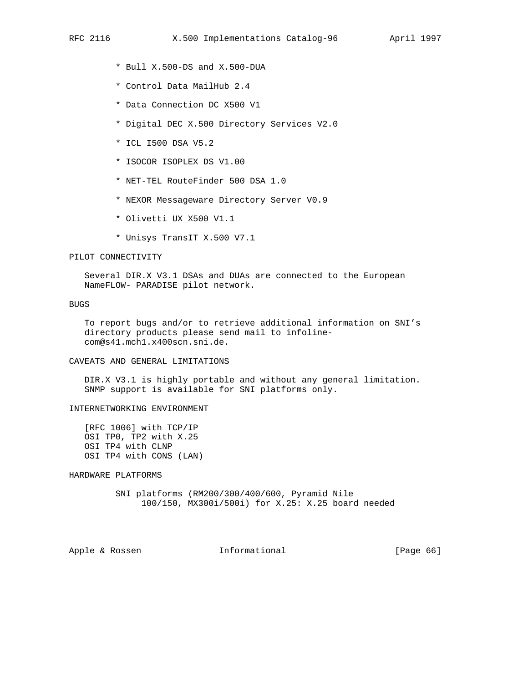- \* Bull X.500-DS and X.500-DUA
- \* Control Data MailHub 2.4
- \* Data Connection DC X500 V1
- \* Digital DEC X.500 Directory Services V2.0
- \* ICL I500 DSA V5.2
- \* ISOCOR ISOPLEX DS V1.00
- \* NET-TEL RouteFinder 500 DSA 1.0
- \* NEXOR Messageware Directory Server V0.9
- \* Olivetti UX\_X500 V1.1
- \* Unisys TransIT X.500 V7.1

## PILOT CONNECTIVITY

 Several DIR.X V3.1 DSAs and DUAs are connected to the European NameFLOW- PARADISE pilot network.

## BUGS

 To report bugs and/or to retrieve additional information on SNI's directory products please send mail to infoline com@s41.mch1.x400scn.sni.de.

#### CAVEATS AND GENERAL LIMITATIONS

 DIR.X V3.1 is highly portable and without any general limitation. SNMP support is available for SNI platforms only.

# INTERNETWORKING ENVIRONMENT

 [RFC 1006] with TCP/IP OSI TP0, TP2 with X.25 OSI TP4 with CLNP OSI TP4 with CONS (LAN)

HARDWARE PLATFORMS

 SNI platforms (RM200/300/400/600, Pyramid Nile 100/150, MX300i/500i) for X.25: X.25 board needed

Apple & Rossen **Informational** [Page 66]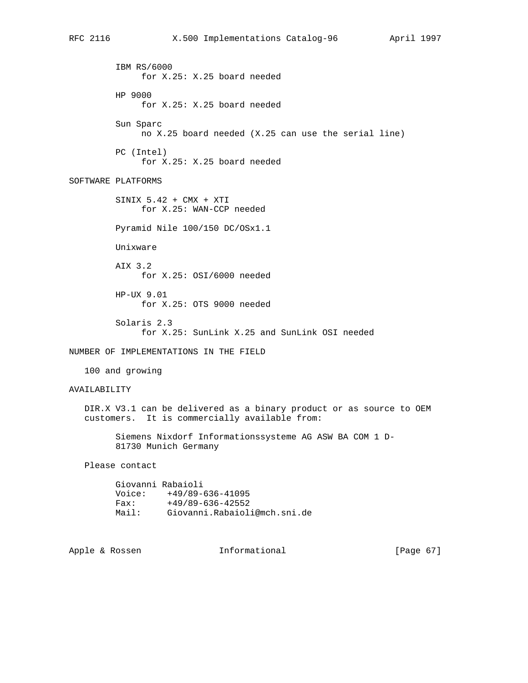IBM RS/6000 for X.25: X.25 board needed HP 9000 for X.25: X.25 board needed Sun Sparc no X.25 board needed (X.25 can use the serial line) PC (Intel) for X.25: X.25 board needed SOFTWARE PLATFORMS SINIX 5.42 + CMX + XTI for X.25: WAN-CCP needed Pyramid Nile 100/150 DC/OSx1.1 Unixware AIX 3.2 for X.25: OSI/6000 needed HP-UX 9.01 for X.25: OTS 9000 needed Solaris 2.3 for X.25: SunLink X.25 and SunLink OSI needed NUMBER OF IMPLEMENTATIONS IN THE FIELD 100 and growing AVAILABILITY DIR.X V3.1 can be delivered as a binary product or as source to OEM customers. It is commercially available from: Siemens Nixdorf Informationssysteme AG ASW BA COM 1 D- 81730 Munich Germany Please contact Giovanni Rabaioli

| ATOAQHIIT VANATOTT |                              |
|--------------------|------------------------------|
| Voice:             | $+49/89-636-41095$           |
| Fax:               | $+49/89-636-42552$           |
| Mail:              | Giovanni.Rabaioli@mch.sni.de |

Apple & Rossen **Informational** [Page 67]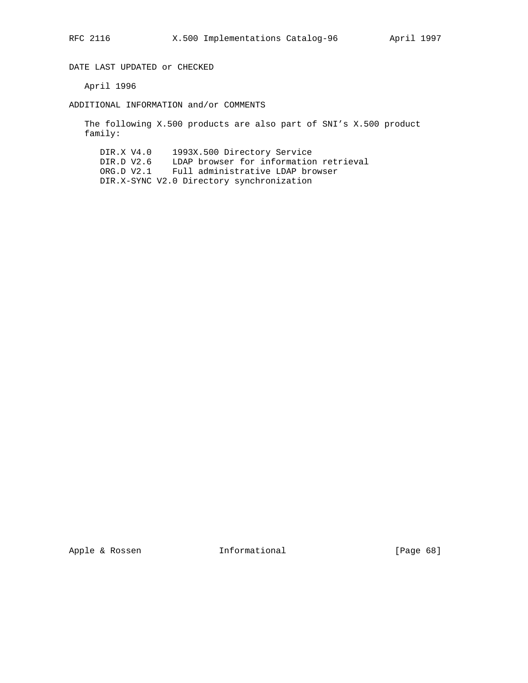DATE LAST UPDATED or CHECKED

April 1996

ADDITIONAL INFORMATION and/or COMMENTS

 The following X.500 products are also part of SNI's X.500 product family:

 DIR.X V4.0 1993X.500 Directory Service DIR.D V2.6 LDAP browser for information retrieval ORG.D V2.1 Full administrative LDAP browser DIR.X-SYNC V2.0 Directory synchronization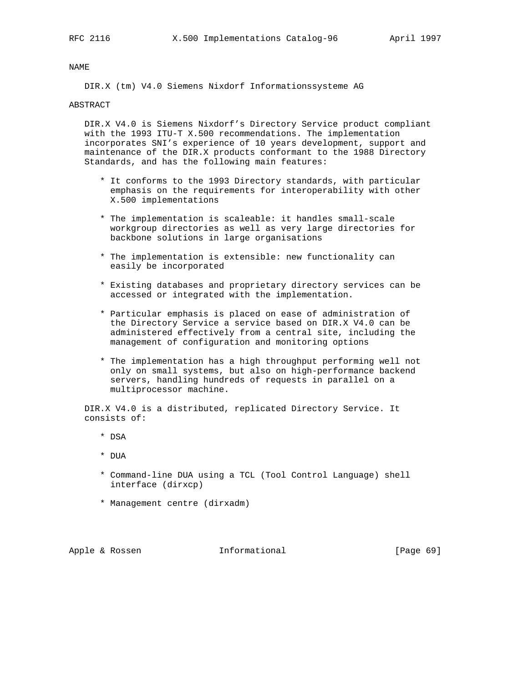DIR.X (tm) V4.0 Siemens Nixdorf Informationssysteme AG

#### ABSTRACT

 DIR.X V4.0 is Siemens Nixdorf's Directory Service product compliant with the 1993 ITU-T X.500 recommendations. The implementation incorporates SNI's experience of 10 years development, support and maintenance of the DIR.X products conformant to the 1988 Directory Standards, and has the following main features:

- \* It conforms to the 1993 Directory standards, with particular emphasis on the requirements for interoperability with other X.500 implementations
- \* The implementation is scaleable: it handles small-scale workgroup directories as well as very large directories for backbone solutions in large organisations
- \* The implementation is extensible: new functionality can easily be incorporated
- \* Existing databases and proprietary directory services can be accessed or integrated with the implementation.
- \* Particular emphasis is placed on ease of administration of the Directory Service a service based on DIR.X V4.0 can be administered effectively from a central site, including the management of configuration and monitoring options
- \* The implementation has a high throughput performing well not only on small systems, but also on high-performance backend servers, handling hundreds of requests in parallel on a multiprocessor machine.

 DIR.X V4.0 is a distributed, replicated Directory Service. It consists of:

- \* DSA
- \* DUA
- \* Command-line DUA using a TCL (Tool Control Language) shell interface (dirxcp)
- \* Management centre (dirxadm)

Apple & Rossen **Informational** [Page 69]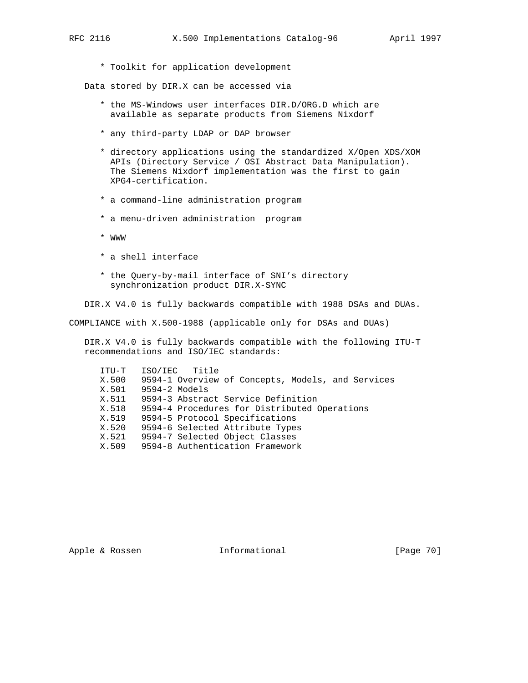\* Toolkit for application development

Data stored by DIR.X can be accessed via

- \* the MS-Windows user interfaces DIR.D/ORG.D which are available as separate products from Siemens Nixdorf
- \* any third-party LDAP or DAP browser
- \* directory applications using the standardized X/Open XDS/XOM APIs (Directory Service / OSI Abstract Data Manipulation). The Siemens Nixdorf implementation was the first to gain XPG4-certification.
- \* a command-line administration program
- \* a menu-driven administration program
- \* WWW
- \* a shell interface
- \* the Query-by-mail interface of SNI's directory synchronization product DIR.X-SYNC

DIR.X V4.0 is fully backwards compatible with 1988 DSAs and DUAs.

COMPLIANCE with X.500-1988 (applicable only for DSAs and DUAs)

 DIR.X V4.0 is fully backwards compatible with the following ITU-T recommendations and ISO/IEC standards:

| ITU-T | ISO/IEC Title                                     |
|-------|---------------------------------------------------|
| X.500 | 9594-1 Overview of Concepts, Models, and Services |
| X.501 | 9594-2 Models                                     |
| X.511 | 9594-3 Abstract Service Definition                |
| X.518 | 9594-4 Procedures for Distributed Operations      |
| X.519 | 9594-5 Protocol Specifications                    |
| X.520 | 9594-6 Selected Attribute Types                   |
| X.521 | 9594-7 Selected Object Classes                    |
| X.509 | 9594-8 Authentication Framework                   |
|       |                                                   |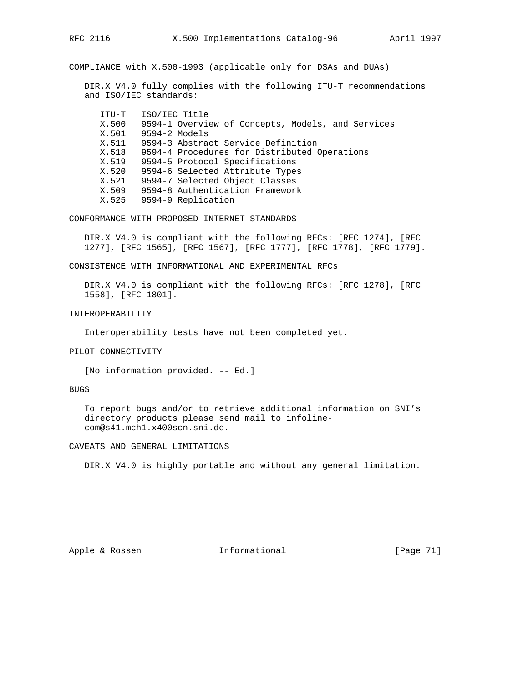COMPLIANCE with X.500-1993 (applicable only for DSAs and DUAs)

 DIR.X V4.0 fully complies with the following ITU-T recommendations and ISO/IEC standards:

| ITU-T<br>X.500<br>X.501 | ISO/IEC Title<br>9594-1 Overview of Concepts, Models, and Services<br>$9594-2$ Models |
|-------------------------|---------------------------------------------------------------------------------------|
| X.511                   | 9594-3 Abstract Service Definition                                                    |
| X.518                   | 9594-4 Procedures for Distributed Operations                                          |
| X.519                   | 9594-5 Protocol Specifications                                                        |
| X.520                   | 9594-6 Selected Attribute Types                                                       |
| X.521                   | 9594-7 Selected Object Classes                                                        |
| X.509                   | 9594-8 Authentication Framework                                                       |
| X.525                   | 9594-9 Replication                                                                    |
|                         |                                                                                       |

CONFORMANCE WITH PROPOSED INTERNET STANDARDS

 DIR.X V4.0 is compliant with the following RFCs: [RFC 1274], [RFC 1277], [RFC 1565], [RFC 1567], [RFC 1777], [RFC 1778], [RFC 1779].

CONSISTENCE WITH INFORMATIONAL AND EXPERIMENTAL RFCs

 DIR.X V4.0 is compliant with the following RFCs: [RFC 1278], [RFC 1558], [RFC 1801].

INTEROPERABILITY

Interoperability tests have not been completed yet.

# PILOT CONNECTIVITY

[No information provided. -- Ed.]

BUGS

 To report bugs and/or to retrieve additional information on SNI's directory products please send mail to infoline com@s41.mch1.x400scn.sni.de.

CAVEATS AND GENERAL LIMITATIONS

DIR.X V4.0 is highly portable and without any general limitation.

Apple & Rossen **Informational** [Page 71]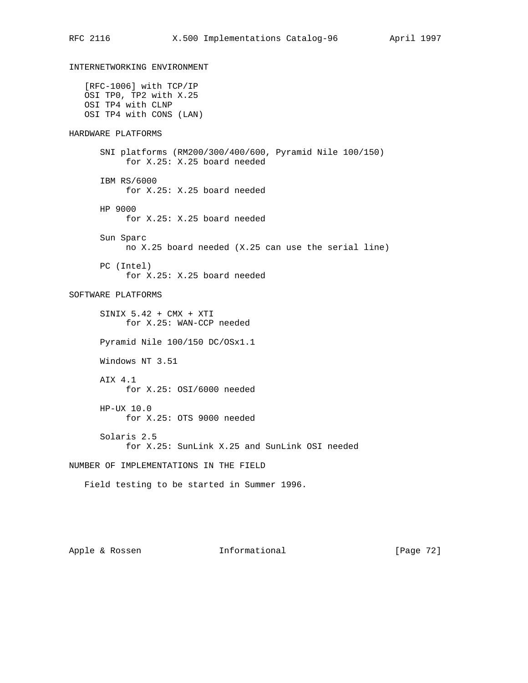INTERNETWORKING ENVIRONMENT [RFC-1006] with TCP/IP OSI TP0, TP2 with X.25 OSI TP4 with CLNP OSI TP4 with CONS (LAN) HARDWARE PLATFORMS SNI platforms (RM200/300/400/600, Pyramid Nile 100/150) for X.25: X.25 board needed IBM RS/6000 for X.25: X.25 board needed HP 9000 for X.25: X.25 board needed Sun Sparc no X.25 board needed (X.25 can use the serial line) PC (Intel) for X.25: X.25 board needed SOFTWARE PLATFORMS SINIX 5.42 + CMX + XTI for X.25: WAN-CCP needed Pyramid Nile 100/150 DC/OSx1.1 Windows NT 3.51 AIX 4.1 for X.25: OSI/6000 needed HP-UX 10.0 for X.25: OTS 9000 needed Solaris 2.5 for X.25: SunLink X.25 and SunLink OSI needed NUMBER OF IMPLEMENTATIONS IN THE FIELD Field testing to be started in Summer 1996.

Apple & Rossen **Informational** [Page 72]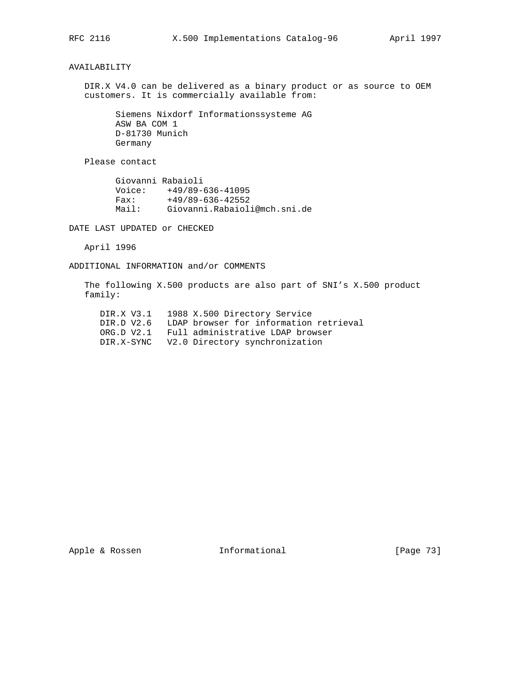# AVAILABILITY

 DIR.X V4.0 can be delivered as a binary product or as source to OEM customers. It is commercially available from:

 Siemens Nixdorf Informationssysteme AG ASW BA COM 1 D-81730 Munich Germany

Please contact

| Giovanni Rabaioli |                              |
|-------------------|------------------------------|
| Voice:            | $+49/89-636-41095$           |
| Fax:              | $+49/89-636-42552$           |
| Mail:             | Giovanni.Rabaioli@mch.sni.de |

DATE LAST UPDATED or CHECKED

April 1996

ADDITIONAL INFORMATION and/or COMMENTS

 The following X.500 products are also part of SNI's X.500 product family:

|            | DIR.X V3.1 1988 X.500 Directory Service   |
|------------|-------------------------------------------|
| DIR.D V2.6 | LDAP browser for information retrieval    |
| ORG.D V2.1 | Full administrative LDAP browser          |
|            | DIR.X-SYNC V2.0 Directory synchronization |

Apple & Rossen **Informational** [Page 73]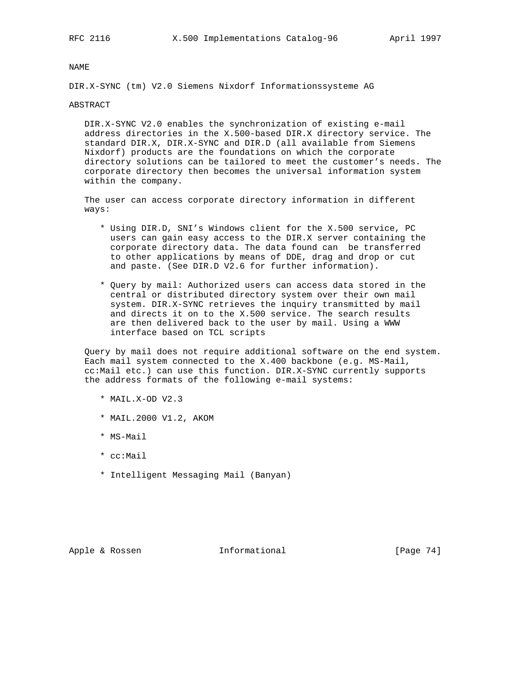DIR.X-SYNC (tm) V2.0 Siemens Nixdorf Informationssysteme AG

## ABSTRACT

 DIR.X-SYNC V2.0 enables the synchronization of existing e-mail address directories in the X.500-based DIR.X directory service. The standard DIR.X, DIR.X-SYNC and DIR.D (all available from Siemens Nixdorf) products are the foundations on which the corporate directory solutions can be tailored to meet the customer's needs. The corporate directory then becomes the universal information system within the company.

 The user can access corporate directory information in different ways:

- \* Using DIR.D, SNI's Windows client for the X.500 service, PC users can gain easy access to the DIR.X server containing the corporate directory data. The data found can be transferred to other applications by means of DDE, drag and drop or cut and paste. (See DIR.D V2.6 for further information).
- \* Query by mail: Authorized users can access data stored in the central or distributed directory system over their own mail system. DIR.X-SYNC retrieves the inquiry transmitted by mail and directs it on to the X.500 service. The search results are then delivered back to the user by mail. Using a WWW interface based on TCL scripts

 Query by mail does not require additional software on the end system. Each mail system connected to the X.400 backbone (e.g. MS-Mail, cc:Mail etc.) can use this function. DIR.X-SYNC currently supports the address formats of the following e-mail systems:

- \* MAIL.X-OD V2.3
- \* MAIL.2000 V1.2, AKOM
- \* MS-Mail
- \* cc:Mail
- \* Intelligent Messaging Mail (Banyan)

Apple & Rossen **Informational** [Page 74]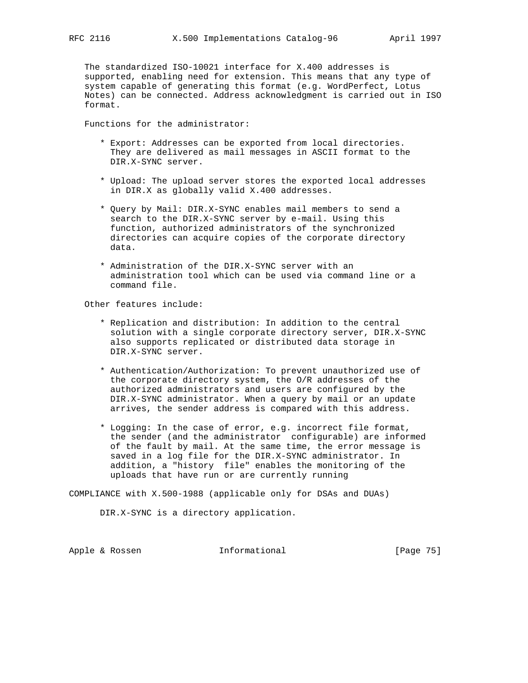The standardized ISO-10021 interface for X.400 addresses is supported, enabling need for extension. This means that any type of system capable of generating this format (e.g. WordPerfect, Lotus Notes) can be connected. Address acknowledgment is carried out in ISO format.

Functions for the administrator:

- \* Export: Addresses can be exported from local directories. They are delivered as mail messages in ASCII format to the DIR.X-SYNC server.
- \* Upload: The upload server stores the exported local addresses in DIR.X as globally valid X.400 addresses.
- \* Query by Mail: DIR.X-SYNC enables mail members to send a search to the DIR.X-SYNC server by e-mail. Using this function, authorized administrators of the synchronized directories can acquire copies of the corporate directory data.
- \* Administration of the DIR.X-SYNC server with an administration tool which can be used via command line or a command file.

Other features include:

- \* Replication and distribution: In addition to the central solution with a single corporate directory server, DIR.X-SYNC also supports replicated or distributed data storage in DIR.X-SYNC server.
- \* Authentication/Authorization: To prevent unauthorized use of the corporate directory system, the O/R addresses of the authorized administrators and users are configured by the DIR.X-SYNC administrator. When a query by mail or an update arrives, the sender address is compared with this address.
- \* Logging: In the case of error, e.g. incorrect file format, the sender (and the administrator configurable) are informed of the fault by mail. At the same time, the error message is saved in a log file for the DIR.X-SYNC administrator. In addition, a "history file" enables the monitoring of the uploads that have run or are currently running

COMPLIANCE with X.500-1988 (applicable only for DSAs and DUAs)

DIR.X-SYNC is a directory application.

Apple & Rossen **Informational** [Page 75]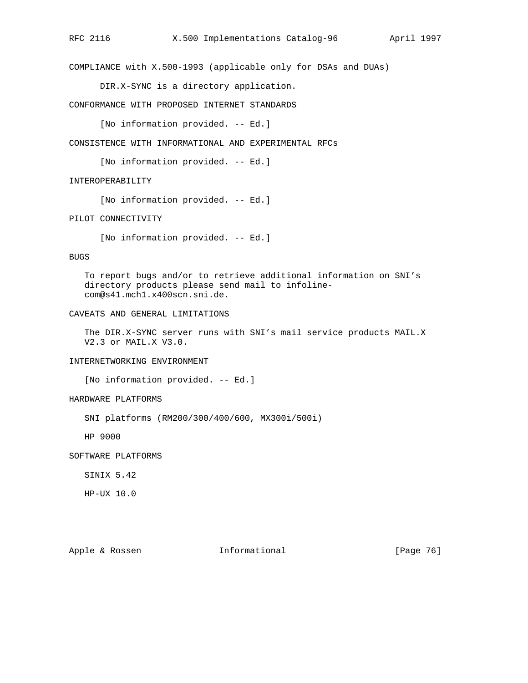COMPLIANCE with X.500-1993 (applicable only for DSAs and DUAs)

DIR.X-SYNC is a directory application.

CONFORMANCE WITH PROPOSED INTERNET STANDARDS

[No information provided. -- Ed.]

CONSISTENCE WITH INFORMATIONAL AND EXPERIMENTAL RFCs

[No information provided. -- Ed.]

## INTEROPERABILITY

[No information provided. -- Ed.]

## PILOT CONNECTIVITY

[No information provided. -- Ed.]

#### BUGS

 To report bugs and/or to retrieve additional information on SNI's directory products please send mail to infoline com@s41.mch1.x400scn.sni.de.

## CAVEATS AND GENERAL LIMITATIONS

 The DIR.X-SYNC server runs with SNI's mail service products MAIL.X V2.3 or MAIL.X V3.0.

# INTERNETWORKING ENVIRONMENT

[No information provided. -- Ed.]

## HARDWARE PLATFORMS

SNI platforms (RM200/300/400/600, MX300i/500i)

HP 9000

SOFTWARE PLATFORMS

SINIX 5.42

HP-UX 10.0

Apple & Rossen **Informational** [Page 76]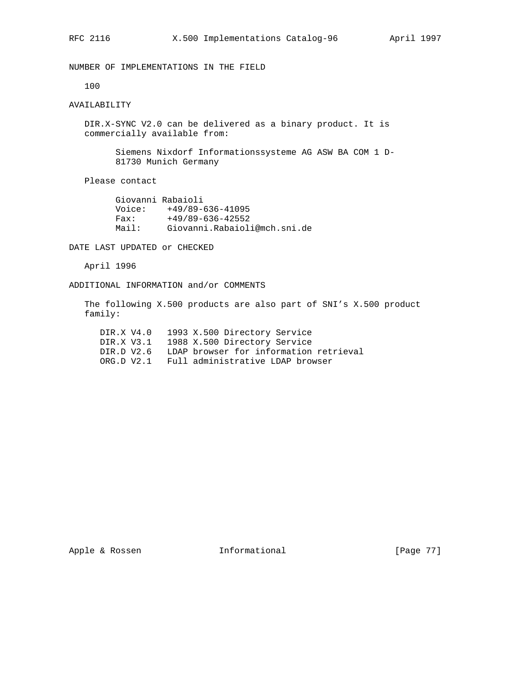NUMBER OF IMPLEMENTATIONS IN THE FIELD

100

# AVAILABILITY

 DIR.X-SYNC V2.0 can be delivered as a binary product. It is commercially available from:

> Siemens Nixdorf Informationssysteme AG ASW BA COM 1 D- 81730 Munich Germany

Please contact

 Giovanni Rabaioli Voice: +49/89-636-41095 Fax: +49/89-636-42552 Mail: Giovanni.Rabaioli@mch.sni.de

DATE LAST UPDATED or CHECKED

April 1996

ADDITIONAL INFORMATION and/or COMMENTS

 The following X.500 products are also part of SNI's X.500 product family:

 DIR.X V4.0 1993 X.500 Directory Service DIR.X V3.1 1988 X.500 Directory Service DIR.D V2.6 LDAP browser for information retrieval ORG.D V2.1 Full administrative LDAP browser

Apple & Rossen **Informational** [Page 77]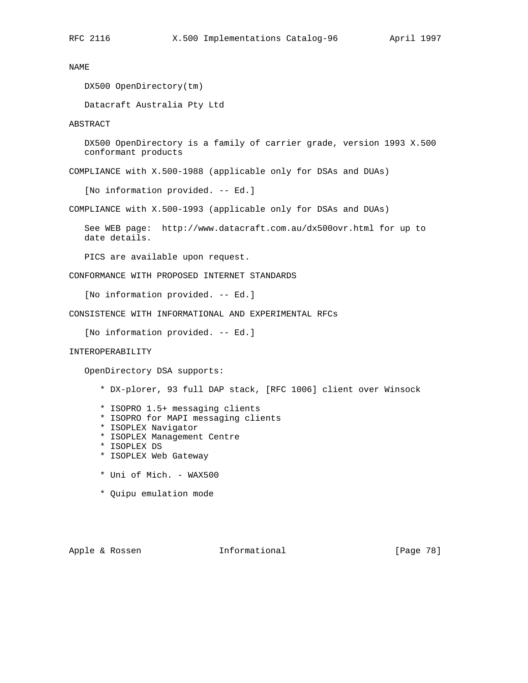DX500 OpenDirectory(tm)

Datacraft Australia Pty Ltd

ABSTRACT

 DX500 OpenDirectory is a family of carrier grade, version 1993 X.500 conformant products

COMPLIANCE with X.500-1988 (applicable only for DSAs and DUAs)

[No information provided. -- Ed.]

COMPLIANCE with X.500-1993 (applicable only for DSAs and DUAs)

 See WEB page: http://www.datacraft.com.au/dx500ovr.html for up to date details.

PICS are available upon request.

CONFORMANCE WITH PROPOSED INTERNET STANDARDS

[No information provided. -- Ed.]

CONSISTENCE WITH INFORMATIONAL AND EXPERIMENTAL RFCs

[No information provided. -- Ed.]

## INTEROPERABILITY

OpenDirectory DSA supports:

- \* DX-plorer, 93 full DAP stack, [RFC 1006] client over Winsock
- \* ISOPRO 1.5+ messaging clients
- \* ISOPRO for MAPI messaging clients
- \* ISOPLEX Navigator
- \* ISOPLEX Management Centre
- \* ISOPLEX DS
- \* ISOPLEX Web Gateway
- \* Uni of Mich. WAX500
- \* Quipu emulation mode

Apple & Rossen **Informational** [Page 78]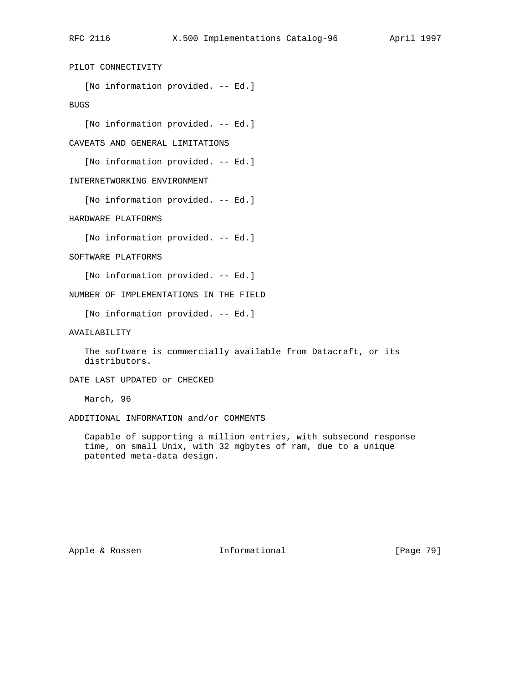PILOT CONNECTIVITY

[No information provided. -- Ed.]

BUGS

[No information provided. -- Ed.]

CAVEATS AND GENERAL LIMITATIONS

[No information provided. -- Ed.]

INTERNETWORKING ENVIRONMENT

[No information provided. -- Ed.]

HARDWARE PLATFORMS

[No information provided. -- Ed.]

SOFTWARE PLATFORMS

[No information provided. -- Ed.]

NUMBER OF IMPLEMENTATIONS IN THE FIELD

[No information provided. -- Ed.]

AVAILABILITY

 The software is commercially available from Datacraft, or its distributors.

DATE LAST UPDATED or CHECKED

March, 96

ADDITIONAL INFORMATION and/or COMMENTS

 Capable of supporting a million entries, with subsecond response time, on small Unix, with 32 mgbytes of ram, due to a unique patented meta-data design.

Apple & Rossen **Informational** [Page 79]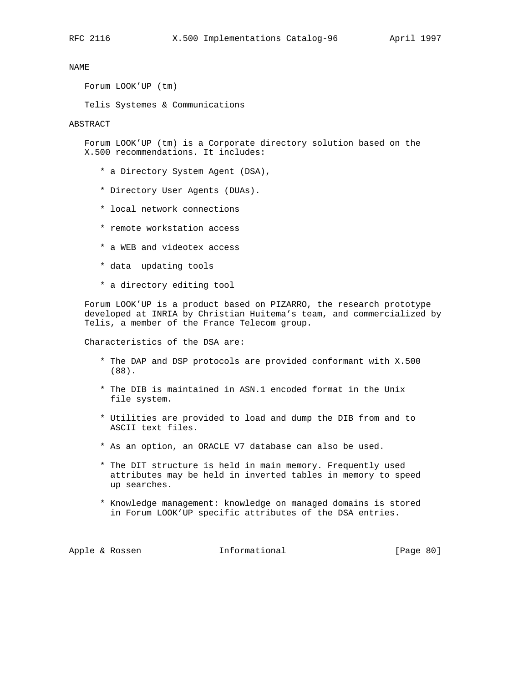Forum LOOK'UP (tm)

Telis Systemes & Communications

#### ABSTRACT

 Forum LOOK'UP (tm) is a Corporate directory solution based on the X.500 recommendations. It includes:

- \* a Directory System Agent (DSA),
- \* Directory User Agents (DUAs).
- \* local network connections
- \* remote workstation access
- \* a WEB and videotex access
- \* data updating tools
- \* a directory editing tool

 Forum LOOK'UP is a product based on PIZARRO, the research prototype developed at INRIA by Christian Huitema's team, and commercialized by Telis, a member of the France Telecom group.

Characteristics of the DSA are:

- \* The DAP and DSP protocols are provided conformant with X.500 (88).
- \* The DIB is maintained in ASN.1 encoded format in the Unix file system.
- \* Utilities are provided to load and dump the DIB from and to ASCII text files.
- \* As an option, an ORACLE V7 database can also be used.
- \* The DIT structure is held in main memory. Frequently used attributes may be held in inverted tables in memory to speed up searches.
- \* Knowledge management: knowledge on managed domains is stored in Forum LOOK'UP specific attributes of the DSA entries.

Apple & Rossen **Informational** [Page 80]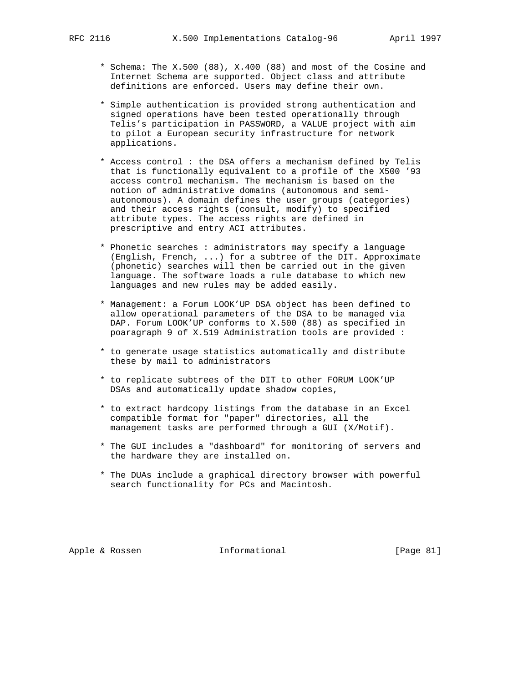- \* Schema: The X.500 (88), X.400 (88) and most of the Cosine and Internet Schema are supported. Object class and attribute definitions are enforced. Users may define their own.
- \* Simple authentication is provided strong authentication and signed operations have been tested operationally through Telis's participation in PASSWORD, a VALUE project with aim to pilot a European security infrastructure for network applications.
- \* Access control : the DSA offers a mechanism defined by Telis that is functionally equivalent to a profile of the X500 '93 access control mechanism. The mechanism is based on the notion of administrative domains (autonomous and semi autonomous). A domain defines the user groups (categories) and their access rights (consult, modify) to specified attribute types. The access rights are defined in prescriptive and entry ACI attributes.
- \* Phonetic searches : administrators may specify a language (English, French, ...) for a subtree of the DIT. Approximate (phonetic) searches will then be carried out in the given language. The software loads a rule database to which new languages and new rules may be added easily.
- \* Management: a Forum LOOK'UP DSA object has been defined to allow operational parameters of the DSA to be managed via DAP. Forum LOOK'UP conforms to X.500 (88) as specified in poaragraph 9 of X.519 Administration tools are provided :
- \* to generate usage statistics automatically and distribute these by mail to administrators
- \* to replicate subtrees of the DIT to other FORUM LOOK'UP DSAs and automatically update shadow copies,
- \* to extract hardcopy listings from the database in an Excel compatible format for "paper" directories, all the management tasks are performed through a GUI (X/Motif).
- \* The GUI includes a "dashboard" for monitoring of servers and the hardware they are installed on.
- \* The DUAs include a graphical directory browser with powerful search functionality for PCs and Macintosh.

Apple & Rossen **Informational** [Page 81]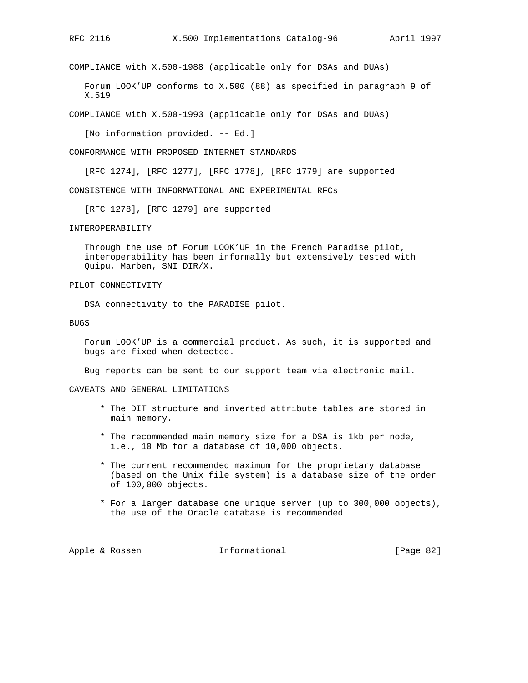COMPLIANCE with X.500-1988 (applicable only for DSAs and DUAs)

 Forum LOOK'UP conforms to X.500 (88) as specified in paragraph 9 of X.519

COMPLIANCE with X.500-1993 (applicable only for DSAs and DUAs)

[No information provided. -- Ed.]

CONFORMANCE WITH PROPOSED INTERNET STANDARDS

[RFC 1274], [RFC 1277], [RFC 1778], [RFC 1779] are supported

CONSISTENCE WITH INFORMATIONAL AND EXPERIMENTAL RFCs

[RFC 1278], [RFC 1279] are supported

INTEROPERABILITY

 Through the use of Forum LOOK'UP in the French Paradise pilot, interoperability has been informally but extensively tested with Quipu, Marben, SNI DIR/X.

PILOT CONNECTIVITY

DSA connectivity to the PARADISE pilot.

BUGS

 Forum LOOK'UP is a commercial product. As such, it is supported and bugs are fixed when detected.

Bug reports can be sent to our support team via electronic mail.

CAVEATS AND GENERAL LIMITATIONS

- \* The DIT structure and inverted attribute tables are stored in main memory.
- \* The recommended main memory size for a DSA is 1kb per node, i.e., 10 Mb for a database of 10,000 objects.
- \* The current recommended maximum for the proprietary database (based on the Unix file system) is a database size of the order of 100,000 objects.
- \* For a larger database one unique server (up to 300,000 objects), the use of the Oracle database is recommended

Apple & Rossen **Informational** [Page 82]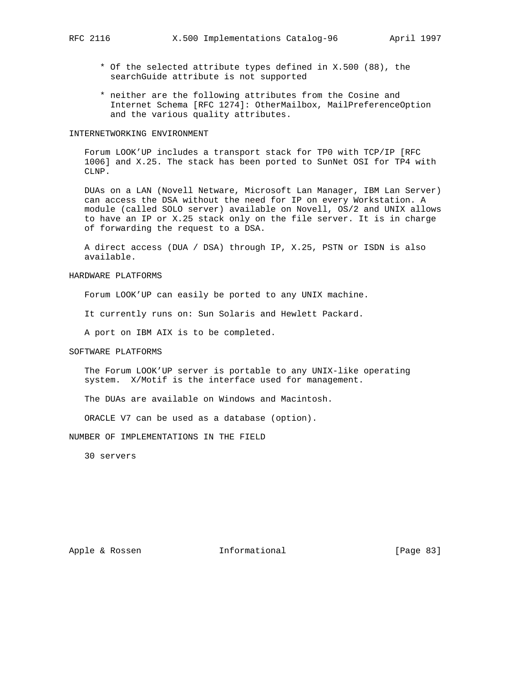- \* Of the selected attribute types defined in X.500 (88), the searchGuide attribute is not supported
- \* neither are the following attributes from the Cosine and Internet Schema [RFC 1274]: OtherMailbox, MailPreferenceOption and the various quality attributes.

### INTERNETWORKING ENVIRONMENT

 Forum LOOK'UP includes a transport stack for TP0 with TCP/IP [RFC 1006] and X.25. The stack has been ported to SunNet OSI for TP4 with CLNP.

 DUAs on a LAN (Novell Netware, Microsoft Lan Manager, IBM Lan Server) can access the DSA without the need for IP on every Workstation. A module (called SOLO server) available on Novell, OS/2 and UNIX allows to have an IP or X.25 stack only on the file server. It is in charge of forwarding the request to a DSA.

 A direct access (DUA / DSA) through IP, X.25, PSTN or ISDN is also available.

## HARDWARE PLATFORMS

Forum LOOK'UP can easily be ported to any UNIX machine.

It currently runs on: Sun Solaris and Hewlett Packard.

A port on IBM AIX is to be completed.

## SOFTWARE PLATFORMS

 The Forum LOOK'UP server is portable to any UNIX-like operating system. X/Motif is the interface used for management.

The DUAs are available on Windows and Macintosh.

ORACLE V7 can be used as a database (option).

NUMBER OF IMPLEMENTATIONS IN THE FIELD

30 servers

Apple & Rossen **Informational** [Page 83]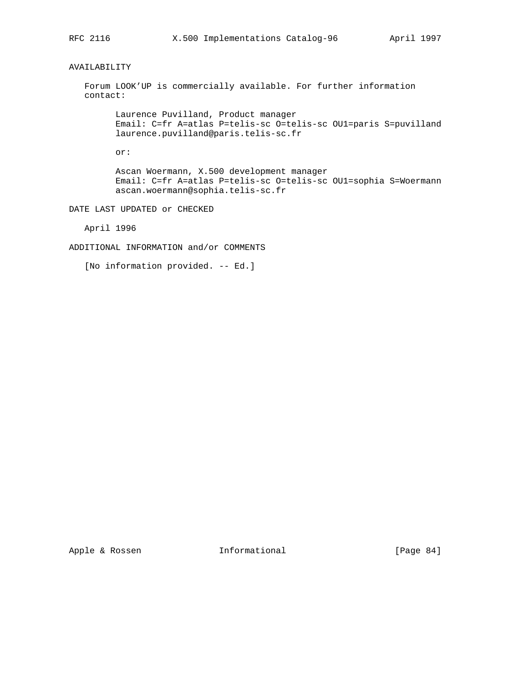# AVAILABILITY

 Forum LOOK'UP is commercially available. For further information contact:

 Laurence Puvilland, Product manager Email: C=fr A=atlas P=telis-sc O=telis-sc OU1=paris S=puvilland laurence.puvilland@paris.telis-sc.fr

or:

 Ascan Woermann, X.500 development manager Email: C=fr A=atlas P=telis-sc O=telis-sc OU1=sophia S=Woermann ascan.woermann@sophia.telis-sc.fr

DATE LAST UPDATED or CHECKED

April 1996

ADDITIONAL INFORMATION and/or COMMENTS

[No information provided. -- Ed.]

Apple & Rossen **Informational** [Page 84]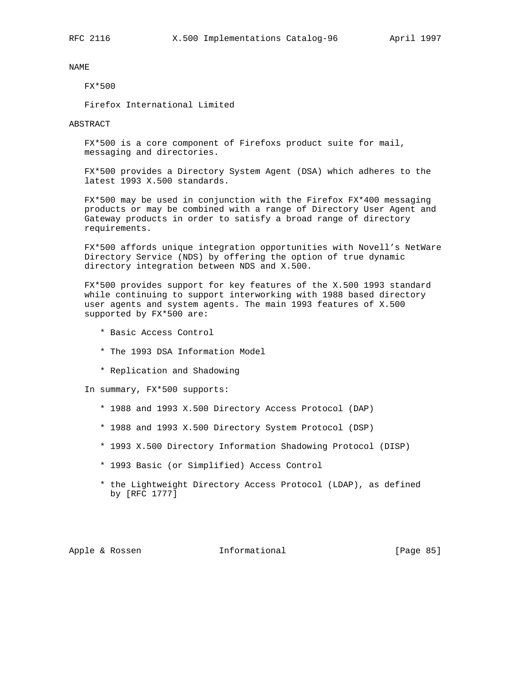## FX\*500

Firefox International Limited

ABSTRACT

 FX\*500 is a core component of Firefoxs product suite for mail, messaging and directories.

 FX\*500 provides a Directory System Agent (DSA) which adheres to the latest 1993 X.500 standards.

 FX\*500 may be used in conjunction with the Firefox FX\*400 messaging products or may be combined with a range of Directory User Agent and Gateway products in order to satisfy a broad range of directory requirements.

 FX\*500 affords unique integration opportunities with Novell's NetWare Directory Service (NDS) by offering the option of true dynamic directory integration between NDS and X.500.

 FX\*500 provides support for key features of the X.500 1993 standard while continuing to support interworking with 1988 based directory user agents and system agents. The main 1993 features of X.500 supported by FX\*500 are:

- \* Basic Access Control
- \* The 1993 DSA Information Model
- \* Replication and Shadowing

In summary, FX\*500 supports:

- \* 1988 and 1993 X.500 Directory Access Protocol (DAP)
- \* 1988 and 1993 X.500 Directory System Protocol (DSP)
- \* 1993 X.500 Directory Information Shadowing Protocol (DISP)
- \* 1993 Basic (or Simplified) Access Control
- \* the Lightweight Directory Access Protocol (LDAP), as defined by [RFC 1777]

Apple & Rossen **Informational** [Page 85]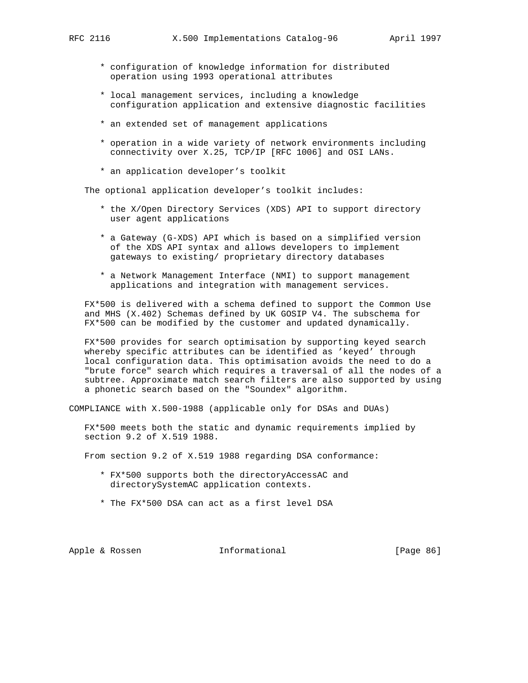- \* configuration of knowledge information for distributed operation using 1993 operational attributes
- \* local management services, including a knowledge configuration application and extensive diagnostic facilities
- \* an extended set of management applications
- \* operation in a wide variety of network environments including connectivity over X.25, TCP/IP [RFC 1006] and OSI LANs.
- \* an application developer's toolkit

The optional application developer's toolkit includes:

- \* the X/Open Directory Services (XDS) API to support directory user agent applications
- \* a Gateway (G-XDS) API which is based on a simplified version of the XDS API syntax and allows developers to implement gateways to existing/ proprietary directory databases
- \* a Network Management Interface (NMI) to support management applications and integration with management services.

 FX\*500 is delivered with a schema defined to support the Common Use and MHS (X.402) Schemas defined by UK GOSIP V4. The subschema for FX\*500 can be modified by the customer and updated dynamically.

 FX\*500 provides for search optimisation by supporting keyed search whereby specific attributes can be identified as 'keyed' through local configuration data. This optimisation avoids the need to do a "brute force" search which requires a traversal of all the nodes of a subtree. Approximate match search filters are also supported by using a phonetic search based on the "Soundex" algorithm.

COMPLIANCE with X.500-1988 (applicable only for DSAs and DUAs)

 FX\*500 meets both the static and dynamic requirements implied by section 9.2 of X.519 1988.

From section 9.2 of X.519 1988 regarding DSA conformance:

- \* FX\*500 supports both the directoryAccessAC and directorySystemAC application contexts.
- \* The FX\*500 DSA can act as a first level DSA

Apple & Rossen **Informational** [Page 86]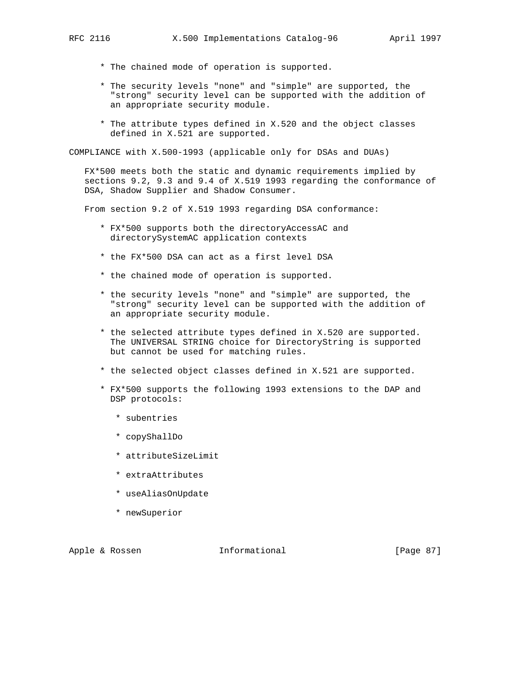- - \* The chained mode of operation is supported.
	- \* The security levels "none" and "simple" are supported, the "strong" security level can be supported with the addition of an appropriate security module.
	- \* The attribute types defined in X.520 and the object classes defined in X.521 are supported.

COMPLIANCE with X.500-1993 (applicable only for DSAs and DUAs)

 FX\*500 meets both the static and dynamic requirements implied by sections 9.2, 9.3 and 9.4 of X.519 1993 regarding the conformance of DSA, Shadow Supplier and Shadow Consumer.

From section 9.2 of X.519 1993 regarding DSA conformance:

- \* FX\*500 supports both the directoryAccessAC and directorySystemAC application contexts
- \* the FX\*500 DSA can act as a first level DSA
- \* the chained mode of operation is supported.
- \* the security levels "none" and "simple" are supported, the "strong" security level can be supported with the addition of an appropriate security module.
- \* the selected attribute types defined in X.520 are supported. The UNIVERSAL STRING choice for DirectoryString is supported but cannot be used for matching rules.
- \* the selected object classes defined in X.521 are supported.
- \* FX\*500 supports the following 1993 extensions to the DAP and DSP protocols:
	- \* subentries
	- \* copyShallDo
	- \* attributeSizeLimit
	- \* extraAttributes
	- \* useAliasOnUpdate
	- \* newSuperior

Apple & Rossen **Informational** [Page 87]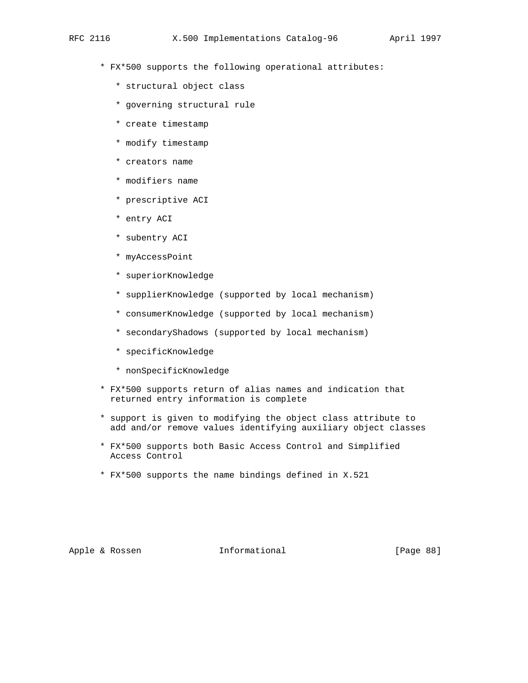- \* FX\*500 supports the following operational attributes:
	- \* structural object class
	- \* governing structural rule
	- \* create timestamp
	- \* modify timestamp
	- \* creators name
	- \* modifiers name
	- \* prescriptive ACI
	- \* entry ACI
	- \* subentry ACI
	- \* myAccessPoint
	- \* superiorKnowledge
	- \* supplierKnowledge (supported by local mechanism)
	- \* consumerKnowledge (supported by local mechanism)
	- \* secondaryShadows (supported by local mechanism)
	- \* specificKnowledge
	- \* nonSpecificKnowledge
- \* FX\*500 supports return of alias names and indication that returned entry information is complete
- \* support is given to modifying the object class attribute to add and/or remove values identifying auxiliary object classes
- \* FX\*500 supports both Basic Access Control and Simplified Access Control
- \* FX\*500 supports the name bindings defined in X.521

Apple & Rossen **Informational** [Page 88]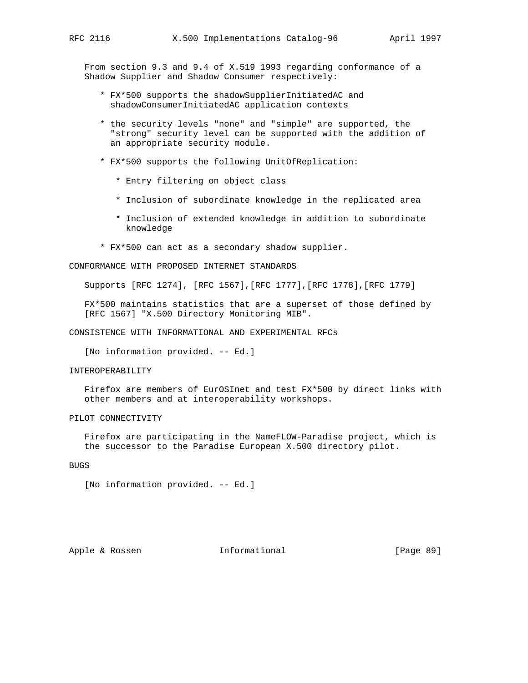From section 9.3 and 9.4 of X.519 1993 regarding conformance of a Shadow Supplier and Shadow Consumer respectively:

- \* FX\*500 supports the shadowSupplierInitiatedAC and shadowConsumerInitiatedAC application contexts
- \* the security levels "none" and "simple" are supported, the "strong" security level can be supported with the addition of an appropriate security module.
- \* FX\*500 supports the following UnitOfReplication:
	- \* Entry filtering on object class
	- \* Inclusion of subordinate knowledge in the replicated area
	- \* Inclusion of extended knowledge in addition to subordinate knowledge
- \* FX\*500 can act as a secondary shadow supplier.

CONFORMANCE WITH PROPOSED INTERNET STANDARDS

Supports [RFC 1274], [RFC 1567],[RFC 1777],[RFC 1778],[RFC 1779]

 FX\*500 maintains statistics that are a superset of those defined by [RFC 1567] "X.500 Directory Monitoring MIB".

CONSISTENCE WITH INFORMATIONAL AND EXPERIMENTAL RFCs

[No information provided. -- Ed.]

### INTEROPERABILITY

 Firefox are members of EurOSInet and test FX\*500 by direct links with other members and at interoperability workshops.

## PILOT CONNECTIVITY

 Firefox are participating in the NameFLOW-Paradise project, which is the successor to the Paradise European X.500 directory pilot.

## BUGS

[No information provided. -- Ed.]

Apple & Rossen **Informational** [Page 89]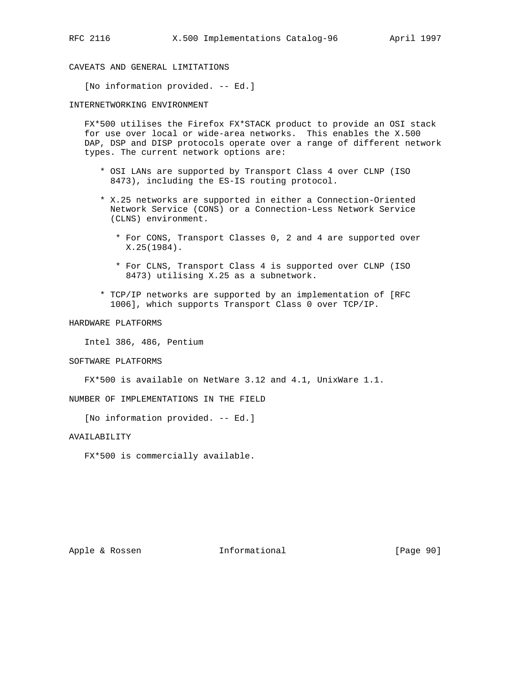CAVEATS AND GENERAL LIMITATIONS

[No information provided. -- Ed.]

INTERNETWORKING ENVIRONMENT

 FX\*500 utilises the Firefox FX\*STACK product to provide an OSI stack for use over local or wide-area networks. This enables the X.500 DAP, DSP and DISP protocols operate over a range of different network types. The current network options are:

- \* OSI LANs are supported by Transport Class 4 over CLNP (ISO 8473), including the ES-IS routing protocol.
- \* X.25 networks are supported in either a Connection-Oriented Network Service (CONS) or a Connection-Less Network Service (CLNS) environment.
	- \* For CONS, Transport Classes 0, 2 and 4 are supported over X.25(1984).
	- \* For CLNS, Transport Class 4 is supported over CLNP (ISO 8473) utilising X.25 as a subnetwork.
- \* TCP/IP networks are supported by an implementation of [RFC 1006], which supports Transport Class 0 over TCP/IP.

### HARDWARE PLATFORMS

Intel 386, 486, Pentium

#### SOFTWARE PLATFORMS

FX\*500 is available on NetWare 3.12 and 4.1, UnixWare 1.1.

NUMBER OF IMPLEMENTATIONS IN THE FIELD

[No information provided. -- Ed.]

### AVAILABILITY

FX\*500 is commercially available.

Apple & Rossen **Informational** [Page 90]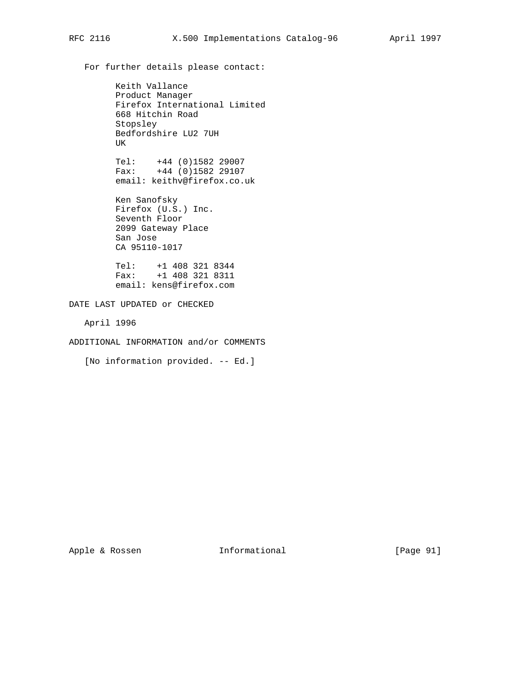For further details please contact:

 Keith Vallance Product Manager Firefox International Limited 668 Hitchin Road Stopsley Bedfordshire LU2 7UH UK

 Tel: +44 (0)1582 29007 Fax: +44 (0)1582 29107 email: keithv@firefox.co.uk

> Ken Sanofsky Firefox (U.S.) Inc. Seventh Floor 2099 Gateway Place San Jose CA 95110-1017

 Tel: +1 408 321 8344 Fax: +1 408 321 8311 email: kens@firefox.com

DATE LAST UPDATED or CHECKED

April 1996

ADDITIONAL INFORMATION and/or COMMENTS

[No information provided. -- Ed.]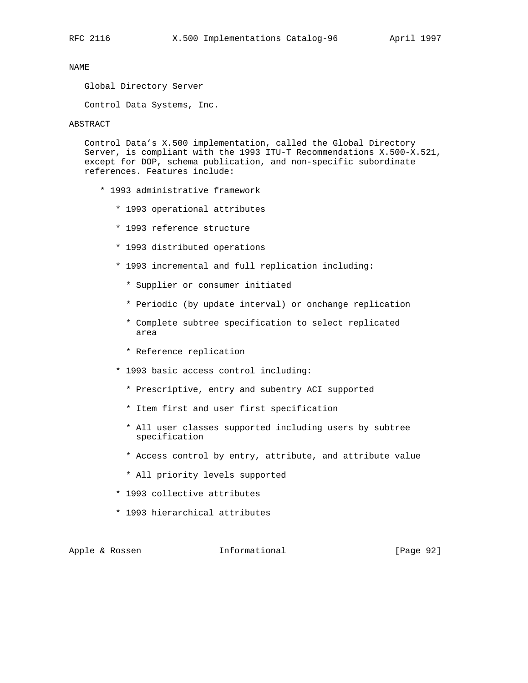Global Directory Server

Control Data Systems, Inc.

# ABSTRACT

 Control Data's X.500 implementation, called the Global Directory Server, is compliant with the 1993 ITU-T Recommendations X.500-X.521, except for DOP, schema publication, and non-specific subordinate references. Features include:

- \* 1993 administrative framework
	- \* 1993 operational attributes
	- \* 1993 reference structure
	- \* 1993 distributed operations
	- \* 1993 incremental and full replication including:
		- \* Supplier or consumer initiated
		- \* Periodic (by update interval) or onchange replication
		- \* Complete subtree specification to select replicated area
		- \* Reference replication
	- \* 1993 basic access control including:
		- \* Prescriptive, entry and subentry ACI supported
		- \* Item first and user first specification
		- \* All user classes supported including users by subtree specification
		- \* Access control by entry, attribute, and attribute value
		- \* All priority levels supported
	- \* 1993 collective attributes
	- \* 1993 hierarchical attributes

Apple & Rossen **Informational** [Page 92]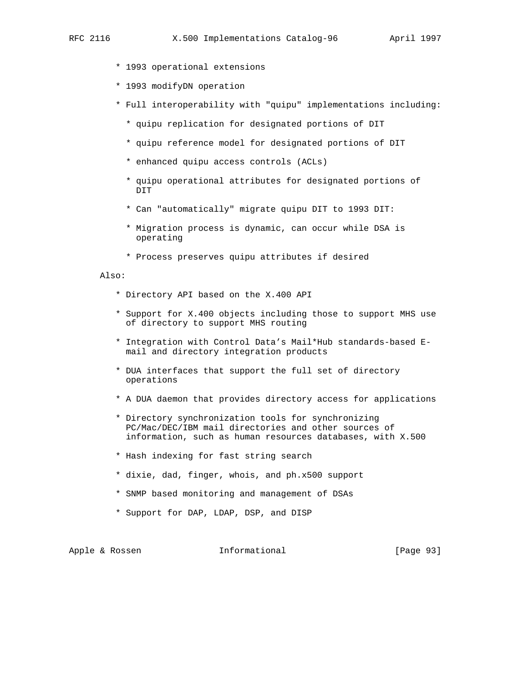- \* 1993 operational extensions
- \* 1993 modifyDN operation
- \* Full interoperability with "quipu" implementations including:
	- \* quipu replication for designated portions of DIT
	- \* quipu reference model for designated portions of DIT
	- \* enhanced quipu access controls (ACLs)
	- \* quipu operational attributes for designated portions of DIT
	- \* Can "automatically" migrate quipu DIT to 1993 DIT:
	- \* Migration process is dynamic, can occur while DSA is operating
	- \* Process preserves quipu attributes if desired

#### Also:

- \* Directory API based on the X.400 API
- \* Support for X.400 objects including those to support MHS use of directory to support MHS routing
- \* Integration with Control Data's Mail\*Hub standards-based E mail and directory integration products
- \* DUA interfaces that support the full set of directory operations
- \* A DUA daemon that provides directory access for applications
- \* Directory synchronization tools for synchronizing PC/Mac/DEC/IBM mail directories and other sources of information, such as human resources databases, with X.500
- \* Hash indexing for fast string search
- \* dixie, dad, finger, whois, and ph.x500 support
- \* SNMP based monitoring and management of DSAs
- \* Support for DAP, LDAP, DSP, and DISP

| Informational<br>Apple & Rossen | [Page 93] |
|---------------------------------|-----------|
|---------------------------------|-----------|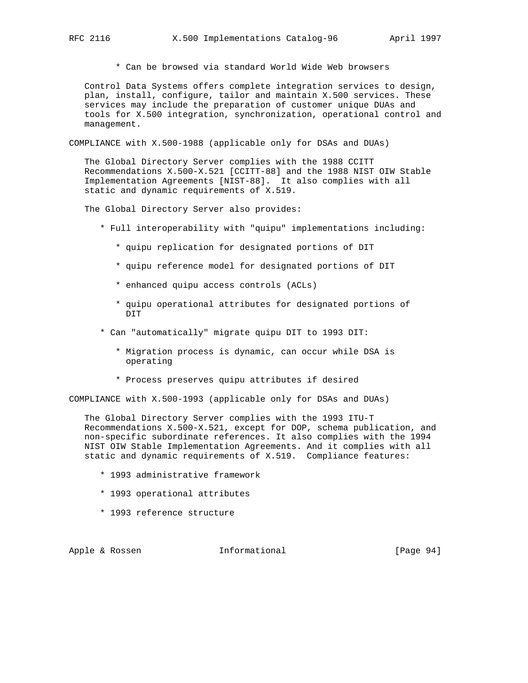\* Can be browsed via standard World Wide Web browsers

 Control Data Systems offers complete integration services to design, plan, install, configure, tailor and maintain X.500 services. These services may include the preparation of customer unique DUAs and tools for X.500 integration, synchronization, operational control and management.

COMPLIANCE with X.500-1988 (applicable only for DSAs and DUAs)

 The Global Directory Server complies with the 1988 CCITT Recommendations X.500-X.521 [CCITT-88] and the 1988 NIST OIW Stable Implementation Agreements [NIST-88]. It also complies with all static and dynamic requirements of X.519.

The Global Directory Server also provides:

- \* Full interoperability with "quipu" implementations including:
	- \* quipu replication for designated portions of DIT
	- \* quipu reference model for designated portions of DIT
	- \* enhanced quipu access controls (ACLs)
	- \* quipu operational attributes for designated portions of DIT
- \* Can "automatically" migrate quipu DIT to 1993 DIT:
	- \* Migration process is dynamic, can occur while DSA is operating
	- \* Process preserves quipu attributes if desired

COMPLIANCE with X.500-1993 (applicable only for DSAs and DUAs)

 The Global Directory Server complies with the 1993 ITU-T Recommendations X.500-X.521, except for DOP, schema publication, and non-specific subordinate references. It also complies with the 1994 NIST OIW Stable Implementation Agreements. And it complies with all static and dynamic requirements of X.519. Compliance features:

- \* 1993 administrative framework
- \* 1993 operational attributes
- \* 1993 reference structure

Apple & Rossen **Informational** [Page 94]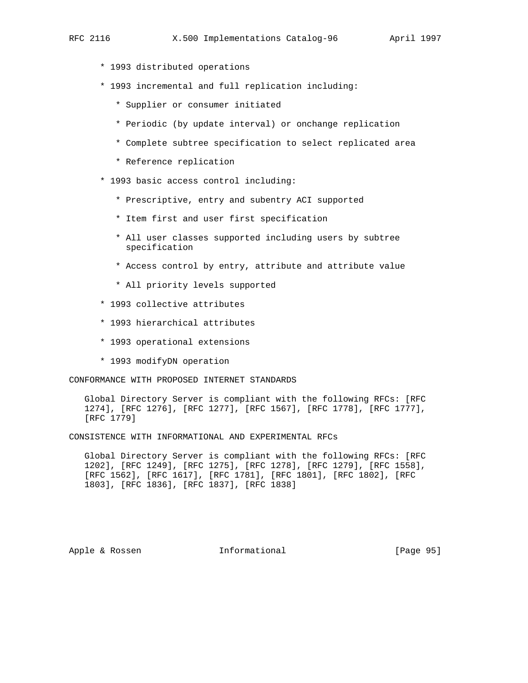- - \* 1993 distributed operations
	- \* 1993 incremental and full replication including:
		- \* Supplier or consumer initiated
		- \* Periodic (by update interval) or onchange replication
		- \* Complete subtree specification to select replicated area
		- \* Reference replication
	- \* 1993 basic access control including:
		- \* Prescriptive, entry and subentry ACI supported
		- \* Item first and user first specification
		- \* All user classes supported including users by subtree specification
		- \* Access control by entry, attribute and attribute value
		- \* All priority levels supported
	- \* 1993 collective attributes
	- \* 1993 hierarchical attributes
	- \* 1993 operational extensions
	- \* 1993 modifyDN operation

CONFORMANCE WITH PROPOSED INTERNET STANDARDS

 Global Directory Server is compliant with the following RFCs: [RFC 1274], [RFC 1276], [RFC 1277], [RFC 1567], [RFC 1778], [RFC 1777], [RFC 1779]

CONSISTENCE WITH INFORMATIONAL AND EXPERIMENTAL RFCs

 Global Directory Server is compliant with the following RFCs: [RFC 1202], [RFC 1249], [RFC 1275], [RFC 1278], [RFC 1279], [RFC 1558], [RFC 1562], [RFC 1617], [RFC 1781], [RFC 1801], [RFC 1802], [RFC 1803], [RFC 1836], [RFC 1837], [RFC 1838]

Apple & Rossen **Informational** [Page 95]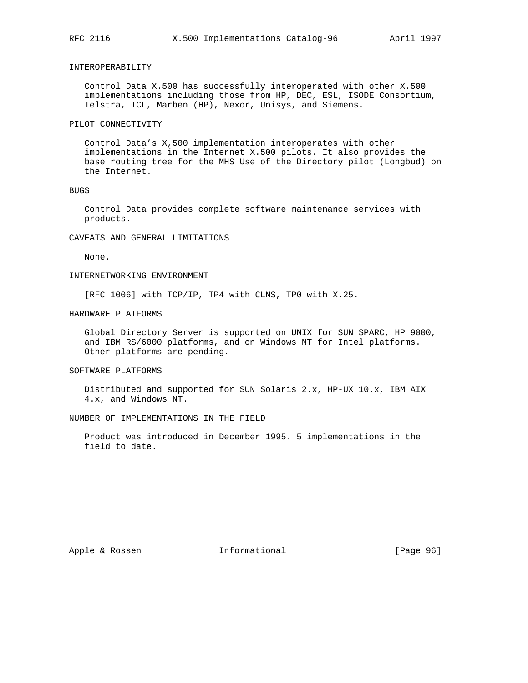## INTEROPERABILITY

 Control Data X.500 has successfully interoperated with other X.500 implementations including those from HP, DEC, ESL, ISODE Consortium, Telstra, ICL, Marben (HP), Nexor, Unisys, and Siemens.

## PILOT CONNECTIVITY

 Control Data's X,500 implementation interoperates with other implementations in the Internet X.500 pilots. It also provides the base routing tree for the MHS Use of the Directory pilot (Longbud) on the Internet.

#### BUGS

 Control Data provides complete software maintenance services with products.

## CAVEATS AND GENERAL LIMITATIONS

None.

## INTERNETWORKING ENVIRONMENT

[RFC 1006] with TCP/IP, TP4 with CLNS, TP0 with X.25.

#### HARDWARE PLATFORMS

 Global Directory Server is supported on UNIX for SUN SPARC, HP 9000, and IBM RS/6000 platforms, and on Windows NT for Intel platforms. Other platforms are pending.

### SOFTWARE PLATFORMS

 Distributed and supported for SUN Solaris 2.x, HP-UX 10.x, IBM AIX 4.x, and Windows NT.

### NUMBER OF IMPLEMENTATIONS IN THE FIELD

 Product was introduced in December 1995. 5 implementations in the field to date.

Apple & Rossen **Informational** [Page 96]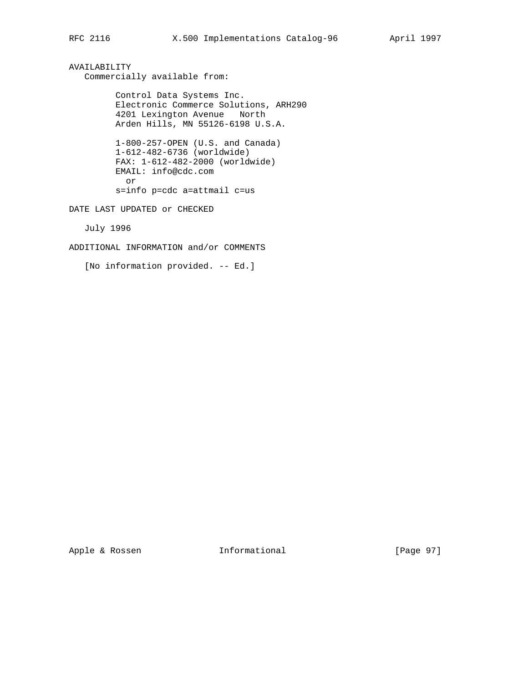AVAILABILITY Commercially available from:

> Control Data Systems Inc. Electronic Commerce Solutions, ARH290 4201 Lexington Avenue North Arden Hills, MN 55126-6198 U.S.A.

 1-800-257-OPEN (U.S. and Canada) 1-612-482-6736 (worldwide) FAX: 1-612-482-2000 (worldwide) EMAIL: info@cdc.com or s=info p=cdc a=attmail c=us

DATE LAST UPDATED or CHECKED

July 1996

ADDITIONAL INFORMATION and/or COMMENTS

[No information provided. -- Ed.]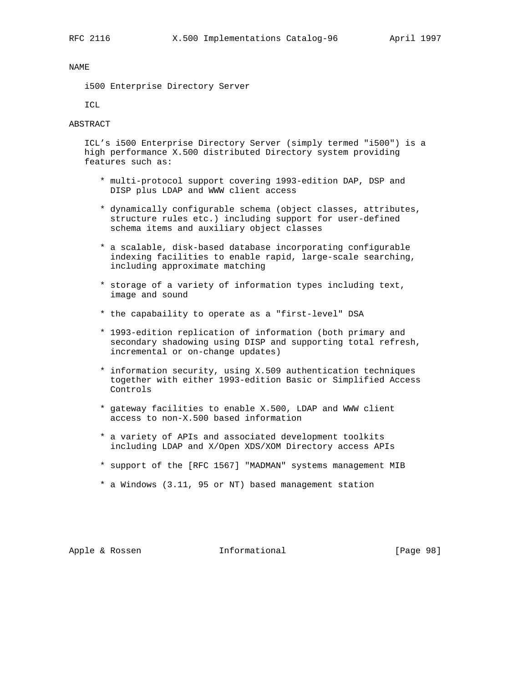i500 Enterprise Directory Server

ICL

## ABSTRACT

 ICL's i500 Enterprise Directory Server (simply termed "i500") is a high performance X.500 distributed Directory system providing features such as:

- \* multi-protocol support covering 1993-edition DAP, DSP and DISP plus LDAP and WWW client access
- \* dynamically configurable schema (object classes, attributes, structure rules etc.) including support for user-defined schema items and auxiliary object classes
- \* a scalable, disk-based database incorporating configurable indexing facilities to enable rapid, large-scale searching, including approximate matching
- \* storage of a variety of information types including text, image and sound
- \* the capabaility to operate as a "first-level" DSA
- \* 1993-edition replication of information (both primary and secondary shadowing using DISP and supporting total refresh, incremental or on-change updates)
- \* information security, using X.509 authentication techniques together with either 1993-edition Basic or Simplified Access Controls
- \* gateway facilities to enable X.500, LDAP and WWW client access to non-X.500 based information
- \* a variety of APIs and associated development toolkits including LDAP and X/Open XDS/XOM Directory access APIs
- \* support of the [RFC 1567] "MADMAN" systems management MIB
- \* a Windows (3.11, 95 or NT) based management station

Apple & Rossen **Informational** [Page 98]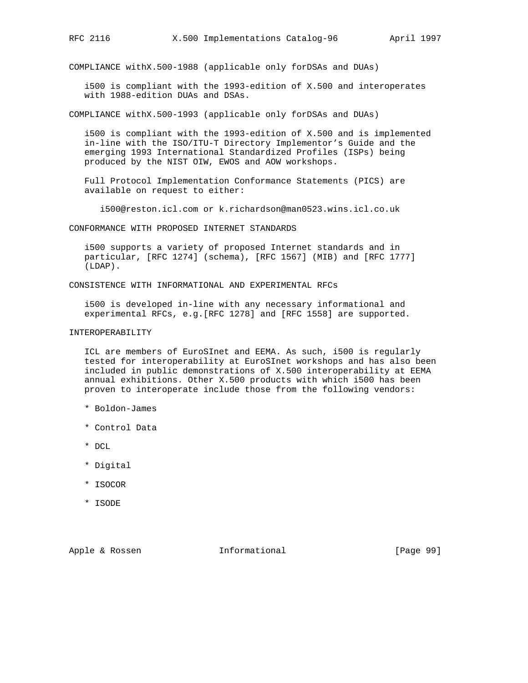COMPLIANCE withX.500-1988 (applicable only forDSAs and DUAs)

 i500 is compliant with the 1993-edition of X.500 and interoperates with 1988-edition DUAs and DSAs.

COMPLIANCE withX.500-1993 (applicable only forDSAs and DUAs)

 i500 is compliant with the 1993-edition of X.500 and is implemented in-line with the ISO/ITU-T Directory Implementor's Guide and the emerging 1993 International Standardized Profiles (ISPs) being produced by the NIST OIW, EWOS and AOW workshops.

 Full Protocol Implementation Conformance Statements (PICS) are available on request to either:

i500@reston.icl.com or k.richardson@man0523.wins.icl.co.uk

CONFORMANCE WITH PROPOSED INTERNET STANDARDS

 i500 supports a variety of proposed Internet standards and in particular, [RFC 1274] (schema), [RFC 1567] (MIB) and [RFC 1777] (LDAP).

CONSISTENCE WITH INFORMATIONAL AND EXPERIMENTAL RFCs

 i500 is developed in-line with any necessary informational and experimental RFCs, e.g.[RFC 1278] and [RFC 1558] are supported.

# INTEROPERABILITY

 ICL are members of EuroSInet and EEMA. As such, i500 is regularly tested for interoperability at EuroSInet workshops and has also been included in public demonstrations of X.500 interoperability at EEMA annual exhibitions. Other X.500 products with which i500 has been proven to interoperate include those from the following vendors:

- \* Boldon-James
- \* Control Data
- \* DCL
- \* Digital
- \* ISOCOR
- \* ISODE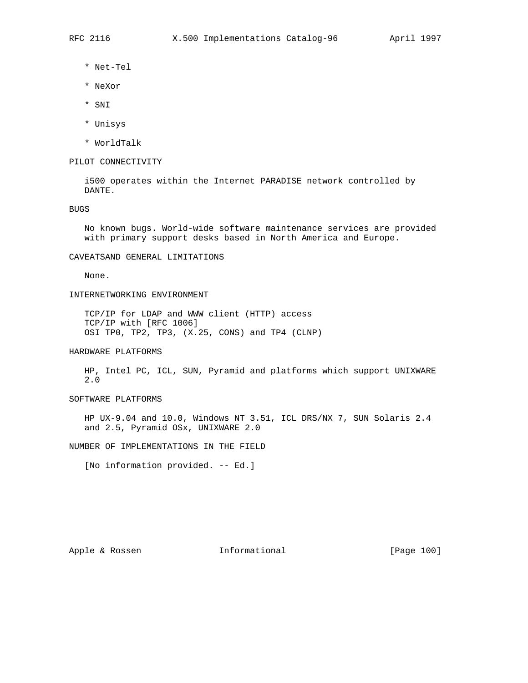- \* Net-Tel
- \* NeXor
- \* SNI
- \* Unisys
- \* WorldTalk

## PILOT CONNECTIVITY

 i500 operates within the Internet PARADISE network controlled by DANTE.

BUGS

 No known bugs. World-wide software maintenance services are provided with primary support desks based in North America and Europe.

## CAVEATSAND GENERAL LIMITATIONS

None.

## INTERNETWORKING ENVIRONMENT

 TCP/IP for LDAP and WWW client (HTTP) access TCP/IP with [RFC 1006] OSI TP0, TP2, TP3, (X.25, CONS) and TP4 (CLNP)

## HARDWARE PLATFORMS

 HP, Intel PC, ICL, SUN, Pyramid and platforms which support UNIXWARE 2.0

## SOFTWARE PLATFORMS

 HP UX-9.04 and 10.0, Windows NT 3.51, ICL DRS/NX 7, SUN Solaris 2.4 and 2.5, Pyramid OSx, UNIXWARE 2.0

NUMBER OF IMPLEMENTATIONS IN THE FIELD

[No information provided. -- Ed.]

Apple & Rossen **Informational** [Page 100]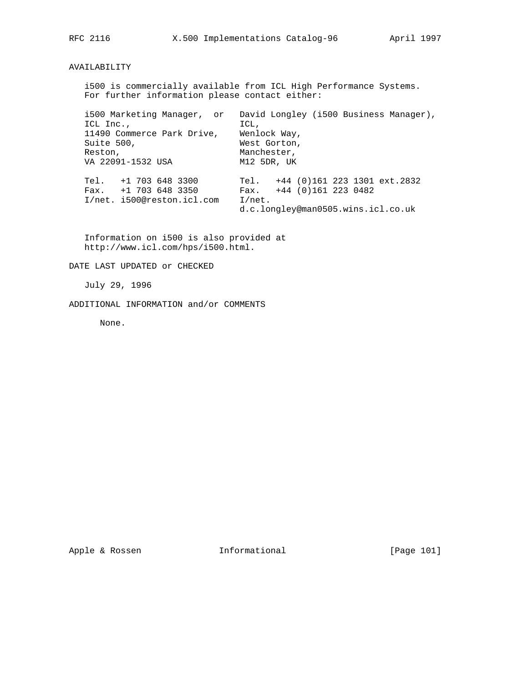## AVAILABILITY

 i500 is commercially available from ICL High Performance Systems. For further information please contact either:

 i500 Marketing Manager, or David Longley (i500 Business Manager), ICL Inc., ICL, 11490 Commerce Park Drive, Wenlock Way, Suite 500, West Gorton, Reston, **Manchester**, VA 22091-1532 USA M12 5DR, UK Tel. +1 703 648 3300 Tel. +44 (0)161 223 1301 ext.2832 Fax. +1 703 648 3350 Fax. +44 (0)161 223 0482 I/net. i500@reston.icl.com I/net. d.c.longley@man0505.wins.icl.co.uk

 Information on i500 is also provided at http://www.icl.com/hps/i500.html.

DATE LAST UPDATED or CHECKED

July 29, 1996

ADDITIONAL INFORMATION and/or COMMENTS

None.

Apple & Rossen **Informational** [Page 101]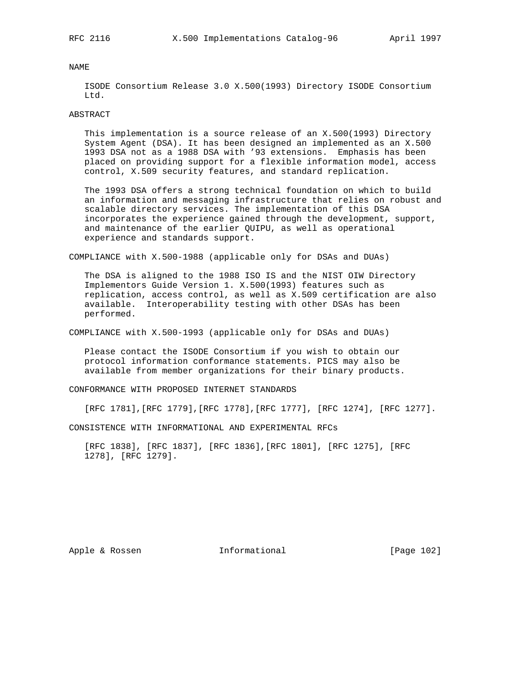ISODE Consortium Release 3.0 X.500(1993) Directory ISODE Consortium Ltd.

#### ABSTRACT

 This implementation is a source release of an X.500(1993) Directory System Agent (DSA). It has been designed an implemented as an X.500 1993 DSA not as a 1988 DSA with '93 extensions. Emphasis has been placed on providing support for a flexible information model, access control, X.509 security features, and standard replication.

 The 1993 DSA offers a strong technical foundation on which to build an information and messaging infrastructure that relies on robust and scalable directory services. The implementation of this DSA incorporates the experience gained through the development, support, and maintenance of the earlier QUIPU, as well as operational experience and standards support.

COMPLIANCE with X.500-1988 (applicable only for DSAs and DUAs)

 The DSA is aligned to the 1988 ISO IS and the NIST OIW Directory Implementors Guide Version 1. X.500(1993) features such as replication, access control, as well as X.509 certification are also available. Interoperability testing with other DSAs has been performed.

COMPLIANCE with X.500-1993 (applicable only for DSAs and DUAs)

 Please contact the ISODE Consortium if you wish to obtain our protocol information conformance statements. PICS may also be available from member organizations for their binary products.

CONFORMANCE WITH PROPOSED INTERNET STANDARDS

[RFC 1781],[RFC 1779],[RFC 1778],[RFC 1777], [RFC 1274], [RFC 1277].

CONSISTENCE WITH INFORMATIONAL AND EXPERIMENTAL RFCs

 [RFC 1838], [RFC 1837], [RFC 1836],[RFC 1801], [RFC 1275], [RFC 1278], [RFC 1279].

Apple & Rossen **Informational** [Page 102]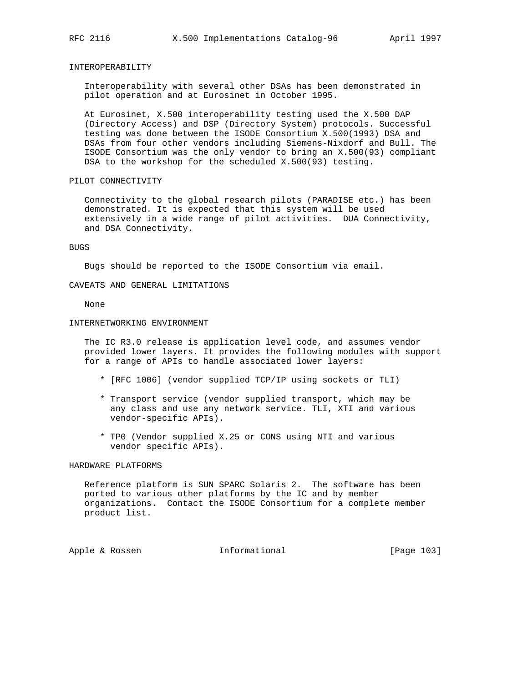### INTEROPERABILITY

 Interoperability with several other DSAs has been demonstrated in pilot operation and at Eurosinet in October 1995.

 At Eurosinet, X.500 interoperability testing used the X.500 DAP (Directory Access) and DSP (Directory System) protocols. Successful testing was done between the ISODE Consortium X.500(1993) DSA and DSAs from four other vendors including Siemens-Nixdorf and Bull. The ISODE Consortium was the only vendor to bring an X.500(93) compliant DSA to the workshop for the scheduled X.500(93) testing.

### PILOT CONNECTIVITY

 Connectivity to the global research pilots (PARADISE etc.) has been demonstrated. It is expected that this system will be used extensively in a wide range of pilot activities. DUA Connectivity, and DSA Connectivity.

#### BUGS

Bugs should be reported to the ISODE Consortium via email.

CAVEATS AND GENERAL LIMITATIONS

None

### INTERNETWORKING ENVIRONMENT

 The IC R3.0 release is application level code, and assumes vendor provided lower layers. It provides the following modules with support for a range of APIs to handle associated lower layers:

- \* [RFC 1006] (vendor supplied TCP/IP using sockets or TLI)
- \* Transport service (vendor supplied transport, which may be any class and use any network service. TLI, XTI and various vendor-specific APIs).
- \* TP0 (Vendor supplied X.25 or CONS using NTI and various vendor specific APIs).

## HARDWARE PLATFORMS

 Reference platform is SUN SPARC Solaris 2. The software has been ported to various other platforms by the IC and by member organizations. Contact the ISODE Consortium for a complete member product list.

Apple & Rossen **Informational** [Page 103]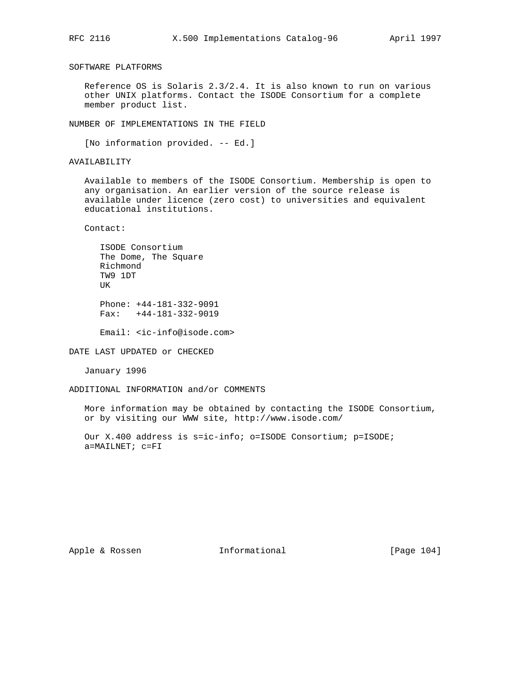SOFTWARE PLATFORMS

 Reference OS is Solaris 2.3/2.4. It is also known to run on various other UNIX platforms. Contact the ISODE Consortium for a complete member product list.

NUMBER OF IMPLEMENTATIONS IN THE FIELD

[No information provided. -- Ed.]

AVAILABILITY

 Available to members of the ISODE Consortium. Membership is open to any organisation. An earlier version of the source release is available under licence (zero cost) to universities and equivalent educational institutions.

Contact:

|          | ISODE Consortium     |                           |
|----------|----------------------|---------------------------|
|          | The Dome, The Square |                           |
| Richmond |                      |                           |
| TW9 1DT  |                      |                           |
| UΚ       |                      |                           |
|          |                      |                           |
|          |                      | Phone: $+44-181-332-9091$ |
| Fax:     |                      | $+44-181-332-9019$        |

Email: <ic-info@isode.com>

DATE LAST UPDATED or CHECKED

January 1996

ADDITIONAL INFORMATION and/or COMMENTS

 More information may be obtained by contacting the ISODE Consortium, or by visiting our WWW site, http://www.isode.com/

 Our X.400 address is s=ic-info; o=ISODE Consortium; p=ISODE; a=MAILNET; c=FI

Apple & Rossen **Informational** [Page 104]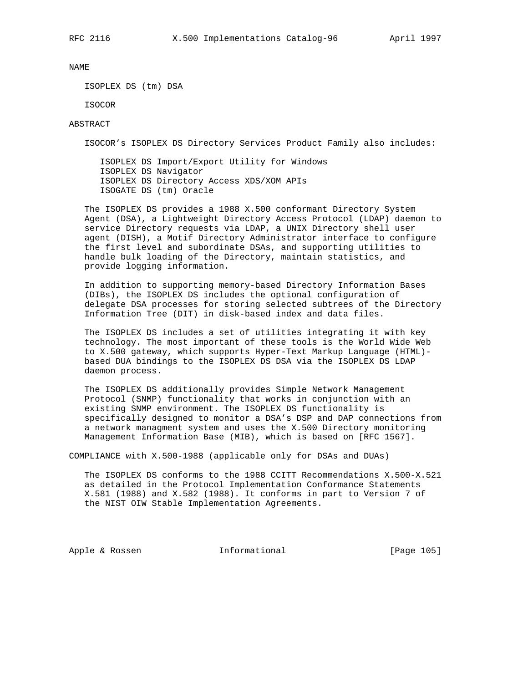ISOPLEX DS (tm) DSA

ISOCOR

## ABSTRACT

ISOCOR's ISOPLEX DS Directory Services Product Family also includes:

 ISOPLEX DS Import/Export Utility for Windows ISOPLEX DS Navigator ISOPLEX DS Directory Access XDS/XOM APIs ISOGATE DS (tm) Oracle

 The ISOPLEX DS provides a 1988 X.500 conformant Directory System Agent (DSA), a Lightweight Directory Access Protocol (LDAP) daemon to service Directory requests via LDAP, a UNIX Directory shell user agent (DISH), a Motif Directory Administrator interface to configure the first level and subordinate DSAs, and supporting utilities to handle bulk loading of the Directory, maintain statistics, and provide logging information.

 In addition to supporting memory-based Directory Information Bases (DIBs), the ISOPLEX DS includes the optional configuration of delegate DSA processes for storing selected subtrees of the Directory Information Tree (DIT) in disk-based index and data files.

 The ISOPLEX DS includes a set of utilities integrating it with key technology. The most important of these tools is the World Wide Web to X.500 gateway, which supports Hyper-Text Markup Language (HTML) based DUA bindings to the ISOPLEX DS DSA via the ISOPLEX DS LDAP daemon process.

 The ISOPLEX DS additionally provides Simple Network Management Protocol (SNMP) functionality that works in conjunction with an existing SNMP environment. The ISOPLEX DS functionality is specifically designed to monitor a DSA's DSP and DAP connections from a network managment system and uses the X.500 Directory monitoring Management Information Base (MIB), which is based on [RFC 1567].

COMPLIANCE with X.500-1988 (applicable only for DSAs and DUAs)

 The ISOPLEX DS conforms to the 1988 CCITT Recommendations X.500-X.521 as detailed in the Protocol Implementation Conformance Statements X.581 (1988) and X.582 (1988). It conforms in part to Version 7 of the NIST OIW Stable Implementation Agreements.

Apple & Rossen 1nformational [Page 105]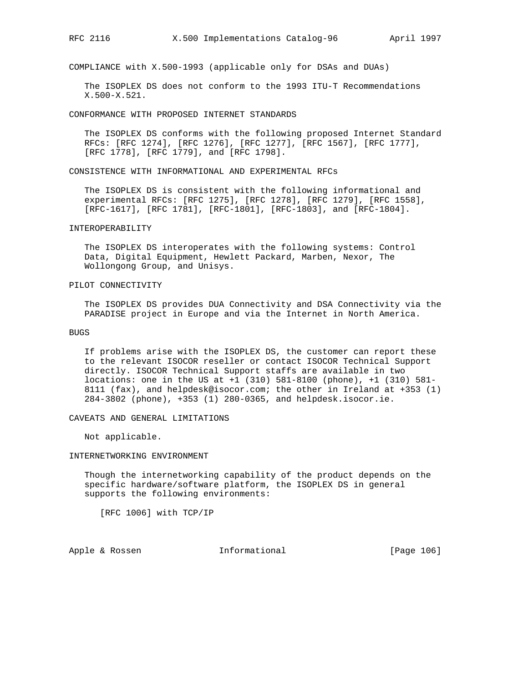COMPLIANCE with X.500-1993 (applicable only for DSAs and DUAs)

 The ISOPLEX DS does not conform to the 1993 ITU-T Recommendations X.500-X.521.

CONFORMANCE WITH PROPOSED INTERNET STANDARDS

 The ISOPLEX DS conforms with the following proposed Internet Standard RFCs: [RFC 1274], [RFC 1276], [RFC 1277], [RFC 1567], [RFC 1777], [RFC 1778], [RFC 1779], and [RFC 1798].

CONSISTENCE WITH INFORMATIONAL AND EXPERIMENTAL RFCs

 The ISOPLEX DS is consistent with the following informational and experimental RFCs: [RFC 1275], [RFC 1278], [RFC 1279], [RFC 1558], [RFC-1617], [RFC 1781], [RFC-1801], [RFC-1803], and [RFC-1804].

#### INTEROPERABILITY

 The ISOPLEX DS interoperates with the following systems: Control Data, Digital Equipment, Hewlett Packard, Marben, Nexor, The Wollongong Group, and Unisys.

### PILOT CONNECTIVITY

 The ISOPLEX DS provides DUA Connectivity and DSA Connectivity via the PARADISE project in Europe and via the Internet in North America.

#### BUGS

 If problems arise with the ISOPLEX DS, the customer can report these to the relevant ISOCOR reseller or contact ISOCOR Technical Support directly. ISOCOR Technical Support staffs are available in two locations: one in the US at +1 (310) 581-8100 (phone), +1 (310) 581- 8111 (fax), and helpdesk@isocor.com; the other in Ireland at +353 (1) 284-3802 (phone), +353 (1) 280-0365, and helpdesk.isocor.ie.

CAVEATS AND GENERAL LIMITATIONS

Not applicable.

### INTERNETWORKING ENVIRONMENT

 Though the internetworking capability of the product depends on the specific hardware/software platform, the ISOPLEX DS in general supports the following environments:

[RFC 1006] with TCP/IP

Apple & Rossen **Informational** [Page 106]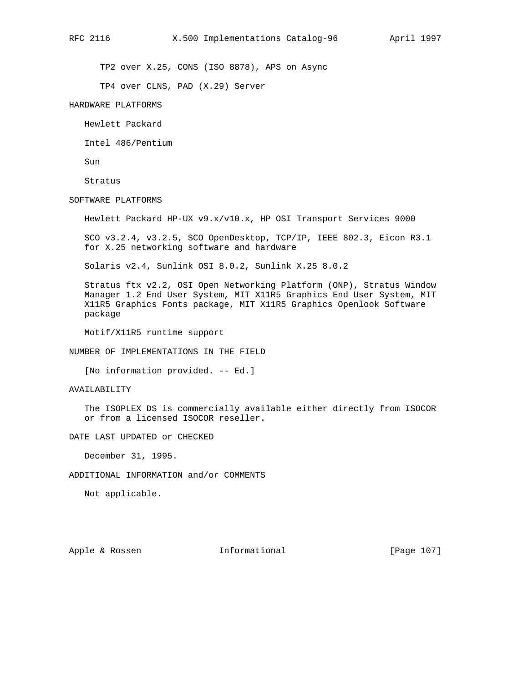TP2 over X.25, CONS (ISO 8878), APS on Async

TP4 over CLNS, PAD (X.29) Server

HARDWARE PLATFORMS

Hewlett Packard

Intel 486/Pentium

Sun

Stratus

SOFTWARE PLATFORMS

Hewlett Packard HP-UX v9.x/v10.x, HP OSI Transport Services 9000

 SCO v3.2.4, v3.2.5, SCO OpenDesktop, TCP/IP, IEEE 802.3, Eicon R3.1 for X.25 networking software and hardware

Solaris v2.4, Sunlink OSI 8.0.2, Sunlink X.25 8.0.2

 Stratus ftx v2.2, OSI Open Networking Platform (ONP), Stratus Window Manager 1.2 End User System, MIT X11R5 Graphics End User System, MIT X11R5 Graphics Fonts package, MIT X11R5 Graphics Openlook Software package

Motif/X11R5 runtime support

NUMBER OF IMPLEMENTATIONS IN THE FIELD

[No information provided. -- Ed.]

## AVAILABILITY

 The ISOPLEX DS is commercially available either directly from ISOCOR or from a licensed ISOCOR reseller.

DATE LAST UPDATED or CHECKED

December 31, 1995.

ADDITIONAL INFORMATION and/or COMMENTS

Not applicable.

Apple & Rossen **Informational** [Page 107]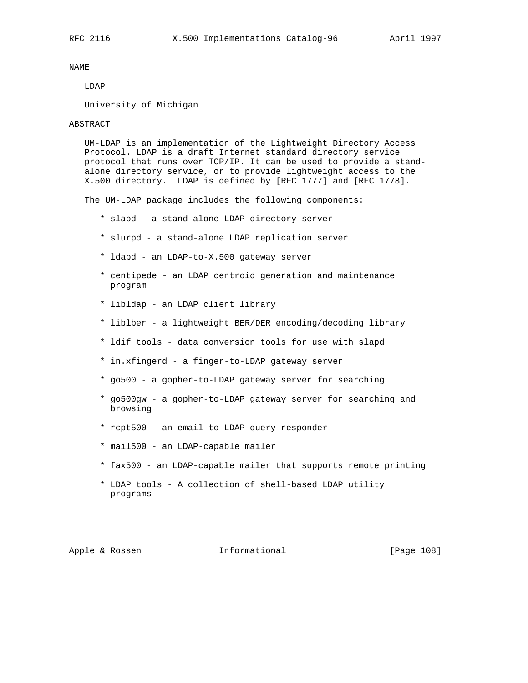## LDAP

University of Michigan

### ABSTRACT

 UM-LDAP is an implementation of the Lightweight Directory Access Protocol. LDAP is a draft Internet standard directory service protocol that runs over TCP/IP. It can be used to provide a stand alone directory service, or to provide lightweight access to the X.500 directory. LDAP is defined by [RFC 1777] and [RFC 1778].

The UM-LDAP package includes the following components:

- \* slapd a stand-alone LDAP directory server
- \* slurpd a stand-alone LDAP replication server
- \* ldapd an LDAP-to-X.500 gateway server
- \* centipede an LDAP centroid generation and maintenance program
- \* libldap an LDAP client library
- \* liblber a lightweight BER/DER encoding/decoding library
- \* ldif tools data conversion tools for use with slapd
- \* in.xfingerd a finger-to-LDAP gateway server
- \* go500 a gopher-to-LDAP gateway server for searching
- \* go500gw a gopher-to-LDAP gateway server for searching and browsing
- \* rcpt500 an email-to-LDAP query responder
- \* mail500 an LDAP-capable mailer
- \* fax500 an LDAP-capable mailer that supports remote printing
- \* LDAP tools A collection of shell-based LDAP utility programs

# Apple & Rossen **Informational** [Page 108]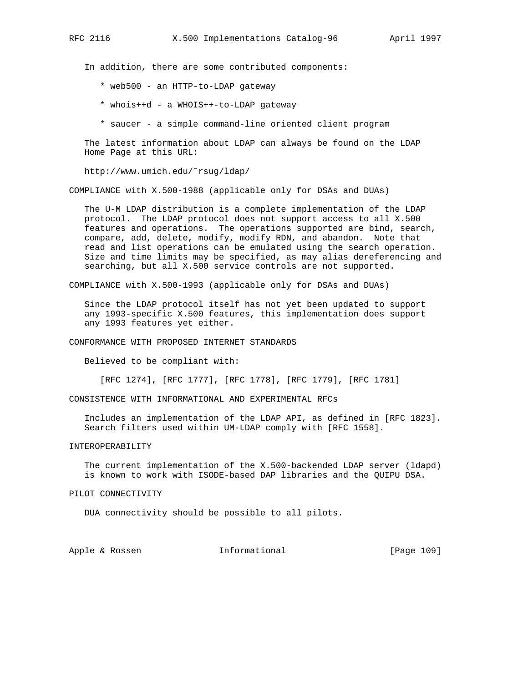In addition, there are some contributed components:

- \* web500 an HTTP-to-LDAP gateway
- \* whois++d a WHOIS++-to-LDAP gateway
- \* saucer a simple command-line oriented client program

 The latest information about LDAP can always be found on the LDAP Home Page at this URL:

http://www.umich.edu/˜rsug/ldap/

COMPLIANCE with X.500-1988 (applicable only for DSAs and DUAs)

 The U-M LDAP distribution is a complete implementation of the LDAP protocol. The LDAP protocol does not support access to all X.500 features and operations. The operations supported are bind, search, compare, add, delete, modify, modify RDN, and abandon. Note that read and list operations can be emulated using the search operation. Size and time limits may be specified, as may alias dereferencing and searching, but all X.500 service controls are not supported.

COMPLIANCE with X.500-1993 (applicable only for DSAs and DUAs)

 Since the LDAP protocol itself has not yet been updated to support any 1993-specific X.500 features, this implementation does support any 1993 features yet either.

CONFORMANCE WITH PROPOSED INTERNET STANDARDS

Believed to be compliant with:

[RFC 1274], [RFC 1777], [RFC 1778], [RFC 1779], [RFC 1781]

CONSISTENCE WITH INFORMATIONAL AND EXPERIMENTAL RFCs

 Includes an implementation of the LDAP API, as defined in [RFC 1823]. Search filters used within UM-LDAP comply with [RFC 1558].

## INTEROPERABILITY

 The current implementation of the X.500-backended LDAP server (ldapd) is known to work with ISODE-based DAP libraries and the QUIPU DSA.

#### PILOT CONNECTIVITY

DUA connectivity should be possible to all pilots.

Apple & Rossen **Informational** [Page 109]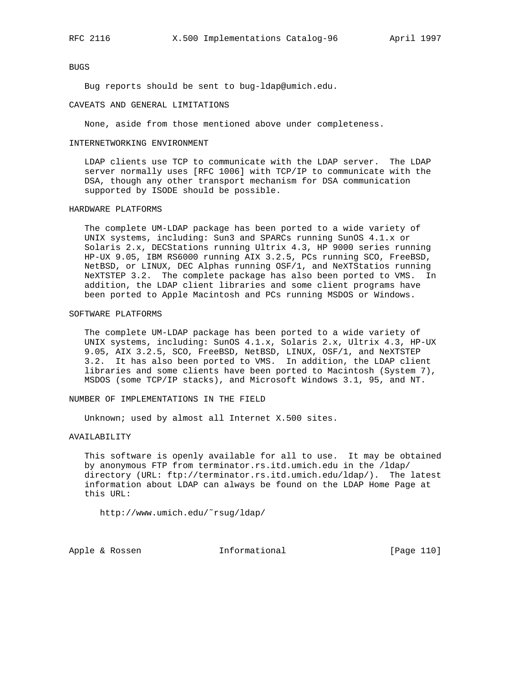#### BUGS

Bug reports should be sent to bug-ldap@umich.edu.

#### CAVEATS AND GENERAL LIMITATIONS

None, aside from those mentioned above under completeness.

#### INTERNETWORKING ENVIRONMENT

 LDAP clients use TCP to communicate with the LDAP server. The LDAP server normally uses [RFC 1006] with TCP/IP to communicate with the DSA, though any other transport mechanism for DSA communication supported by ISODE should be possible.

#### HARDWARE PLATFORMS

 The complete UM-LDAP package has been ported to a wide variety of UNIX systems, including: Sun3 and SPARCs running SunOS 4.1.x or Solaris 2.x, DECStations running Ultrix 4.3, HP 9000 series running HP-UX 9.05, IBM RS6000 running AIX 3.2.5, PCs running SCO, FreeBSD, NetBSD, or LINUX, DEC Alphas running OSF/1, and NeXTStatios running NeXTSTEP 3.2. The complete package has also been ported to VMS. In addition, the LDAP client libraries and some client programs have been ported to Apple Macintosh and PCs running MSDOS or Windows.

#### SOFTWARE PLATFORMS

 The complete UM-LDAP package has been ported to a wide variety of UNIX systems, including: SunOS 4.1.x, Solaris 2.x, Ultrix 4.3, HP-UX 9.05, AIX 3.2.5, SCO, FreeBSD, NetBSD, LINUX, OSF/1, and NeXTSTEP 3.2. It has also been ported to VMS. In addition, the LDAP client libraries and some clients have been ported to Macintosh (System 7), MSDOS (some TCP/IP stacks), and Microsoft Windows 3.1, 95, and NT.

NUMBER OF IMPLEMENTATIONS IN THE FIELD

Unknown; used by almost all Internet X.500 sites.

#### AVAILABILITY

 This software is openly available for all to use. It may be obtained by anonymous FTP from terminator.rs.itd.umich.edu in the /ldap/ directory (URL: ftp://terminator.rs.itd.umich.edu/ldap/). The latest information about LDAP can always be found on the LDAP Home Page at this URL:

http://www.umich.edu/˜rsug/ldap/

Apple & Rossen **Informational** [Page 110]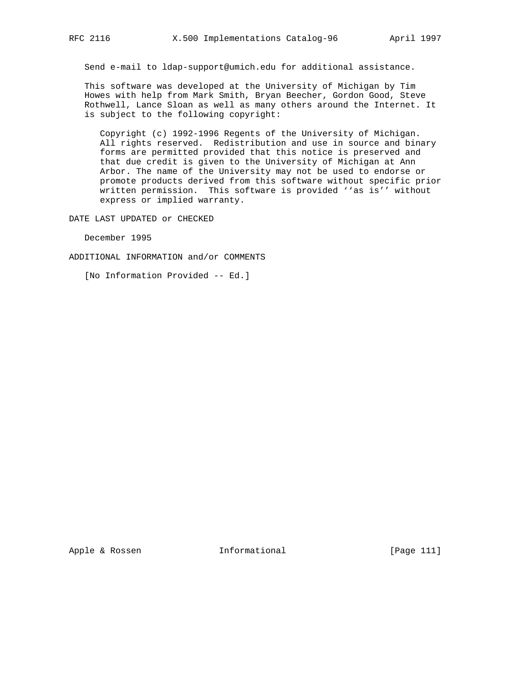Send e-mail to ldap-support@umich.edu for additional assistance.

 This software was developed at the University of Michigan by Tim Howes with help from Mark Smith, Bryan Beecher, Gordon Good, Steve Rothwell, Lance Sloan as well as many others around the Internet. It is subject to the following copyright:

 Copyright (c) 1992-1996 Regents of the University of Michigan. All rights reserved. Redistribution and use in source and binary forms are permitted provided that this notice is preserved and that due credit is given to the University of Michigan at Ann Arbor. The name of the University may not be used to endorse or promote products derived from this software without specific prior written permission. This software is provided ''as is'' without express or implied warranty.

DATE LAST UPDATED or CHECKED

December 1995

ADDITIONAL INFORMATION and/or COMMENTS

[No Information Provided -- Ed.]

Apple & Rossen **Informational** [Page 111]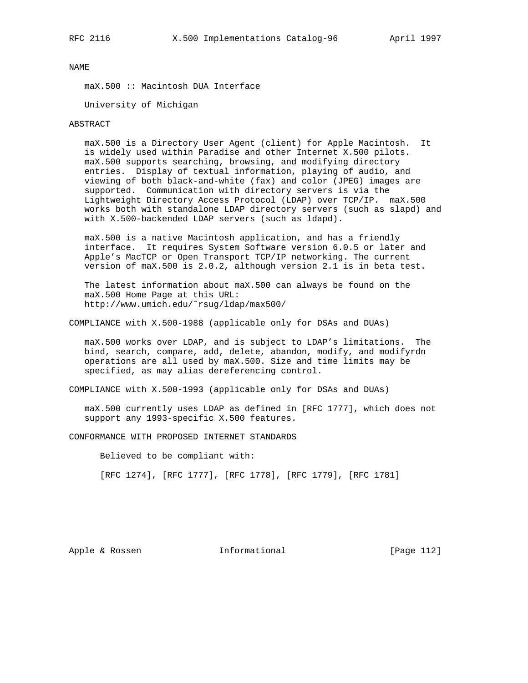maX.500 :: Macintosh DUA Interface

University of Michigan

#### ABSTRACT

 maX.500 is a Directory User Agent (client) for Apple Macintosh. It is widely used within Paradise and other Internet X.500 pilots. maX.500 supports searching, browsing, and modifying directory entries. Display of textual information, playing of audio, and viewing of both black-and-white (fax) and color (JPEG) images are supported. Communication with directory servers is via the Lightweight Directory Access Protocol (LDAP) over TCP/IP. maX.500 works both with standalone LDAP directory servers (such as slapd) and with X.500-backended LDAP servers (such as ldapd).

 maX.500 is a native Macintosh application, and has a friendly interface. It requires System Software version 6.0.5 or later and Apple's MacTCP or Open Transport TCP/IP networking. The current version of maX.500 is 2.0.2, although version 2.1 is in beta test.

 The latest information about maX.500 can always be found on the maX.500 Home Page at this URL: http://www.umich.edu/˜rsug/ldap/max500/

COMPLIANCE with X.500-1988 (applicable only for DSAs and DUAs)

 maX.500 works over LDAP, and is subject to LDAP's limitations. The bind, search, compare, add, delete, abandon, modify, and modifyrdn operations are all used by maX.500. Size and time limits may be specified, as may alias dereferencing control.

COMPLIANCE with X.500-1993 (applicable only for DSAs and DUAs)

 maX.500 currently uses LDAP as defined in [RFC 1777], which does not support any 1993-specific X.500 features.

CONFORMANCE WITH PROPOSED INTERNET STANDARDS

Believed to be compliant with:

[RFC 1274], [RFC 1777], [RFC 1778], [RFC 1779], [RFC 1781]

Apple & Rossen **Informational** [Page 112]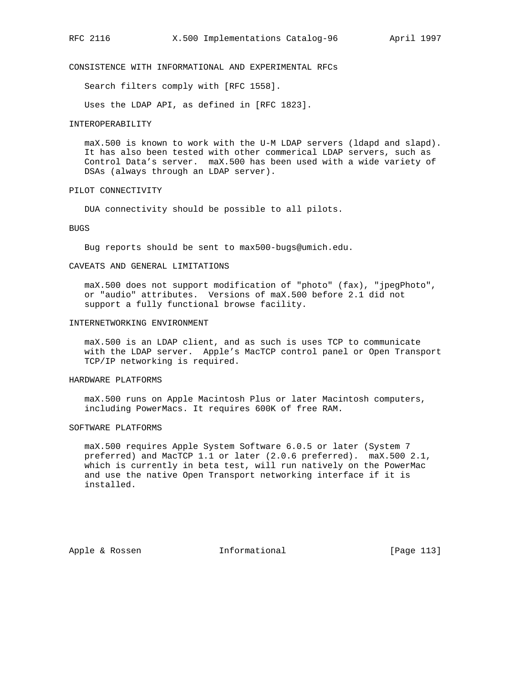# CONSISTENCE WITH INFORMATIONAL AND EXPERIMENTAL RFCs

Search filters comply with [RFC 1558].

Uses the LDAP API, as defined in [RFC 1823].

#### INTEROPERABILITY

 maX.500 is known to work with the U-M LDAP servers (ldapd and slapd). It has also been tested with other commerical LDAP servers, such as Control Data's server. maX.500 has been used with a wide variety of DSAs (always through an LDAP server).

#### PILOT CONNECTIVITY

DUA connectivity should be possible to all pilots.

#### BUGS

Bug reports should be sent to max500-bugs@umich.edu.

#### CAVEATS AND GENERAL LIMITATIONS

maX.500 does not support modification of "photo" (fax), "jpegPhoto", or "audio" attributes. Versions of maX.500 before 2.1 did not support a fully functional browse facility.

#### INTERNETWORKING ENVIRONMENT

 maX.500 is an LDAP client, and as such is uses TCP to communicate with the LDAP server. Apple's MacTCP control panel or Open Transport TCP/IP networking is required.

#### HARDWARE PLATFORMS

 maX.500 runs on Apple Macintosh Plus or later Macintosh computers, including PowerMacs. It requires 600K of free RAM.

## SOFTWARE PLATFORMS

 maX.500 requires Apple System Software 6.0.5 or later (System 7 preferred) and MacTCP 1.1 or later (2.0.6 preferred). maX.500 2.1, which is currently in beta test, will run natively on the PowerMac and use the native Open Transport networking interface if it is installed.

Apple & Rossen **Informational** [Page 113]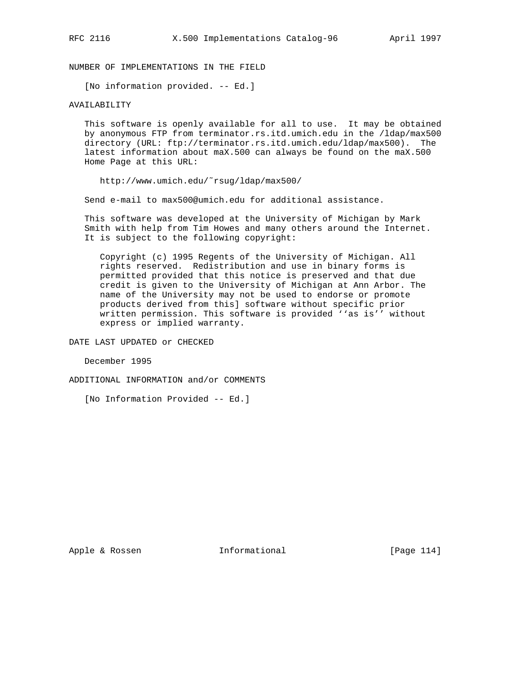NUMBER OF IMPLEMENTATIONS IN THE FIELD

[No information provided. -- Ed.]

## AVAILABILITY

 This software is openly available for all to use. It may be obtained by anonymous FTP from terminator.rs.itd.umich.edu in the /ldap/max500 directory (URL: ftp://terminator.rs.itd.umich.edu/ldap/max500). The latest information about maX.500 can always be found on the maX.500 Home Page at this URL:

http://www.umich.edu/˜rsug/ldap/max500/

Send e-mail to max500@umich.edu for additional assistance.

 This software was developed at the University of Michigan by Mark Smith with help from Tim Howes and many others around the Internet. It is subject to the following copyright:

 Copyright (c) 1995 Regents of the University of Michigan. All rights reserved. Redistribution and use in binary forms is permitted provided that this notice is preserved and that due credit is given to the University of Michigan at Ann Arbor. The name of the University may not be used to endorse or promote products derived from this] software without specific prior written permission. This software is provided ''as is'' without express or implied warranty.

DATE LAST UPDATED or CHECKED

December 1995

ADDITIONAL INFORMATION and/or COMMENTS

[No Information Provided -- Ed.]

Apple & Rossen **Informational** [Page 114]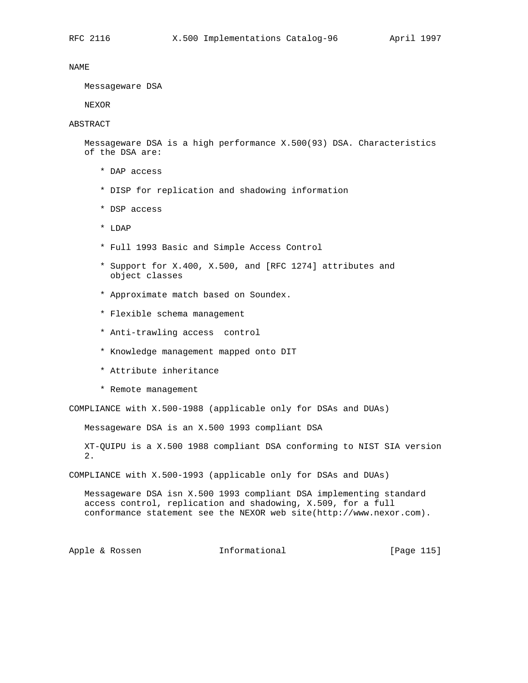Messageware DSA

NEXOR

#### ABSTRACT

 Messageware DSA is a high performance X.500(93) DSA. Characteristics of the DSA are:

- \* DAP access
- \* DISP for replication and shadowing information
- \* DSP access
- \* LDAP
- \* Full 1993 Basic and Simple Access Control
- \* Support for X.400, X.500, and [RFC 1274] attributes and object classes
- \* Approximate match based on Soundex.
- \* Flexible schema management
- \* Anti-trawling access control
- \* Knowledge management mapped onto DIT
- \* Attribute inheritance
- \* Remote management

COMPLIANCE with X.500-1988 (applicable only for DSAs and DUAs)

Messageware DSA is an X.500 1993 compliant DSA

 XT-QUIPU is a X.500 1988 compliant DSA conforming to NIST SIA version 2.

COMPLIANCE with X.500-1993 (applicable only for DSAs and DUAs)

 Messageware DSA isn X.500 1993 compliant DSA implementing standard access control, replication and shadowing, X.509, for a full conformance statement see the NEXOR web site(http://www.nexor.com).

Apple & Rossen **Informational** [Page 115]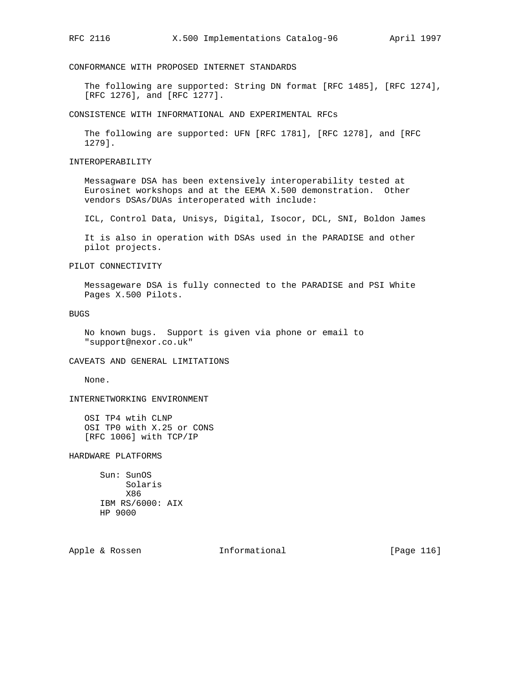CONFORMANCE WITH PROPOSED INTERNET STANDARDS

 The following are supported: String DN format [RFC 1485], [RFC 1274], [RFC 1276], and [RFC 1277].

CONSISTENCE WITH INFORMATIONAL AND EXPERIMENTAL RFCs

 The following are supported: UFN [RFC 1781], [RFC 1278], and [RFC 1279].

INTEROPERABILITY

 Messagware DSA has been extensively interoperability tested at Eurosinet workshops and at the EEMA X.500 demonstration. Other vendors DSAs/DUAs interoperated with include:

ICL, Control Data, Unisys, Digital, Isocor, DCL, SNI, Boldon James

 It is also in operation with DSAs used in the PARADISE and other pilot projects.

PILOT CONNECTIVITY

 Messageware DSA is fully connected to the PARADISE and PSI White Pages X.500 Pilots.

BUGS

 No known bugs. Support is given via phone or email to "support@nexor.co.uk"

CAVEATS AND GENERAL LIMITATIONS

None.

INTERNETWORKING ENVIRONMENT

 OSI TP4 wtih CLNP OSI TP0 with X.25 or CONS [RFC 1006] with TCP/IP

HARDWARE PLATFORMS

 Sun: SunOS Solaris X86 IBM RS/6000: AIX HP 9000

Apple & Rossen **Informational** [Page 116]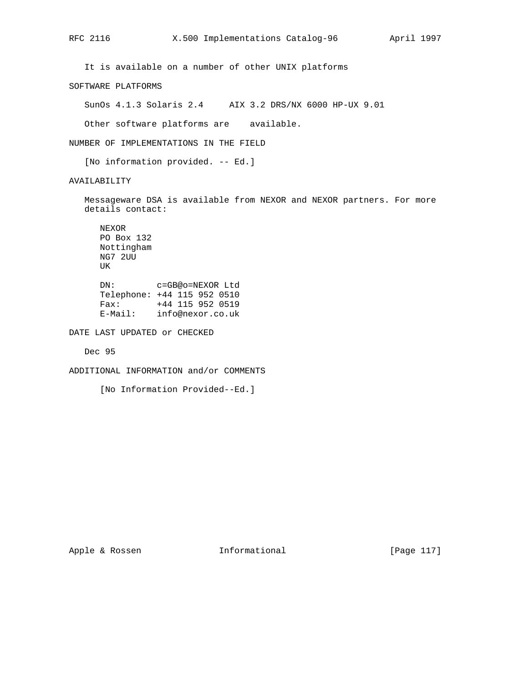It is available on a number of other UNIX platforms

SOFTWARE PLATFORMS

SunOs 4.1.3 Solaris 2.4 AIX 3.2 DRS/NX 6000 HP-UX 9.01

Other software platforms are available.

NUMBER OF IMPLEMENTATIONS IN THE FIELD

[No information provided. -- Ed.]

AVAILABILITY

 Messageware DSA is available from NEXOR and NEXOR partners. For more details contact:

 NEXOR PO Box 132 Nottingham NG7 2UU UK DN: c=GB@o=NEXOR Ltd

 Telephone: +44 115 952 0510 Fax: +44 115 952 0519 E-Mail: info@nexor.co.uk

DATE LAST UPDATED or CHECKED

Dec 95

ADDITIONAL INFORMATION and/or COMMENTS

[No Information Provided--Ed.]

Apple & Rossen **Informational** [Page 117]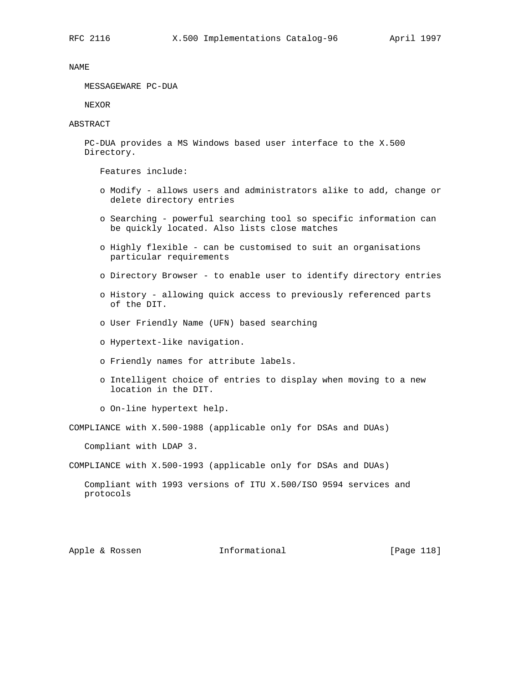MESSAGEWARE PC-DUA

NEXOR

ABSTRACT

 PC-DUA provides a MS Windows based user interface to the X.500 Directory.

Features include:

- o Modify allows users and administrators alike to add, change or delete directory entries
- o Searching powerful searching tool so specific information can be quickly located. Also lists close matches
- o Highly flexible can be customised to suit an organisations particular requirements
- o Directory Browser to enable user to identify directory entries
- o History allowing quick access to previously referenced parts of the DIT.
- o User Friendly Name (UFN) based searching
- o Hypertext-like navigation.
- o Friendly names for attribute labels.
- o Intelligent choice of entries to display when moving to a new location in the DIT.
- o On-line hypertext help.

COMPLIANCE with X.500-1988 (applicable only for DSAs and DUAs)

Compliant with LDAP 3.

COMPLIANCE with X.500-1993 (applicable only for DSAs and DUAs)

 Compliant with 1993 versions of ITU X.500/ISO 9594 services and protocols

Apple & Rossen **Informational** [Page 118]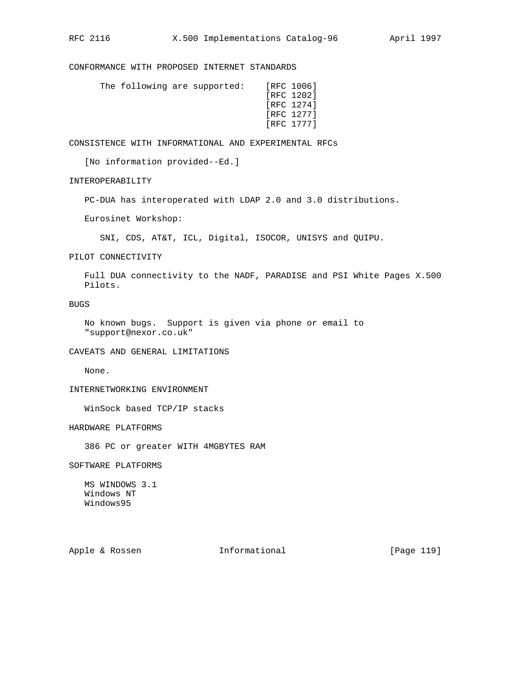CONFORMANCE WITH PROPOSED INTERNET STANDARDS

|  | The following are supported: |  |  | [RFC 1006] |
|--|------------------------------|--|--|------------|
|  |                              |  |  | [RFC 1202] |
|  |                              |  |  | [RFC 1274] |
|  |                              |  |  | [RFC 1277] |
|  |                              |  |  | [RFC 1777] |
|  |                              |  |  |            |

CONSISTENCE WITH INFORMATIONAL AND EXPERIMENTAL RFCs

[No information provided--Ed.]

INTEROPERABILITY

PC-DUA has interoperated with LDAP 2.0 and 3.0 distributions.

Eurosinet Workshop:

SNI, CDS, AT&T, ICL, Digital, ISOCOR, UNISYS and QUIPU.

PILOT CONNECTIVITY

 Full DUA connectivity to the NADF, PARADISE and PSI White Pages X.500 Pilots.

BUGS

 No known bugs. Support is given via phone or email to "support@nexor.co.uk"

CAVEATS AND GENERAL LIMITATIONS

None.

INTERNETWORKING ENVIRONMENT

WinSock based TCP/IP stacks

HARDWARE PLATFORMS

386 PC or greater WITH 4MGBYTES RAM

SOFTWARE PLATFORMS

 MS WINDOWS 3.1 Windows NT Windows95

Apple & Rossen **Informational** [Page 119]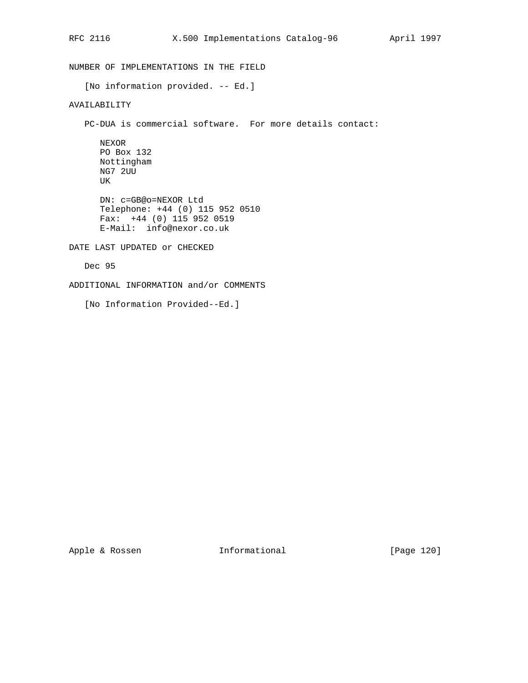NUMBER OF IMPLEMENTATIONS IN THE FIELD [No information provided. -- Ed.] AVAILABILITY PC-DUA is commercial software. For more details contact: NEXOR PO Box 132 Nottingham NG7 2UU UK DN: c=GB@o=NEXOR Ltd Telephone: +44 (0) 115 952 0510 Fax: +44 (0) 115 952 0519 E-Mail: info@nexor.co.uk DATE LAST UPDATED or CHECKED Dec 95

ADDITIONAL INFORMATION and/or COMMENTS

[No Information Provided--Ed.]

Apple & Rossen **Informational** [Page 120]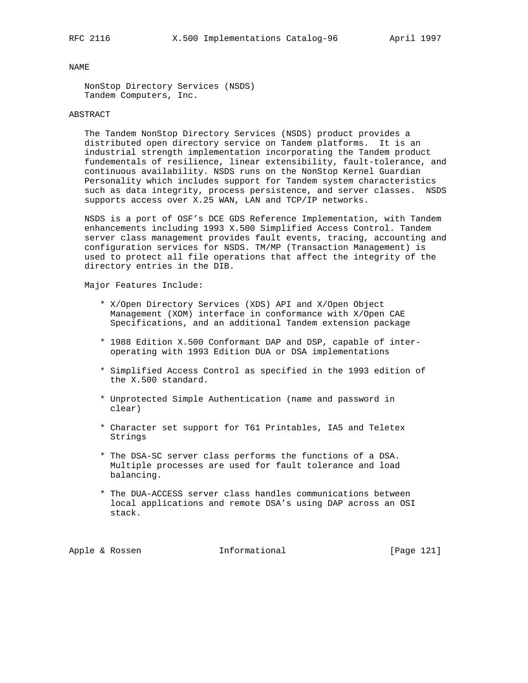NonStop Directory Services (NSDS) Tandem Computers, Inc.

### ABSTRACT

 The Tandem NonStop Directory Services (NSDS) product provides a distributed open directory service on Tandem platforms. It is an industrial strength implementation incorporating the Tandem product fundementals of resilience, linear extensibility, fault-tolerance, and continuous availability. NSDS runs on the NonStop Kernel Guardian Personality which includes support for Tandem system characteristics such as data integrity, process persistence, and server classes. NSDS supports access over X.25 WAN, LAN and TCP/IP networks.

 NSDS is a port of OSF's DCE GDS Reference Implementation, with Tandem enhancements including 1993 X.500 Simplified Access Control. Tandem server class management provides fault events, tracing, accounting and configuration services for NSDS. TM/MP (Transaction Management) is used to protect all file operations that affect the integrity of the directory entries in the DIB.

Major Features Include:

- \* X/Open Directory Services (XDS) API and X/Open Object Management (XOM) interface in conformance with X/Open CAE Specifications, and an additional Tandem extension package
- \* 1988 Edition X.500 Conformant DAP and DSP, capable of inter operating with 1993 Edition DUA or DSA implementations
- \* Simplified Access Control as specified in the 1993 edition of the X.500 standard.
- \* Unprotected Simple Authentication (name and password in clear)
- \* Character set support for T61 Printables, IA5 and Teletex Strings
- \* The DSA-SC server class performs the functions of a DSA. Multiple processes are used for fault tolerance and load balancing.
- \* The DUA-ACCESS server class handles communications between local applications and remote DSA's using DAP across an OSI stack.

Apple & Rossen **Informational** [Page 121]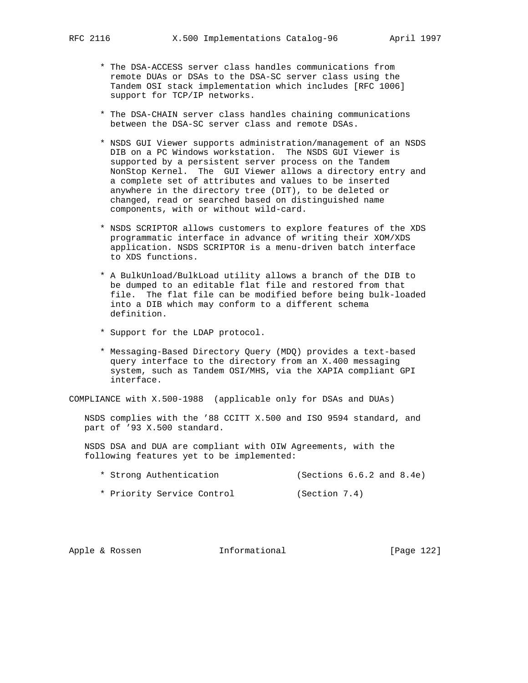- \* The DSA-ACCESS server class handles communications from remote DUAs or DSAs to the DSA-SC server class using the Tandem OSI stack implementation which includes [RFC 1006] support for TCP/IP networks.
- \* The DSA-CHAIN server class handles chaining communications between the DSA-SC server class and remote DSAs.
- \* NSDS GUI Viewer supports administration/management of an NSDS DIB on a PC Windows workstation. The NSDS GUI Viewer is supported by a persistent server process on the Tandem NonStop Kernel. The GUI Viewer allows a directory entry and a complete set of attributes and values to be inserted anywhere in the directory tree (DIT), to be deleted or changed, read or searched based on distinguished name components, with or without wild-card.
- \* NSDS SCRIPTOR allows customers to explore features of the XDS programmatic interface in advance of writing their XOM/XDS application. NSDS SCRIPTOR is a menu-driven batch interface to XDS functions.
- \* A BulkUnload/BulkLoad utility allows a branch of the DIB to be dumped to an editable flat file and restored from that file. The flat file can be modified before being bulk-loaded into a DIB which may conform to a different schema definition.
- \* Support for the LDAP protocol.
- \* Messaging-Based Directory Query (MDQ) provides a text-based query interface to the directory from an X.400 messaging system, such as Tandem OSI/MHS, via the XAPIA compliant GPI interface.

COMPLIANCE with X.500-1988 (applicable only for DSAs and DUAs)

 NSDS complies with the '88 CCITT X.500 and ISO 9594 standard, and part of '93 X.500 standard.

 NSDS DSA and DUA are compliant with OIW Agreements, with the following features yet to be implemented:

- \* Strong Authentication (Sections 6.6.2 and 8.4e)
- \* Priority Service Control (Section 7.4)

Apple & Rossen **Informational** [Page 122]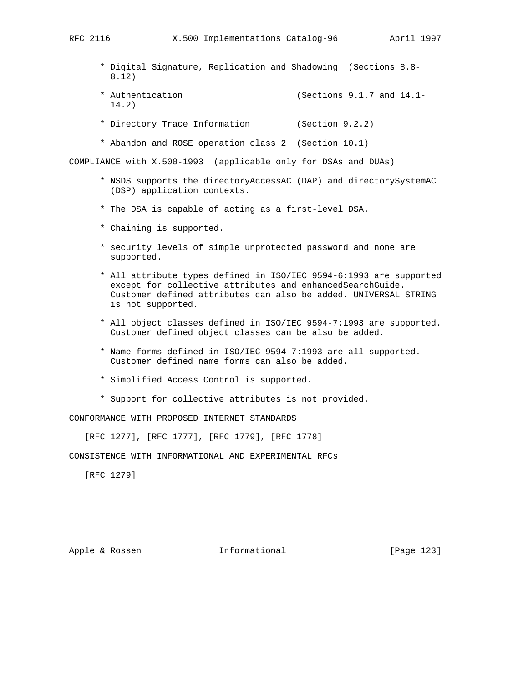- \* Digital Signature, Replication and Shadowing (Sections 8.8- 8.12)
- \* Authentication (Sections 9.1.7 and 14.1- 14.2)
- \* Directory Trace Information (Section 9.2.2)
- \* Abandon and ROSE operation class 2 (Section 10.1)

COMPLIANCE with X.500-1993 (applicable only for DSAs and DUAs)

- \* NSDS supports the directoryAccessAC (DAP) and directorySystemAC (DSP) application contexts.
- \* The DSA is capable of acting as a first-level DSA.
- \* Chaining is supported.
- \* security levels of simple unprotected password and none are supported.
- \* All attribute types defined in ISO/IEC 9594-6:1993 are supported except for collective attributes and enhancedSearchGuide. Customer defined attributes can also be added. UNIVERSAL STRING is not supported.
- \* All object classes defined in ISO/IEC 9594-7:1993 are supported. Customer defined object classes can be also be added.
- \* Name forms defined in ISO/IEC 9594-7:1993 are all supported. Customer defined name forms can also be added.
- \* Simplified Access Control is supported.
- \* Support for collective attributes is not provided.

CONFORMANCE WITH PROPOSED INTERNET STANDARDS

[RFC 1277], [RFC 1777], [RFC 1779], [RFC 1778]

CONSISTENCE WITH INFORMATIONAL AND EXPERIMENTAL RFCs

[RFC 1279]

Apple & Rossen **Informational** [Page 123]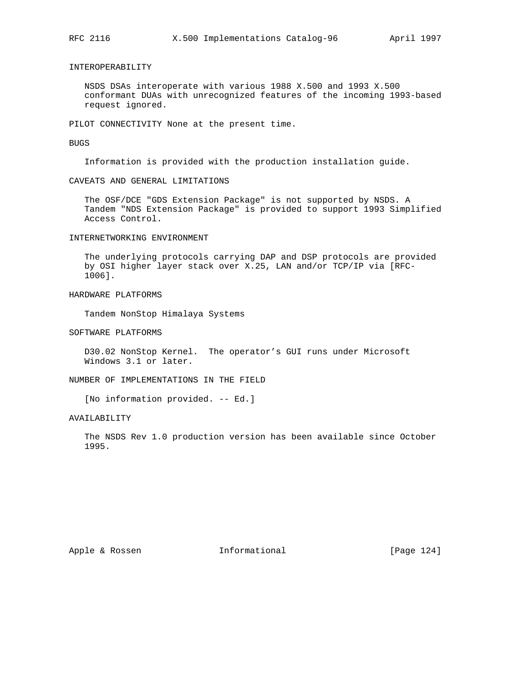# INTEROPERABILITY

 NSDS DSAs interoperate with various 1988 X.500 and 1993 X.500 conformant DUAs with unrecognized features of the incoming 1993-based request ignored.

PILOT CONNECTIVITY None at the present time.

BUGS

Information is provided with the production installation guide.

CAVEATS AND GENERAL LIMITATIONS

 The OSF/DCE "GDS Extension Package" is not supported by NSDS. A Tandem "NDS Extension Package" is provided to support 1993 Simplified Access Control.

INTERNETWORKING ENVIRONMENT

 The underlying protocols carrying DAP and DSP protocols are provided by OSI higher layer stack over X.25, LAN and/or TCP/IP via [RFC- 1006].

# HARDWARE PLATFORMS

Tandem NonStop Himalaya Systems

SOFTWARE PLATFORMS

 D30.02 NonStop Kernel. The operator's GUI runs under Microsoft Windows 3.1 or later.

NUMBER OF IMPLEMENTATIONS IN THE FIELD

[No information provided. -- Ed.]

AVAILABILITY

 The NSDS Rev 1.0 production version has been available since October 1995.

Apple & Rossen **Informational** [Page 124]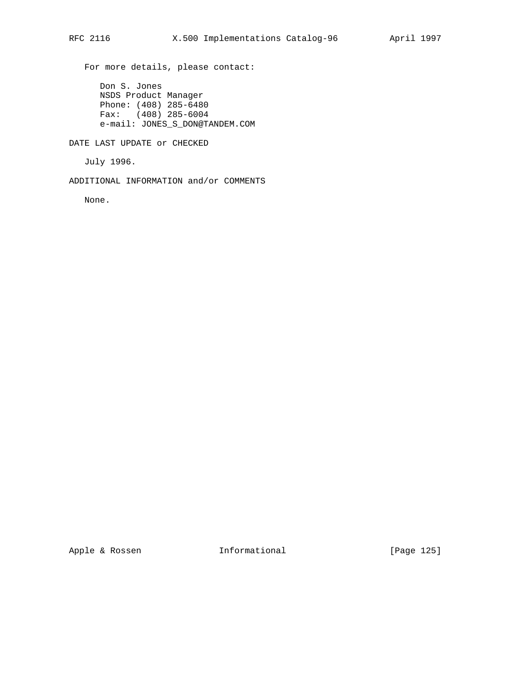For more details, please contact:

 Don S. Jones NSDS Product Manager Phone: (408) 285-6480 Fax: (408) 285-6004 e-mail: JONES\_S\_DON@TANDEM.COM

DATE LAST UPDATE or CHECKED

July 1996.

ADDITIONAL INFORMATION and/or COMMENTS

None.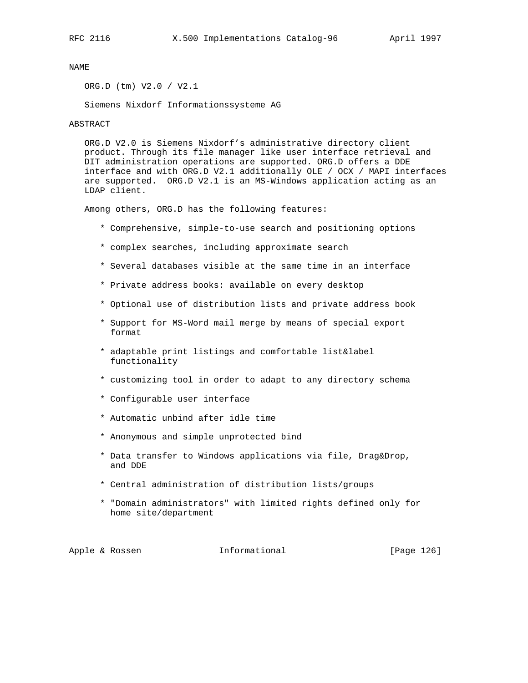ORG.D (tm) V2.0 / V2.1

Siemens Nixdorf Informationssysteme AG

#### ABSTRACT

 ORG.D V2.0 is Siemens Nixdorf's administrative directory client product. Through its file manager like user interface retrieval and DIT administration operations are supported. ORG.D offers a DDE interface and with ORG.D V2.1 additionally OLE / OCX / MAPI interfaces are supported. ORG.D V2.1 is an MS-Windows application acting as an LDAP client.

Among others, ORG.D has the following features:

- \* Comprehensive, simple-to-use search and positioning options
- \* complex searches, including approximate search
- \* Several databases visible at the same time in an interface
- \* Private address books: available on every desktop
- \* Optional use of distribution lists and private address book
- \* Support for MS-Word mail merge by means of special export format
- \* adaptable print listings and comfortable list&label functionality
- \* customizing tool in order to adapt to any directory schema
- \* Configurable user interface
- \* Automatic unbind after idle time
- \* Anonymous and simple unprotected bind
- \* Data transfer to Windows applications via file, Drag&Drop, and DDE
- \* Central administration of distribution lists/groups
- \* "Domain administrators" with limited rights defined only for home site/department

Apple & Rossen **Informational** [Page 126]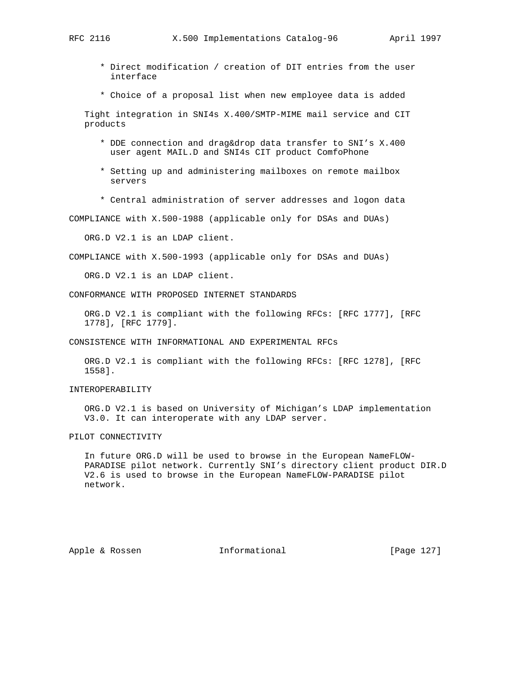- \* Direct modification / creation of DIT entries from the user interface
- \* Choice of a proposal list when new employee data is added

 Tight integration in SNI4s X.400/SMTP-MIME mail service and CIT products

- \* DDE connection and drag&drop data transfer to SNI's X.400 user agent MAIL.D and SNI4s CIT product ComfoPhone
- \* Setting up and administering mailboxes on remote mailbox servers
- \* Central administration of server addresses and logon data

COMPLIANCE with X.500-1988 (applicable only for DSAs and DUAs)

ORG.D V2.1 is an LDAP client.

COMPLIANCE with X.500-1993 (applicable only for DSAs and DUAs)

ORG.D V2.1 is an LDAP client.

CONFORMANCE WITH PROPOSED INTERNET STANDARDS

 ORG.D V2.1 is compliant with the following RFCs: [RFC 1777], [RFC 1778], [RFC 1779].

CONSISTENCE WITH INFORMATIONAL AND EXPERIMENTAL RFCs

 ORG.D V2.1 is compliant with the following RFCs: [RFC 1278], [RFC 1558].

#### INTEROPERABILITY

 ORG.D V2.1 is based on University of Michigan's LDAP implementation V3.0. It can interoperate with any LDAP server.

## PILOT CONNECTIVITY

 In future ORG.D will be used to browse in the European NameFLOW- PARADISE pilot network. Currently SNI's directory client product DIR.D V2.6 is used to browse in the European NameFLOW-PARADISE pilot network.

Apple & Rossen **Informational** [Page 127]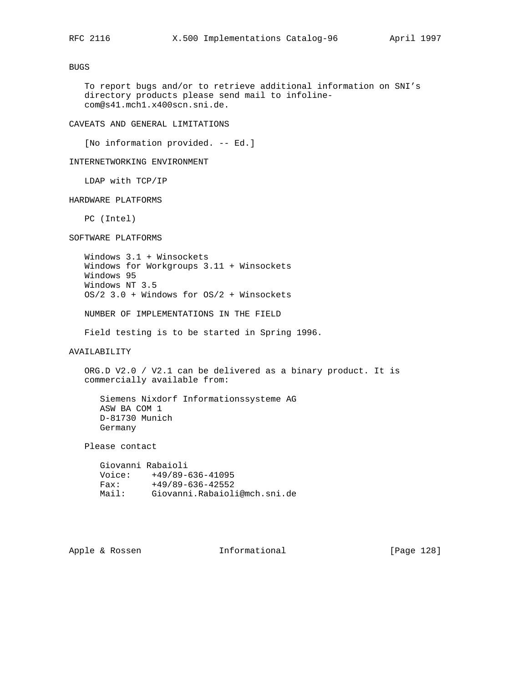BUGS

 To report bugs and/or to retrieve additional information on SNI's directory products please send mail to infoline com@s41.mch1.x400scn.sni.de.

# CAVEATS AND GENERAL LIMITATIONS

[No information provided. -- Ed.]

INTERNETWORKING ENVIRONMENT

LDAP with TCP/IP

HARDWARE PLATFORMS

PC (Intel)

SOFTWARE PLATFORMS

 Windows 3.1 + Winsockets Windows for Workgroups 3.11 + Winsockets Windows 95 Windows NT 3.5 OS/2 3.0 + Windows for OS/2 + Winsockets

NUMBER OF IMPLEMENTATIONS IN THE FIELD

Field testing is to be started in Spring 1996.

AVAILABILITY

 ORG.D V2.0 / V2.1 can be delivered as a binary product. It is commercially available from:

 Siemens Nixdorf Informationssysteme AG ASW BA COM 1 D-81730 Munich Germany

Please contact

 Giovanni Rabaioli Voice: +49/89-636-41095 Fax: +49/89-636-42552 Mail: Giovanni.Rabaioli@mch.sni.de

Apple & Rossen **Informational** [Page 128]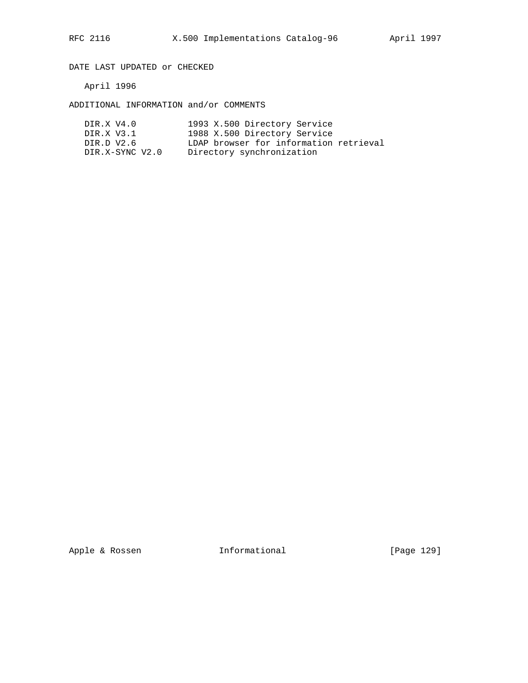DATE LAST UPDATED or CHECKED

April 1996

ADDITIONAL INFORMATION and/or COMMENTS

| DIR.X V4.0      | 1993 X.500 Directory Service           |
|-----------------|----------------------------------------|
| DIR.X V3.1      | 1988 X.500 Directory Service           |
| DIR.D V2.6      | LDAP browser for information retrieval |
| DIR.X-SYNC V2.0 | Directory synchronization              |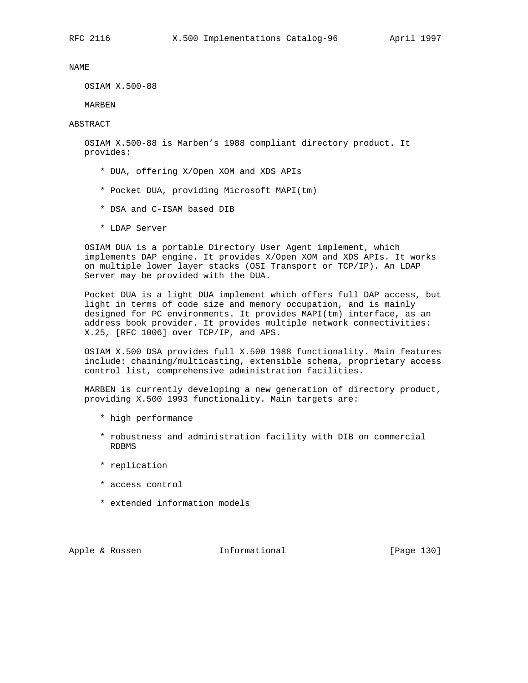OSIAM X.500-88

MARBEN

ABSTRACT

 OSIAM X.500-88 is Marben's 1988 compliant directory product. It provides:

- \* DUA, offering X/Open XOM and XDS APIs
- \* Pocket DUA, providing Microsoft MAPI(tm)
- \* DSA and C-ISAM based DIB
- \* LDAP Server

 OSIAM DUA is a portable Directory User Agent implement, which implements DAP engine. It provides X/Open XOM and XDS APIs. It works on multiple lower layer stacks (OSI Transport or TCP/IP). An LDAP Server may be provided with the DUA.

 Pocket DUA is a light DUA implement which offers full DAP access, but light in terms of code size and memory occupation, and is mainly designed for PC environments. It provides MAPI(tm) interface, as an address book provider. It provides multiple network connectivities: X.25, [RFC 1006] over TCP/IP, and APS.

 OSIAM X.500 DSA provides full X.500 1988 functionality. Main features include: chaining/multicasting, extensible schema, proprietary access control list, comprehensive administration facilities.

 MARBEN is currently developing a new generation of directory product, providing X.500 1993 functionality. Main targets are:

- \* high performance
- \* robustness and administration facility with DIB on commercial RDBMS
- \* replication
- \* access control
- \* extended information models

Apple & Rossen **Informational** [Page 130]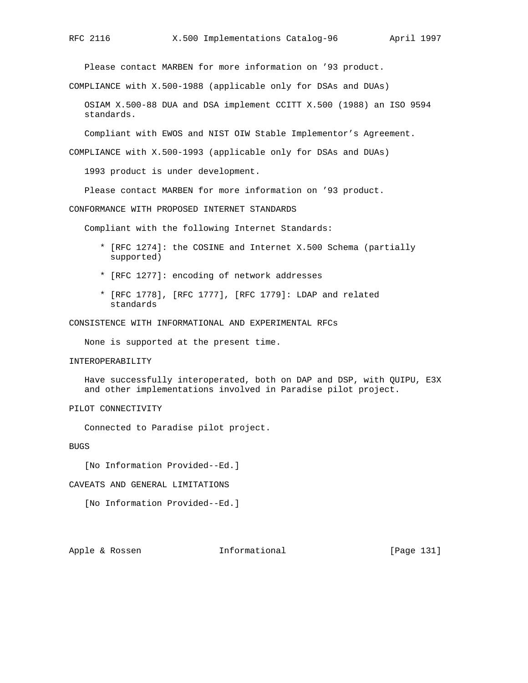Please contact MARBEN for more information on '93 product.

COMPLIANCE with X.500-1988 (applicable only for DSAs and DUAs)

 OSIAM X.500-88 DUA and DSA implement CCITT X.500 (1988) an ISO 9594 standards.

Compliant with EWOS and NIST OIW Stable Implementor's Agreement.

COMPLIANCE with X.500-1993 (applicable only for DSAs and DUAs)

1993 product is under development.

Please contact MARBEN for more information on '93 product.

CONFORMANCE WITH PROPOSED INTERNET STANDARDS

Compliant with the following Internet Standards:

- \* [RFC 1274]: the COSINE and Internet X.500 Schema (partially supported)
- \* [RFC 1277]: encoding of network addresses
- \* [RFC 1778], [RFC 1777], [RFC 1779]: LDAP and related standards

CONSISTENCE WITH INFORMATIONAL AND EXPERIMENTAL RFCs

None is supported at the present time.

#### INTEROPERABILITY

 Have successfully interoperated, both on DAP and DSP, with QUIPU, E3X and other implementations involved in Paradise pilot project.

# PILOT CONNECTIVITY

Connected to Paradise pilot project.

BUGS

[No Information Provided--Ed.]

#### CAVEATS AND GENERAL LIMITATIONS

[No Information Provided--Ed.]

Apple & Rossen **Informational** [Page 131]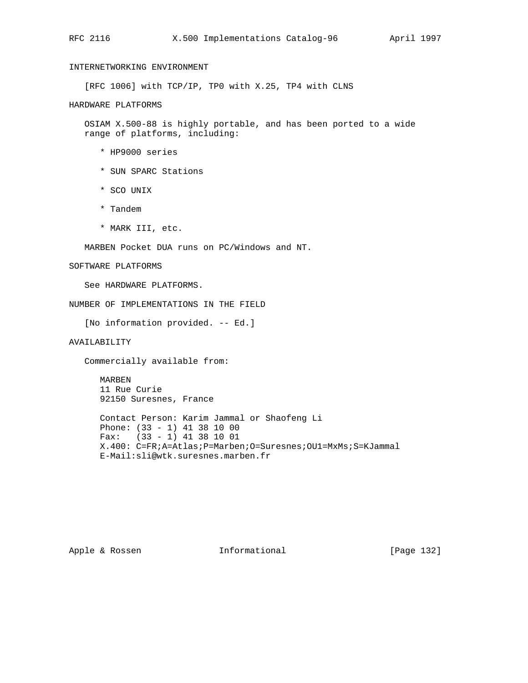# INTERNETWORKING ENVIRONMENT

[RFC 1006] with TCP/IP, TP0 with X.25, TP4 with CLNS

HARDWARE PLATFORMS

 OSIAM X.500-88 is highly portable, and has been ported to a wide range of platforms, including:

- \* HP9000 series
- \* SUN SPARC Stations
- \* SCO UNIX
- \* Tandem
- \* MARK III, etc.

MARBEN Pocket DUA runs on PC/Windows and NT.

### SOFTWARE PLATFORMS

See HARDWARE PLATFORMS.

NUMBER OF IMPLEMENTATIONS IN THE FIELD

[No information provided. -- Ed.]

AVAILABILITY

Commercially available from:

 MARBEN 11 Rue Curie 92150 Suresnes, France

 Contact Person: Karim Jammal or Shaofeng Li Phone: (33 - 1) 41 38 10 00 Fax: (33 - 1) 41 38 10 01 X.400: C=FR;A=Atlas;P=Marben;O=Suresnes;OU1=MxMs;S=KJammal E-Mail:sli@wtk.suresnes.marben.fr

Apple & Rossen **Informational** [Page 132]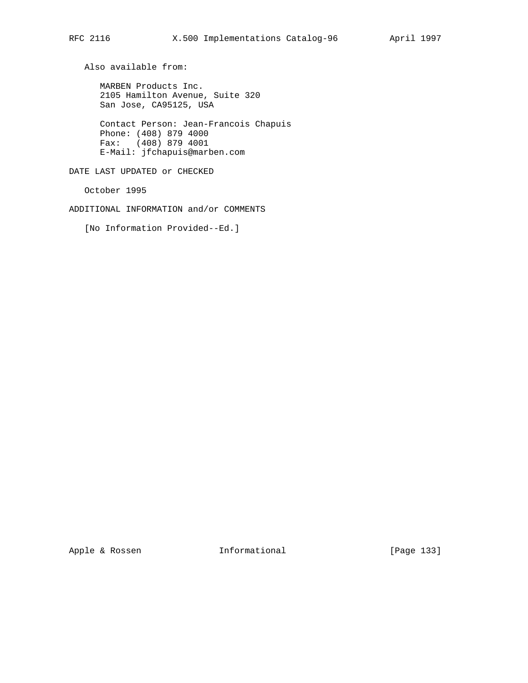Also available from:

 MARBEN Products Inc. 2105 Hamilton Avenue, Suite 320 San Jose, CA95125, USA

 Contact Person: Jean-Francois Chapuis Phone: (408) 879 4000 Fax: (408) 879 4001 E-Mail: jfchapuis@marben.com

DATE LAST UPDATED or CHECKED

October 1995

ADDITIONAL INFORMATION and/or COMMENTS

[No Information Provided--Ed.]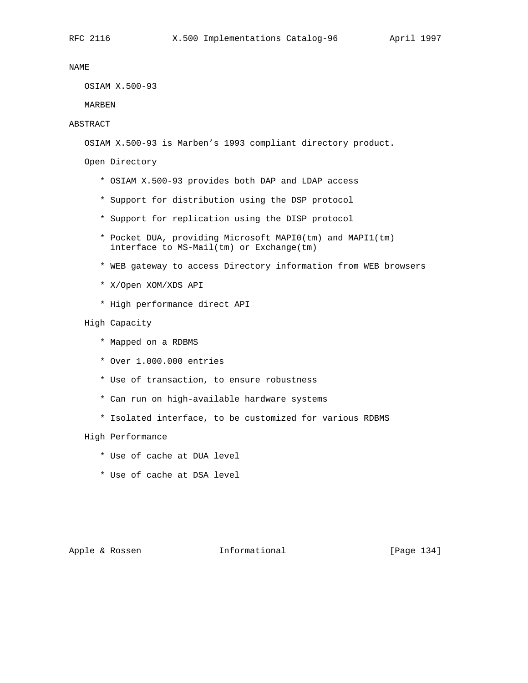OSIAM X.500-93

MARBEN

# ABSTRACT

OSIAM X.500-93 is Marben's 1993 compliant directory product.

Open Directory

- \* OSIAM X.500-93 provides both DAP and LDAP access
- \* Support for distribution using the DSP protocol
- \* Support for replication using the DISP protocol
- \* Pocket DUA, providing Microsoft MAPI0(tm) and MAPI1(tm) interface to MS-Mail(tm) or Exchange(tm)
- \* WEB gateway to access Directory information from WEB browsers
- \* X/Open XOM/XDS API
- \* High performance direct API

High Capacity

- \* Mapped on a RDBMS
- \* Over 1.000.000 entries
- \* Use of transaction, to ensure robustness
- \* Can run on high-available hardware systems
- \* Isolated interface, to be customized for various RDBMS

High Performance

- \* Use of cache at DUA level
- \* Use of cache at DSA level

Apple & Rossen **Informational** [Page 134]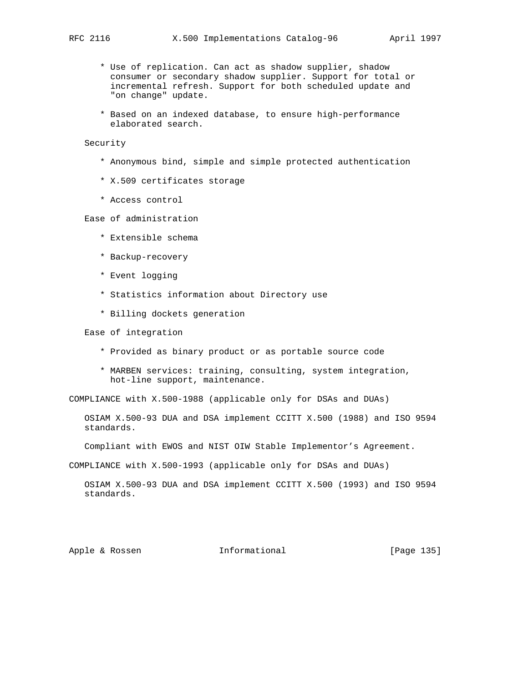- \* Use of replication. Can act as shadow supplier, shadow consumer or secondary shadow supplier. Support for total or incremental refresh. Support for both scheduled update and "on change" update.
- \* Based on an indexed database, to ensure high-performance elaborated search.

# Security

- \* Anonymous bind, simple and simple protected authentication
- \* X.509 certificates storage
- \* Access control

# Ease of administration

- \* Extensible schema
- \* Backup-recovery
- \* Event logging
- \* Statistics information about Directory use
- \* Billing dockets generation

Ease of integration

- \* Provided as binary product or as portable source code
- \* MARBEN services: training, consulting, system integration, hot-line support, maintenance.

COMPLIANCE with X.500-1988 (applicable only for DSAs and DUAs)

 OSIAM X.500-93 DUA and DSA implement CCITT X.500 (1988) and ISO 9594 standards.

Compliant with EWOS and NIST OIW Stable Implementor's Agreement.

COMPLIANCE with X.500-1993 (applicable only for DSAs and DUAs)

 OSIAM X.500-93 DUA and DSA implement CCITT X.500 (1993) and ISO 9594 standards.

Apple & Rossen **Informational** [Page 135]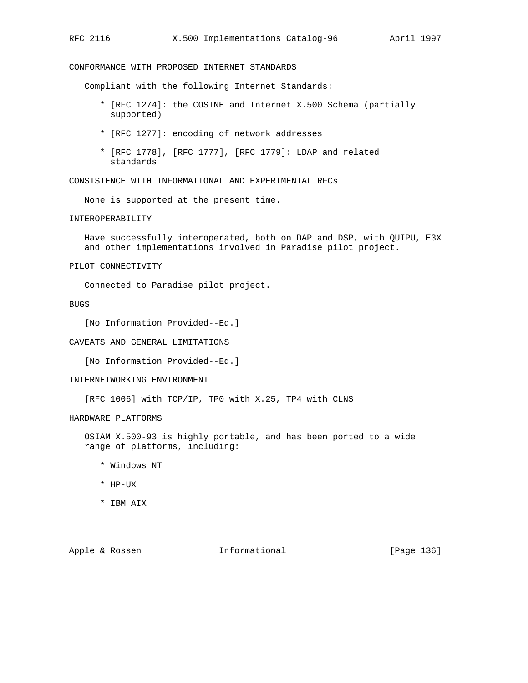CONFORMANCE WITH PROPOSED INTERNET STANDARDS

Compliant with the following Internet Standards:

- \* [RFC 1274]: the COSINE and Internet X.500 Schema (partially supported)
- \* [RFC 1277]: encoding of network addresses
- \* [RFC 1778], [RFC 1777], [RFC 1779]: LDAP and related standards

CONSISTENCE WITH INFORMATIONAL AND EXPERIMENTAL RFCs

None is supported at the present time.

INTEROPERABILITY

 Have successfully interoperated, both on DAP and DSP, with QUIPU, E3X and other implementations involved in Paradise pilot project.

PILOT CONNECTIVITY

Connected to Paradise pilot project.

BUGS

[No Information Provided--Ed.]

## CAVEATS AND GENERAL LIMITATIONS

[No Information Provided--Ed.]

#### INTERNETWORKING ENVIRONMENT

[RFC 1006] with TCP/IP, TP0 with X.25, TP4 with CLNS

HARDWARE PLATFORMS

 OSIAM X.500-93 is highly portable, and has been ported to a wide range of platforms, including:

- \* Windows NT
- \* HP-UX
- \* IBM AIX

Apple & Rossen **Informational** [Page 136]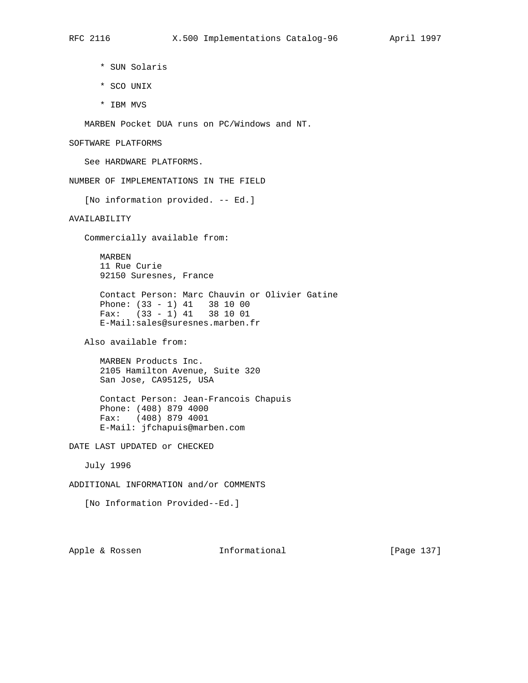- \* SUN Solaris
- \* SCO UNIX
- \* IBM MVS

MARBEN Pocket DUA runs on PC/Windows and NT.

SOFTWARE PLATFORMS

See HARDWARE PLATFORMS.

NUMBER OF IMPLEMENTATIONS IN THE FIELD

[No information provided. -- Ed.]

# AVAILABILITY

Commercially available from:

 MARBEN 11 Rue Curie 92150 Suresnes, France

 Contact Person: Marc Chauvin or Olivier Gatine Phone: (33 - 1) 41 38 10 00 Fax: (33 - 1) 41 38 10 01 E-Mail:sales@suresnes.marben.fr

Also available from:

 MARBEN Products Inc. 2105 Hamilton Avenue, Suite 320 San Jose, CA95125, USA

 Contact Person: Jean-Francois Chapuis Phone: (408) 879 4000 Fax: (408) 879 4001 E-Mail: jfchapuis@marben.com

DATE LAST UPDATED or CHECKED

July 1996

ADDITIONAL INFORMATION and/or COMMENTS

[No Information Provided--Ed.]

Apple & Rossen **Informational** [Page 137]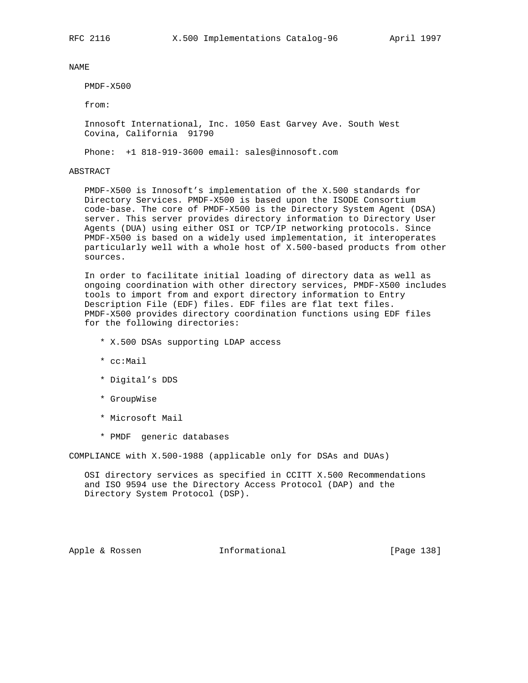PMDF-X500

from:

 Innosoft International, Inc. 1050 East Garvey Ave. South West Covina, California 91790

Phone: +1 818-919-3600 email: sales@innosoft.com

#### ABSTRACT

 PMDF-X500 is Innosoft's implementation of the X.500 standards for Directory Services. PMDF-X500 is based upon the ISODE Consortium code-base. The core of PMDF-X500 is the Directory System Agent (DSA) server. This server provides directory information to Directory User Agents (DUA) using either OSI or TCP/IP networking protocols. Since PMDF-X500 is based on a widely used implementation, it interoperates particularly well with a whole host of X.500-based products from other sources.

 In order to facilitate initial loading of directory data as well as ongoing coordination with other directory services, PMDF-X500 includes tools to import from and export directory information to Entry Description File (EDF) files. EDF files are flat text files. PMDF-X500 provides directory coordination functions using EDF files for the following directories:

- \* X.500 DSAs supporting LDAP access
- \* cc:Mail
- \* Digital's DDS
- \* GroupWise
- \* Microsoft Mail
- \* PMDF generic databases

COMPLIANCE with X.500-1988 (applicable only for DSAs and DUAs)

 OSI directory services as specified in CCITT X.500 Recommendations and ISO 9594 use the Directory Access Protocol (DAP) and the Directory System Protocol (DSP).

Apple & Rossen **Informational** [Page 138]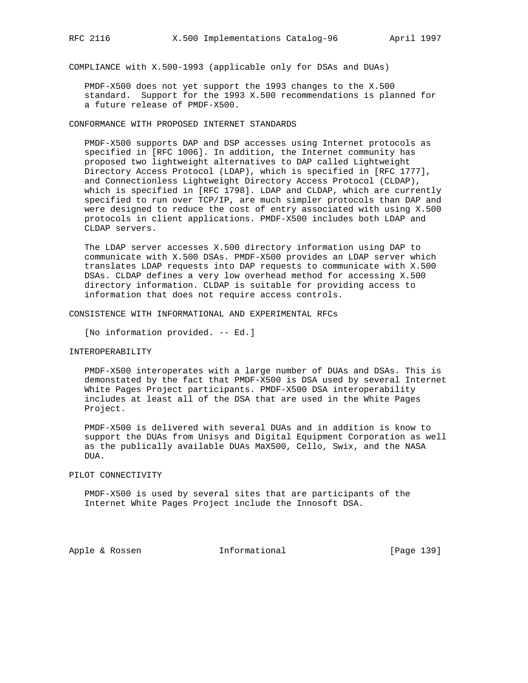COMPLIANCE with X.500-1993 (applicable only for DSAs and DUAs)

 PMDF-X500 does not yet support the 1993 changes to the X.500 standard. Support for the 1993 X.500 recommendations is planned for a future release of PMDF-X500.

CONFORMANCE WITH PROPOSED INTERNET STANDARDS

 PMDF-X500 supports DAP and DSP accesses using Internet protocols as specified in [RFC 1006]. In addition, the Internet community has proposed two lightweight alternatives to DAP called Lightweight Directory Access Protocol (LDAP), which is specified in [RFC 1777], and Connectionless Lightweight Directory Access Protocol (CLDAP), which is specified in [RFC 1798]. LDAP and CLDAP, which are currently specified to run over TCP/IP, are much simpler protocols than DAP and were designed to reduce the cost of entry associated with using X.500 protocols in client applications. PMDF-X500 includes both LDAP and CLDAP servers.

 The LDAP server accesses X.500 directory information using DAP to communicate with X.500 DSAs. PMDF-X500 provides an LDAP server which translates LDAP requests into DAP requests to communicate with X.500 DSAs. CLDAP defines a very low overhead method for accessing X.500 directory information. CLDAP is suitable for providing access to information that does not require access controls.

CONSISTENCE WITH INFORMATIONAL AND EXPERIMENTAL RFCs

[No information provided. -- Ed.]

#### INTEROPERABILITY

 PMDF-X500 interoperates with a large number of DUAs and DSAs. This is demonstated by the fact that PMDF-X500 is DSA used by several Internet White Pages Project participants. PMDF-X500 DSA interoperability includes at least all of the DSA that are used in the White Pages Project.

 PMDF-X500 is delivered with several DUAs and in addition is know to support the DUAs from Unisys and Digital Equipment Corporation as well as the publically available DUAs MaX500, Cello, Swix, and the NASA DUA.

PILOT CONNECTIVITY

 PMDF-X500 is used by several sites that are participants of the Internet White Pages Project include the Innosoft DSA.

Apple & Rossen **Informational** [Page 139]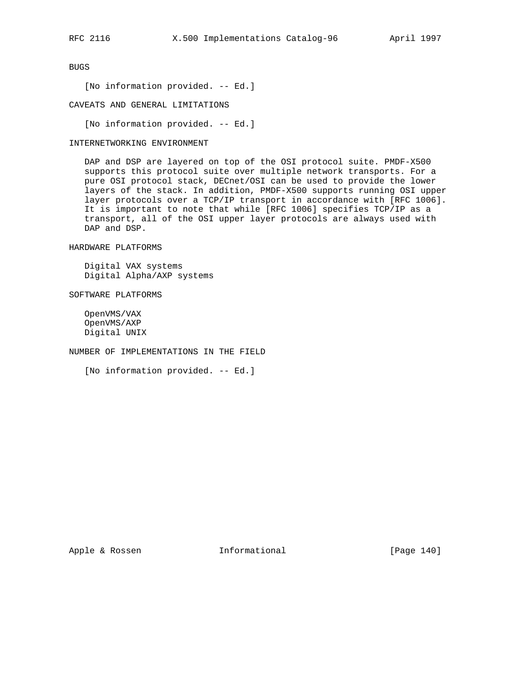BUGS

[No information provided. -- Ed.]

CAVEATS AND GENERAL LIMITATIONS

[No information provided. -- Ed.]

#### INTERNETWORKING ENVIRONMENT

 DAP and DSP are layered on top of the OSI protocol suite. PMDF-X500 supports this protocol suite over multiple network transports. For a pure OSI protocol stack, DECnet/OSI can be used to provide the lower layers of the stack. In addition, PMDF-X500 supports running OSI upper layer protocols over a TCP/IP transport in accordance with [RFC 1006]. It is important to note that while [RFC 1006] specifies TCP/IP as a transport, all of the OSI upper layer protocols are always used with DAP and DSP.

HARDWARE PLATFORMS

 Digital VAX systems Digital Alpha/AXP systems

SOFTWARE PLATFORMS

 OpenVMS/VAX OpenVMS/AXP Digital UNIX

NUMBER OF IMPLEMENTATIONS IN THE FIELD

[No information provided. -- Ed.]

Apple & Rossen **Informational** [Page 140]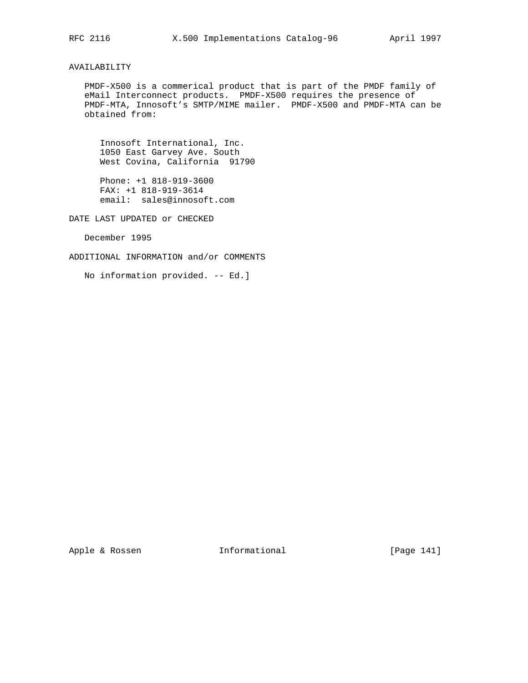# AVAILABILITY

 PMDF-X500 is a commerical product that is part of the PMDF family of eMail Interconnect products. PMDF-X500 requires the presence of PMDF-MTA, Innosoft's SMTP/MIME mailer. PMDF-X500 and PMDF-MTA can be obtained from:

 Innosoft International, Inc. 1050 East Garvey Ave. South West Covina, California 91790

 Phone: +1 818-919-3600 FAX: +1 818-919-3614 email: sales@innosoft.com

DATE LAST UPDATED or CHECKED

December 1995

ADDITIONAL INFORMATION and/or COMMENTS

No information provided. -- Ed.]

Apple & Rossen **Informational** [Page 141]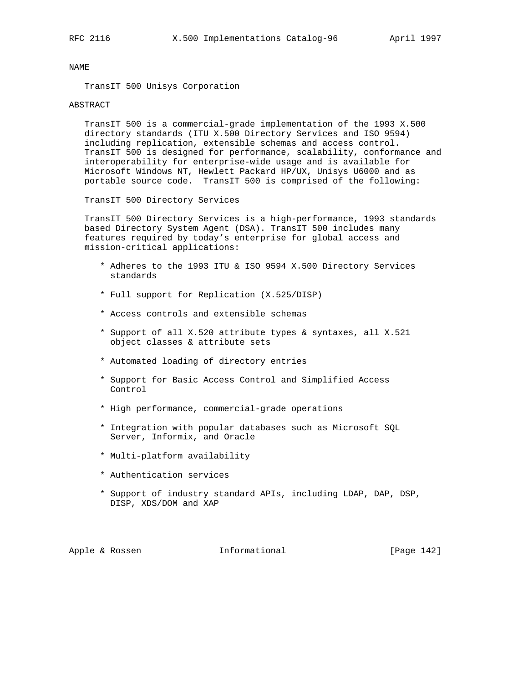TransIT 500 Unisys Corporation

#### ABSTRACT

 TransIT 500 is a commercial-grade implementation of the 1993 X.500 directory standards (ITU X.500 Directory Services and ISO 9594) including replication, extensible schemas and access control. TransIT 500 is designed for performance, scalability, conformance and interoperability for enterprise-wide usage and is available for Microsoft Windows NT, Hewlett Packard HP/UX, Unisys U6000 and as portable source code. TransIT 500 is comprised of the following:

TransIT 500 Directory Services

 TransIT 500 Directory Services is a high-performance, 1993 standards based Directory System Agent (DSA). TransIT 500 includes many features required by today's enterprise for global access and mission-critical applications:

- \* Adheres to the 1993 ITU & ISO 9594 X.500 Directory Services standards
- \* Full support for Replication (X.525/DISP)
- \* Access controls and extensible schemas
- \* Support of all X.520 attribute types & syntaxes, all X.521 object classes & attribute sets
- \* Automated loading of directory entries
- \* Support for Basic Access Control and Simplified Access Control
- \* High performance, commercial-grade operations
- \* Integration with popular databases such as Microsoft SQL Server, Informix, and Oracle
- \* Multi-platform availability
- \* Authentication services
- \* Support of industry standard APIs, including LDAP, DAP, DSP, DISP, XDS/DOM and XAP

Apple & Rossen **Informational** [Page 142]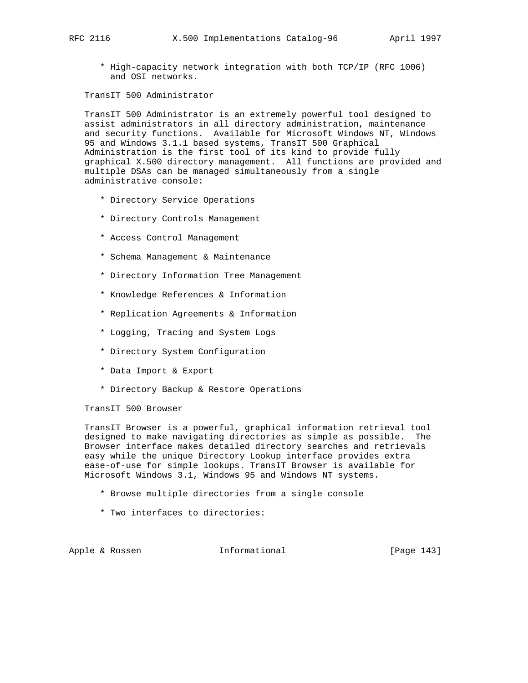\* High-capacity network integration with both TCP/IP (RFC 1006) and OSI networks.

TransIT 500 Administrator

 TransIT 500 Administrator is an extremely powerful tool designed to assist administrators in all directory administration, maintenance and security functions. Available for Microsoft Windows NT, Windows 95 and Windows 3.1.1 based systems, TransIT 500 Graphical Administration is the first tool of its kind to provide fully graphical X.500 directory management. All functions are provided and multiple DSAs can be managed simultaneously from a single administrative console:

- \* Directory Service Operations
- \* Directory Controls Management
- \* Access Control Management
- \* Schema Management & Maintenance
- \* Directory Information Tree Management
- \* Knowledge References & Information
- \* Replication Agreements & Information
- \* Logging, Tracing and System Logs
- \* Directory System Configuration
- \* Data Import & Export
- \* Directory Backup & Restore Operations

TransIT 500 Browser

 TransIT Browser is a powerful, graphical information retrieval tool designed to make navigating directories as simple as possible. The Browser interface makes detailed directory searches and retrievals easy while the unique Directory Lookup interface provides extra ease-of-use for simple lookups. TransIT Browser is available for Microsoft Windows 3.1, Windows 95 and Windows NT systems.

- \* Browse multiple directories from a single console
- \* Two interfaces to directories:

Apple & Rossen **Informational** [Page 143]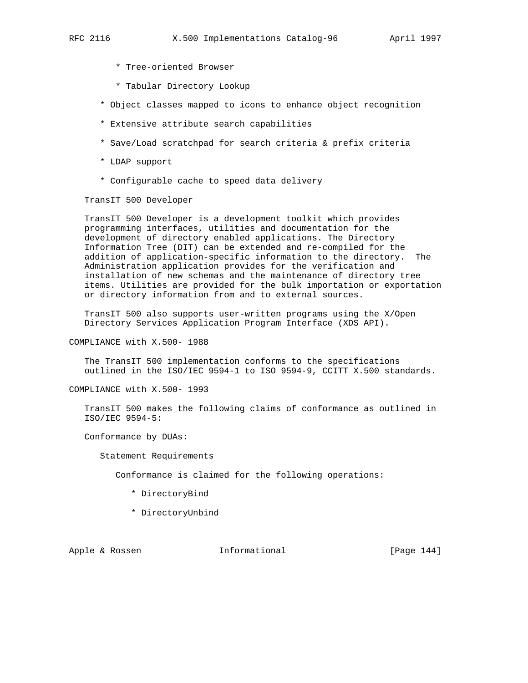- \* Tree-oriented Browser
- \* Tabular Directory Lookup
- \* Object classes mapped to icons to enhance object recognition
- \* Extensive attribute search capabilities
- \* Save/Load scratchpad for search criteria & prefix criteria
- \* LDAP support
- \* Configurable cache to speed data delivery

TransIT 500 Developer

 TransIT 500 Developer is a development toolkit which provides programming interfaces, utilities and documentation for the development of directory enabled applications. The Directory Information Tree (DIT) can be extended and re-compiled for the addition of application-specific information to the directory. The Administration application provides for the verification and installation of new schemas and the maintenance of directory tree items. Utilities are provided for the bulk importation or exportation or directory information from and to external sources.

 TransIT 500 also supports user-written programs using the X/Open Directory Services Application Program Interface (XDS API).

COMPLIANCE with X.500- 1988

 The TransIT 500 implementation conforms to the specifications outlined in the ISO/IEC 9594-1 to ISO 9594-9, CCITT X.500 standards.

COMPLIANCE with X.500- 1993

 TransIT 500 makes the following claims of conformance as outlined in ISO/IEC 9594-5:

Conformance by DUAs:

Statement Requirements

Conformance is claimed for the following operations:

- \* DirectoryBind
- \* DirectoryUnbind

Apple & Rossen **Informational** [Page 144]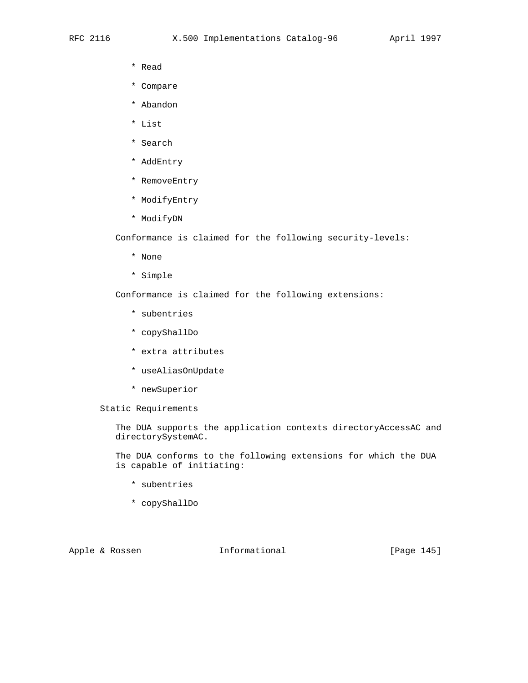- \* Read
- \* Compare
- \* Abandon
- \* List
- \* Search
- \* AddEntry
- \* RemoveEntry
- \* ModifyEntry
- \* ModifyDN

Conformance is claimed for the following security-levels:

- \* None
- \* Simple

Conformance is claimed for the following extensions:

- \* subentries
- \* copyShallDo
- \* extra attributes
- \* useAliasOnUpdate
- \* newSuperior

Static Requirements

 The DUA supports the application contexts directoryAccessAC and directorySystemAC.

 The DUA conforms to the following extensions for which the DUA is capable of initiating:

- \* subentries
- \* copyShallDo

Apple & Rossen **Informational** [Page 145]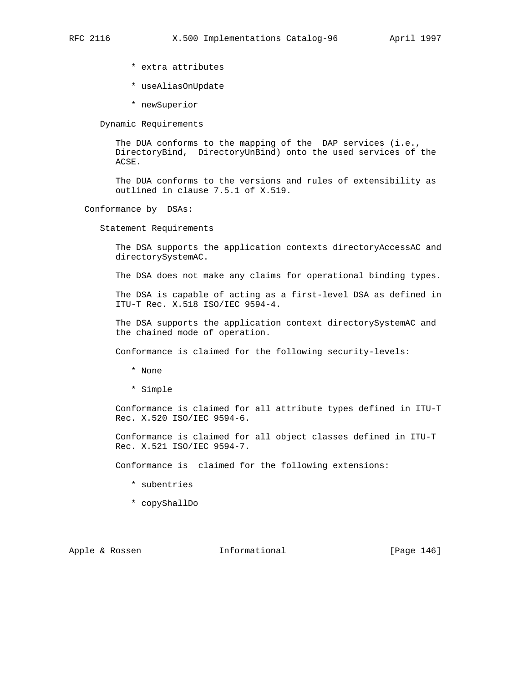- \* extra attributes
- \* useAliasOnUpdate
- \* newSuperior

Dynamic Requirements

The DUA conforms to the mapping of the DAP services (i.e., DirectoryBind, DirectoryUnBind) onto the used services of the ACSE.

 The DUA conforms to the versions and rules of extensibility as outlined in clause 7.5.1 of X.519.

Conformance by DSAs:

Statement Requirements

 The DSA supports the application contexts directoryAccessAC and directorySystemAC.

The DSA does not make any claims for operational binding types.

 The DSA is capable of acting as a first-level DSA as defined in ITU-T Rec. X.518 ISO/IEC 9594-4.

 The DSA supports the application context directorySystemAC and the chained mode of operation.

Conformance is claimed for the following security-levels:

- \* None
- \* Simple

 Conformance is claimed for all attribute types defined in ITU-T Rec. X.520 ISO/IEC 9594-6.

 Conformance is claimed for all object classes defined in ITU-T Rec. X.521 ISO/IEC 9594-7.

Conformance is claimed for the following extensions:

- \* subentries
- \* copyShallDo

Apple & Rossen **Informational** [Page 146]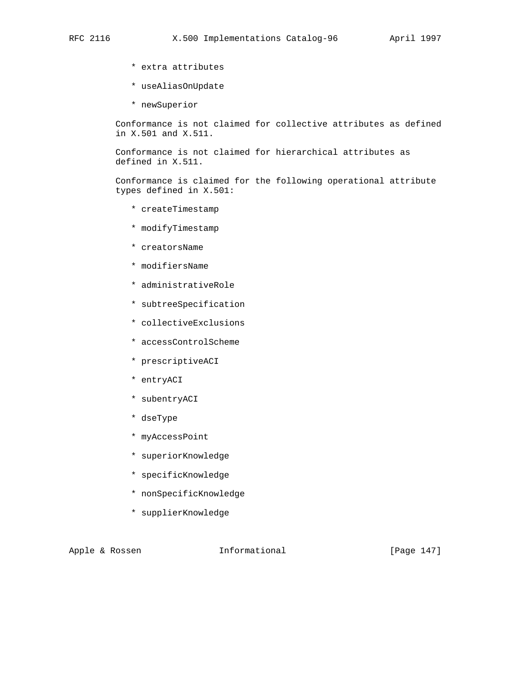- \* extra attributes
- \* useAliasOnUpdate
- \* newSuperior

 Conformance is not claimed for collective attributes as defined in X.501 and X.511.

 Conformance is not claimed for hierarchical attributes as defined in X.511.

 Conformance is claimed for the following operational attribute types defined in X.501:

- \* createTimestamp
- \* modifyTimestamp
- \* creatorsName
- \* modifiersName
- \* administrativeRole
- \* subtreeSpecification
- \* collectiveExclusions
- \* accessControlScheme
- \* prescriptiveACI
- \* entryACI
- \* subentryACI
- \* dseType
- \* myAccessPoint
- \* superiorKnowledge
- \* specificKnowledge
- \* nonSpecificKnowledge
- \* supplierKnowledge

Apple & Rossen **Informational** [Page 147]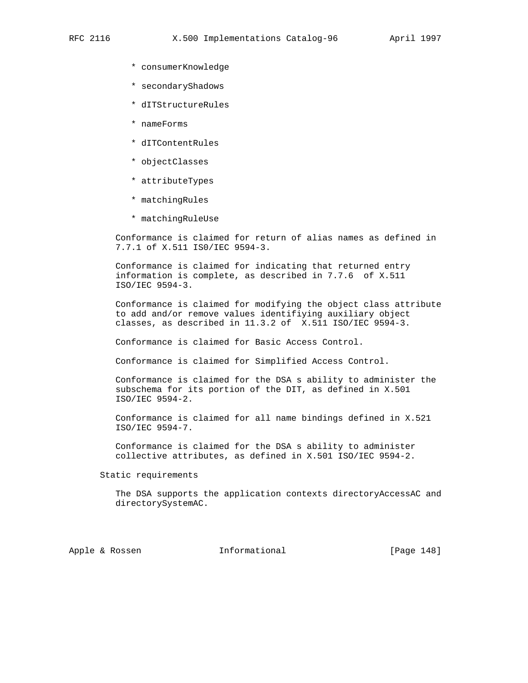- \* consumerKnowledge
- \* secondaryShadows
- \* dITStructureRules
- \* nameForms
- \* dITContentRules
- \* objectClasses
- \* attributeTypes
- \* matchingRules
- \* matchingRuleUse

 Conformance is claimed for return of alias names as defined in 7.7.1 of X.511 IS0/IEC 9594-3.

 Conformance is claimed for indicating that returned entry information is complete, as described in 7.7.6 of X.511 ISO/IEC 9594-3.

 Conformance is claimed for modifying the object class attribute to add and/or remove values identifiying auxiliary object classes, as described in 11.3.2 of X.511 ISO/IEC 9594-3.

Conformance is claimed for Basic Access Control.

Conformance is claimed for Simplified Access Control.

 Conformance is claimed for the DSA s ability to administer the subschema for its portion of the DIT, as defined in X.501 ISO/IEC 9594-2.

 Conformance is claimed for all name bindings defined in X.521 ISO/IEC 9594-7.

 Conformance is claimed for the DSA s ability to administer collective attributes, as defined in X.501 ISO/IEC 9594-2.

Static requirements

 The DSA supports the application contexts directoryAccessAC and directorySystemAC.

Apple & Rossen **Informational** [Page 148]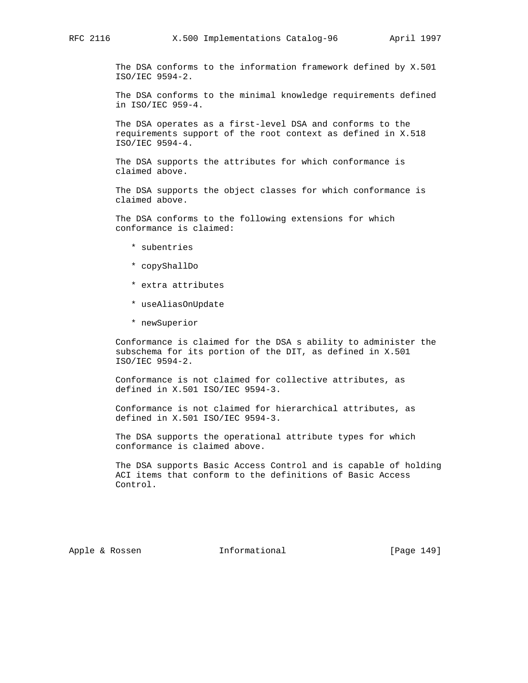The DSA conforms to the information framework defined by X.501 ISO/IEC 9594-2.

 The DSA conforms to the minimal knowledge requirements defined in ISO/IEC 959-4.

 The DSA operates as a first-level DSA and conforms to the requirements support of the root context as defined in X.518 ISO/IEC 9594-4.

 The DSA supports the attributes for which conformance is claimed above.

 The DSA supports the object classes for which conformance is claimed above.

 The DSA conforms to the following extensions for which conformance is claimed:

- \* subentries
- \* copyShallDo
- \* extra attributes
- \* useAliasOnUpdate
- \* newSuperior

 Conformance is claimed for the DSA s ability to administer the subschema for its portion of the DIT, as defined in X.501 ISO/IEC 9594-2.

 Conformance is not claimed for collective attributes, as defined in X.501 ISO/IEC 9594-3.

 Conformance is not claimed for hierarchical attributes, as defined in X.501 ISO/IEC 9594-3.

 The DSA supports the operational attribute types for which conformance is claimed above.

 The DSA supports Basic Access Control and is capable of holding ACI items that conform to the definitions of Basic Access Control.

Apple & Rossen **Informational** [Page 149]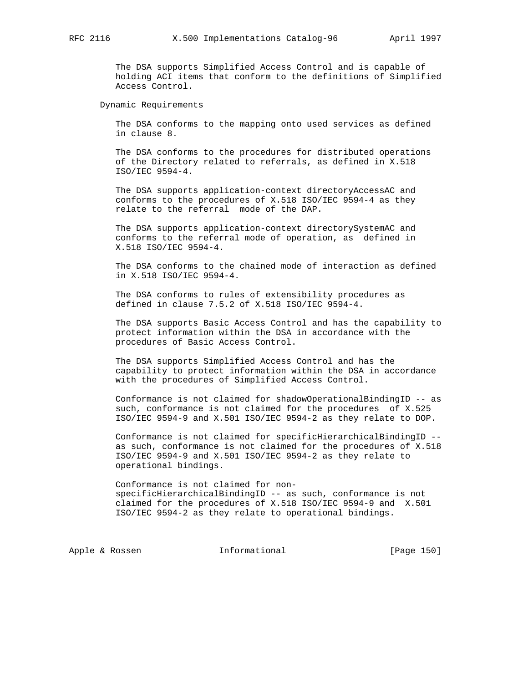The DSA supports Simplified Access Control and is capable of holding ACI items that conform to the definitions of Simplified Access Control.

Dynamic Requirements

 The DSA conforms to the mapping onto used services as defined in clause 8.

 The DSA conforms to the procedures for distributed operations of the Directory related to referrals, as defined in X.518 ISO/IEC 9594-4.

 The DSA supports application-context directoryAccessAC and conforms to the procedures of X.518 ISO/IEC 9594-4 as they relate to the referral mode of the DAP.

 The DSA supports application-context directorySystemAC and conforms to the referral mode of operation, as defined in X.518 ISO/IEC 9594-4.

 The DSA conforms to the chained mode of interaction as defined in X.518 ISO/IEC 9594-4.

 The DSA conforms to rules of extensibility procedures as defined in clause 7.5.2 of X.518 ISO/IEC 9594-4.

 The DSA supports Basic Access Control and has the capability to protect information within the DSA in accordance with the procedures of Basic Access Control.

 The DSA supports Simplified Access Control and has the capability to protect information within the DSA in accordance with the procedures of Simplified Access Control.

 Conformance is not claimed for shadowOperationalBindingID -- as such, conformance is not claimed for the procedures of X.525 ISO/IEC 9594-9 and X.501 ISO/IEC 9594-2 as they relate to DOP.

 Conformance is not claimed for specificHierarchicalBindingID - as such, conformance is not claimed for the procedures of X.518 ISO/IEC 9594-9 and X.501 ISO/IEC 9594-2 as they relate to operational bindings.

 Conformance is not claimed for non specificHierarchicalBindingID -- as such, conformance is not claimed for the procedures of X.518 ISO/IEC 9594-9 and X.501 ISO/IEC 9594-2 as they relate to operational bindings.

Apple & Rossen **Informational** [Page 150]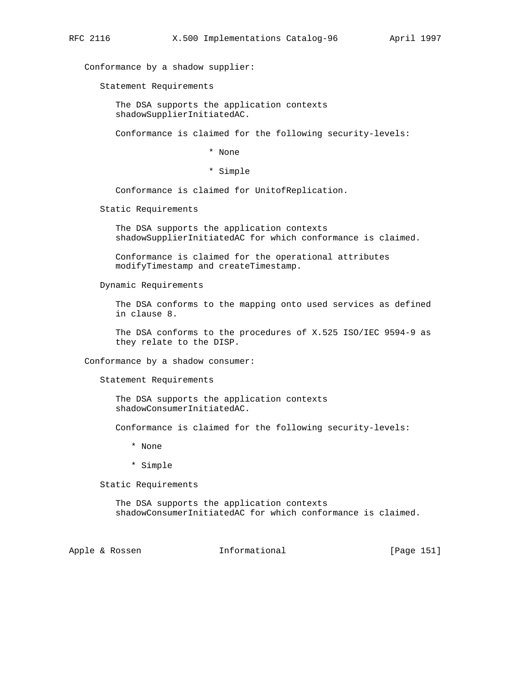Conformance by a shadow supplier:

Statement Requirements

 The DSA supports the application contexts shadowSupplierInitiatedAC.

Conformance is claimed for the following security-levels:

\* None

\* Simple

Conformance is claimed for UnitofReplication.

Static Requirements

 The DSA supports the application contexts shadowSupplierInitiatedAC for which conformance is claimed.

 Conformance is claimed for the operational attributes modifyTimestamp and createTimestamp.

Dynamic Requirements

 The DSA conforms to the mapping onto used services as defined in clause 8.

 The DSA conforms to the procedures of X.525 ISO/IEC 9594-9 as they relate to the DISP.

Conformance by a shadow consumer:

Statement Requirements

 The DSA supports the application contexts shadowConsumerInitiatedAC.

Conformance is claimed for the following security-levels:

\* None

\* Simple

Static Requirements

 The DSA supports the application contexts shadowConsumerInitiatedAC for which conformance is claimed.

Apple & Rossen **Informational** [Page 151]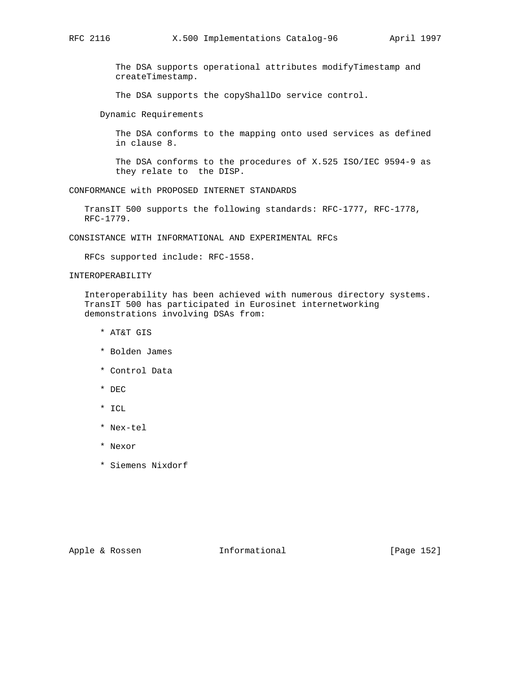The DSA supports operational attributes modifyTimestamp and createTimestamp.

The DSA supports the copyShallDo service control.

Dynamic Requirements

 The DSA conforms to the mapping onto used services as defined in clause 8.

 The DSA conforms to the procedures of X.525 ISO/IEC 9594-9 as they relate to the DISP.

CONFORMANCE with PROPOSED INTERNET STANDARDS

 TransIT 500 supports the following standards: RFC-1777, RFC-1778, RFC-1779.

CONSISTANCE WITH INFORMATIONAL AND EXPERIMENTAL RFCs

RFCs supported include: RFC-1558.

## INTEROPERABILITY

 Interoperability has been achieved with numerous directory systems. TransIT 500 has participated in Eurosinet internetworking demonstrations involving DSAs from:

- \* AT&T GIS
- \* Bolden James
- \* Control Data
- \* DEC
- \* ICL
- \* Nex-tel
- \* Nexor
- \* Siemens Nixdorf

Apple & Rossen **Informational** [Page 152]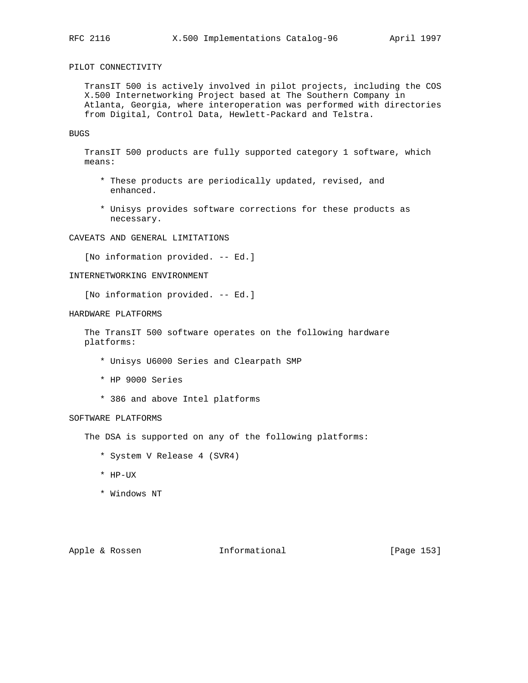# PILOT CONNECTIVITY

 TransIT 500 is actively involved in pilot projects, including the COS X.500 Internetworking Project based at The Southern Company in Atlanta, Georgia, where interoperation was performed with directories from Digital, Control Data, Hewlett-Packard and Telstra.

## BUGS

 TransIT 500 products are fully supported category 1 software, which means:

- \* These products are periodically updated, revised, and enhanced.
- \* Unisys provides software corrections for these products as necessary.

# CAVEATS AND GENERAL LIMITATIONS

[No information provided. -- Ed.]

## INTERNETWORKING ENVIRONMENT

[No information provided. -- Ed.]

### HARDWARE PLATFORMS

 The TransIT 500 software operates on the following hardware platforms:

- \* Unisys U6000 Series and Clearpath SMP
- \* HP 9000 Series
- \* 386 and above Intel platforms

### SOFTWARE PLATFORMS

The DSA is supported on any of the following platforms:

- \* System V Release 4 (SVR4)
- \* HP-UX
- \* Windows NT

Apple & Rossen **Informational** [Page 153]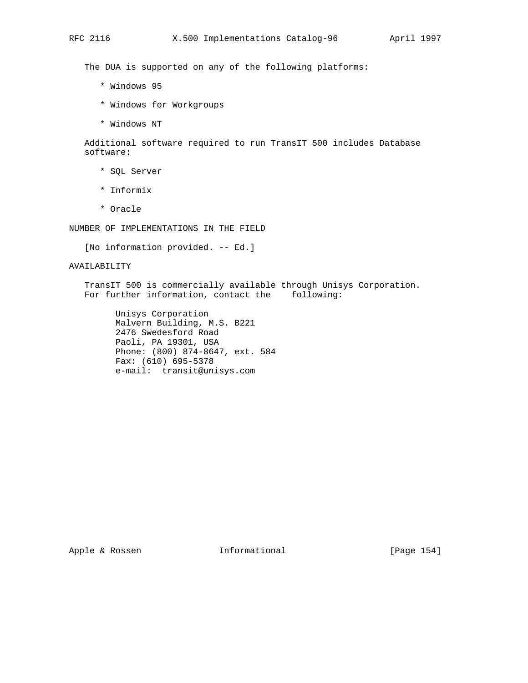The DUA is supported on any of the following platforms:

- \* Windows 95
- \* Windows for Workgroups
- \* Windows NT

 Additional software required to run TransIT 500 includes Database software:

- \* SQL Server
- \* Informix
- \* Oracle

NUMBER OF IMPLEMENTATIONS IN THE FIELD

[No information provided. -- Ed.]

## AVAILABILITY

 TransIT 500 is commercially available through Unisys Corporation. For further information, contact the following:

 Unisys Corporation Malvern Building, M.S. B221 2476 Swedesford Road Paoli, PA 19301, USA Phone: (800) 874-8647, ext. 584 Fax: (610) 695-5378 e-mail: transit@unisys.com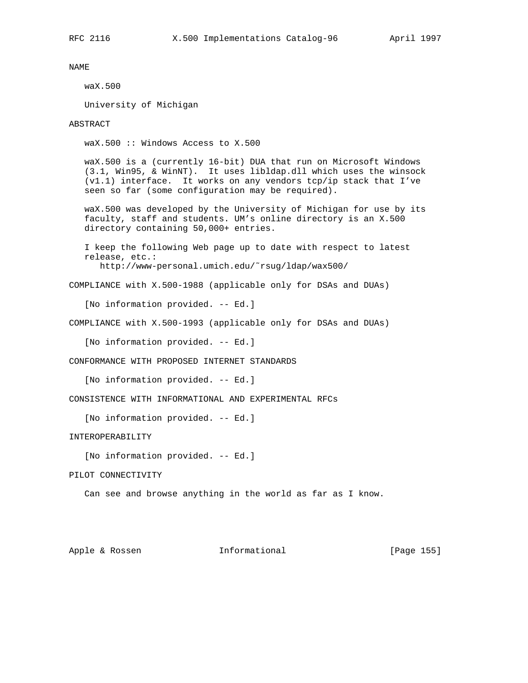NAME waX.500

University of Michigan

ABSTRACT

waX.500 :: Windows Access to X.500

 waX.500 is a (currently 16-bit) DUA that run on Microsoft Windows (3.1, Win95, & WinNT). It uses libldap.dll which uses the winsock (v1.1) interface. It works on any vendors tcp/ip stack that I've seen so far (some configuration may be required).

 waX.500 was developed by the University of Michigan for use by its faculty, staff and students. UM's online directory is an X.500 directory containing 50,000+ entries.

 I keep the following Web page up to date with respect to latest release, etc.: http://www-personal.umich.edu/˜rsug/ldap/wax500/

COMPLIANCE with X.500-1988 (applicable only for DSAs and DUAs)

[No information provided. -- Ed.]

COMPLIANCE with X.500-1993 (applicable only for DSAs and DUAs)

[No information provided. -- Ed.]

CONFORMANCE WITH PROPOSED INTERNET STANDARDS

[No information provided. -- Ed.]

CONSISTENCE WITH INFORMATIONAL AND EXPERIMENTAL RFCs

[No information provided. -- Ed.]

INTEROPERABILITY

[No information provided. -- Ed.]

PILOT CONNECTIVITY

Can see and browse anything in the world as far as I know.

Apple & Rossen **Informational** [Page 155]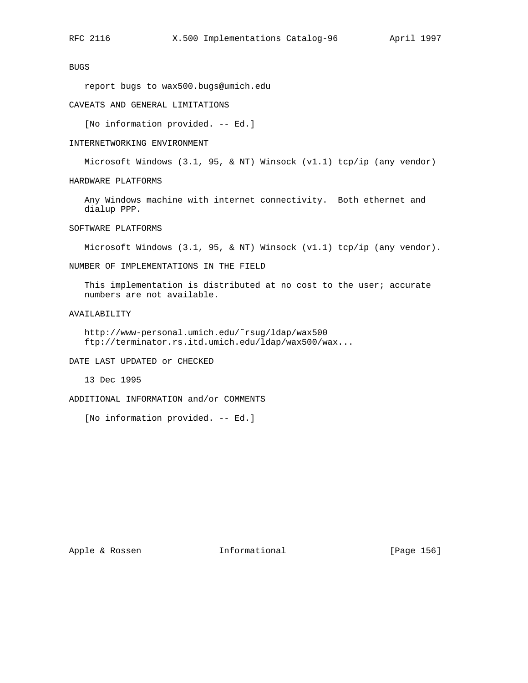# BUGS

report bugs to wax500.bugs@umich.edu

## CAVEATS AND GENERAL LIMITATIONS

[No information provided. -- Ed.]

#### INTERNETWORKING ENVIRONMENT

Microsoft Windows (3.1, 95, & NT) Winsock (v1.1) tcp/ip (any vendor)

HARDWARE PLATFORMS

 Any Windows machine with internet connectivity. Both ethernet and dialup PPP.

SOFTWARE PLATFORMS

Microsoft Windows  $(3.1, 95, \&\text{ NT})$  Winsock  $(v1.1)$  tcp/ip  $(\text{any vendor}).$ 

NUMBER OF IMPLEMENTATIONS IN THE FIELD

This implementation is distributed at no cost to the user; accurate numbers are not available.

AVAILABILITY

 http://www-personal.umich.edu/˜rsug/ldap/wax500 ftp://terminator.rs.itd.umich.edu/ldap/wax500/wax...

DATE LAST UPDATED or CHECKED

13 Dec 1995

ADDITIONAL INFORMATION and/or COMMENTS

[No information provided. -- Ed.]

Apple & Rossen **Informational** [Page 156]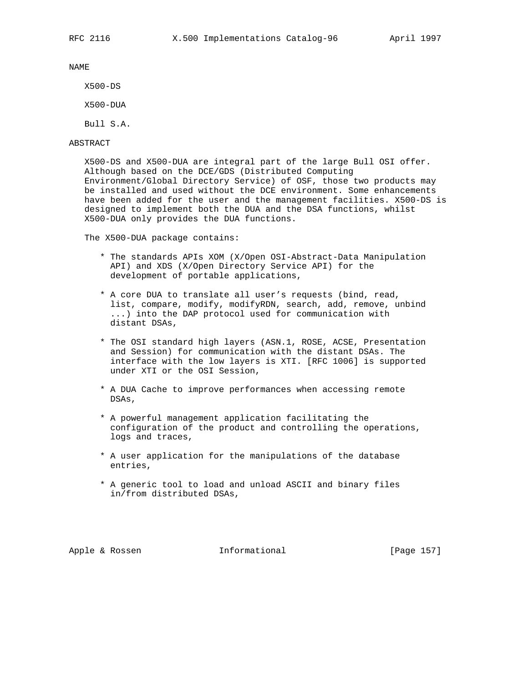NAME

X500-DS

X500-DUA

Bull S.A.

## ABSTRACT

 X500-DS and X500-DUA are integral part of the large Bull OSI offer. Although based on the DCE/GDS (Distributed Computing Environment/Global Directory Service) of OSF, those two products may be installed and used without the DCE environment. Some enhancements have been added for the user and the management facilities. X500-DS is designed to implement both the DUA and the DSA functions, whilst X500-DUA only provides the DUA functions.

The X500-DUA package contains:

- \* The standards APIs XOM (X/Open OSI-Abstract-Data Manipulation API) and XDS (X/Open Directory Service API) for the development of portable applications,
- \* A core DUA to translate all user's requests (bind, read, list, compare, modify, modifyRDN, search, add, remove, unbind ...) into the DAP protocol used for communication with distant DSAs,
- \* The OSI standard high layers (ASN.1, ROSE, ACSE, Presentation and Session) for communication with the distant DSAs. The interface with the low layers is XTI. [RFC 1006] is supported under XTI or the OSI Session,
- \* A DUA Cache to improve performances when accessing remote DSAs,
- \* A powerful management application facilitating the configuration of the product and controlling the operations, logs and traces,
- \* A user application for the manipulations of the database entries,
- \* A generic tool to load and unload ASCII and binary files in/from distributed DSAs,

Apple & Rossen **Informational** [Page 157]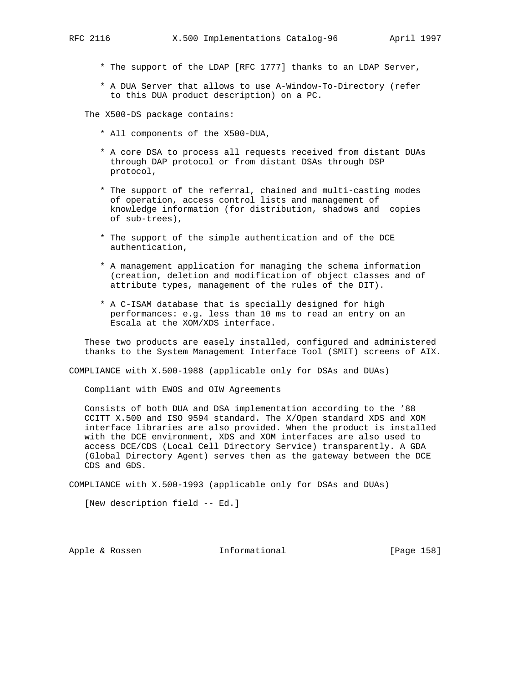- \* The support of the LDAP [RFC 1777] thanks to an LDAP Server,
- \* A DUA Server that allows to use A-Window-To-Directory (refer to this DUA product description) on a PC.

The X500-DS package contains:

- \* All components of the X500-DUA,
- \* A core DSA to process all requests received from distant DUAs through DAP protocol or from distant DSAs through DSP protocol,
- \* The support of the referral, chained and multi-casting modes of operation, access control lists and management of knowledge information (for distribution, shadows and copies of sub-trees),
- \* The support of the simple authentication and of the DCE authentication,
- \* A management application for managing the schema information (creation, deletion and modification of object classes and of attribute types, management of the rules of the DIT).
- \* A C-ISAM database that is specially designed for high performances: e.g. less than 10 ms to read an entry on an Escala at the XOM/XDS interface.

 These two products are easely installed, configured and administered thanks to the System Management Interface Tool (SMIT) screens of AIX.

COMPLIANCE with X.500-1988 (applicable only for DSAs and DUAs)

Compliant with EWOS and OIW Agreements

 Consists of both DUA and DSA implementation according to the '88 CCITT X.500 and ISO 9594 standard. The X/Open standard XDS and XOM interface libraries are also provided. When the product is installed with the DCE environment, XDS and XOM interfaces are also used to access DCE/CDS (Local Cell Directory Service) transparently. A GDA (Global Directory Agent) serves then as the gateway between the DCE CDS and GDS.

COMPLIANCE with X.500-1993 (applicable only for DSAs and DUAs)

[New description field -- Ed.]

Apple & Rossen **Informational** [Page 158]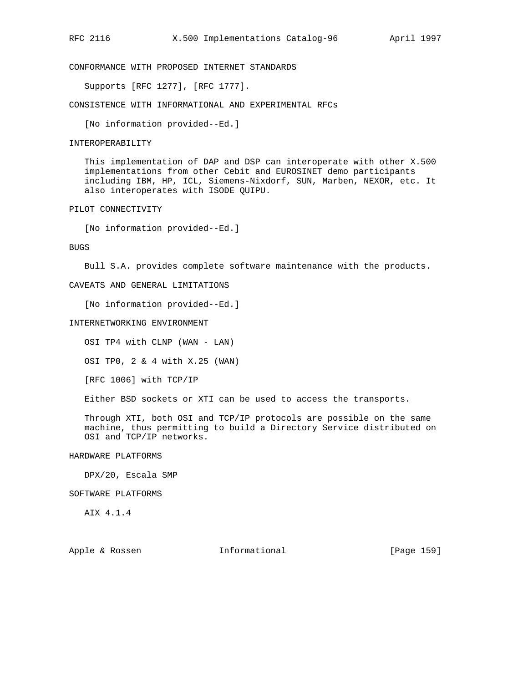CONFORMANCE WITH PROPOSED INTERNET STANDARDS

Supports [RFC 1277], [RFC 1777].

CONSISTENCE WITH INFORMATIONAL AND EXPERIMENTAL RFCs

[No information provided--Ed.]

### INTEROPERABILITY

 This implementation of DAP and DSP can interoperate with other X.500 implementations from other Cebit and EUROSINET demo participants including IBM, HP, ICL, Siemens-Nixdorf, SUN, Marben, NEXOR, etc. It also interoperates with ISODE QUIPU.

### PILOT CONNECTIVITY

[No information provided--Ed.]

### BUGS

Bull S.A. provides complete software maintenance with the products.

# CAVEATS AND GENERAL LIMITATIONS

[No information provided--Ed.]

#### INTERNETWORKING ENVIRONMENT

OSI TP4 with CLNP (WAN - LAN)

OSI TP0, 2 & 4 with X.25 (WAN)

[RFC 1006] with TCP/IP

Either BSD sockets or XTI can be used to access the transports.

 Through XTI, both OSI and TCP/IP protocols are possible on the same machine, thus permitting to build a Directory Service distributed on OSI and TCP/IP networks.

## HARDWARE PLATFORMS

DPX/20, Escala SMP

## SOFTWARE PLATFORMS

AIX 4.1.4

Apple & Rossen **Informational** [Page 159]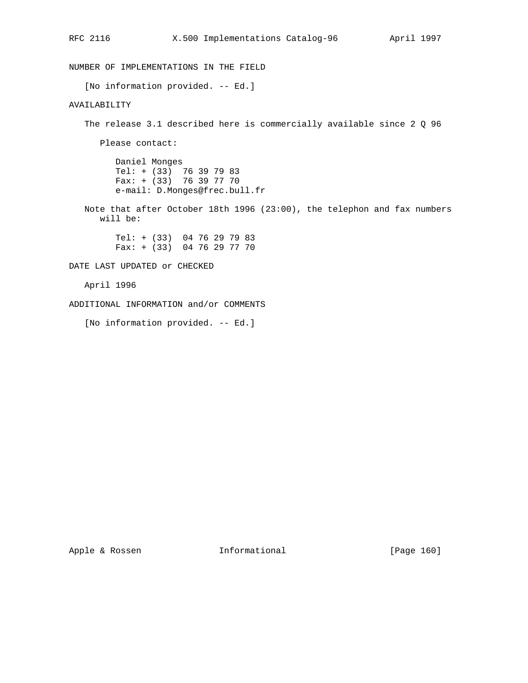NUMBER OF IMPLEMENTATIONS IN THE FIELD [No information provided. -- Ed.] AVAILABILITY The release 3.1 described here is commercially available since 2 Q 96 Please contact: Daniel Monges Tel: + (33) 76 39 79 83  $Fax: + (33)$  76 39 77 70 e-mail: D.Monges@frec.bull.fr Note that after October 18th 1996 (23:00), the telephon and fax numbers will be: Tel: + (33) 04 76 29 79 83 Fax: + (33) 04 76 29 77 70 DATE LAST UPDATED or CHECKED April 1996 ADDITIONAL INFORMATION and/or COMMENTS

[No information provided. -- Ed.]

Apple & Rossen **Informational** [Page 160]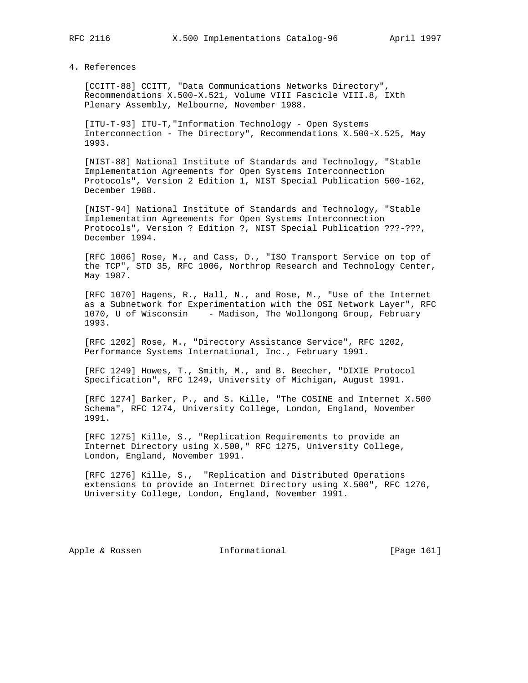4. References

 [CCITT-88] CCITT, "Data Communications Networks Directory", Recommendations X.500-X.521, Volume VIII Fascicle VIII.8, IXth Plenary Assembly, Melbourne, November 1988.

 [ITU-T-93] ITU-T,"Information Technology - Open Systems Interconnection - The Directory", Recommendations X.500-X.525, May 1993.

 [NIST-88] National Institute of Standards and Technology, "Stable Implementation Agreements for Open Systems Interconnection Protocols", Version 2 Edition 1, NIST Special Publication 500-162, December 1988.

 [NIST-94] National Institute of Standards and Technology, "Stable Implementation Agreements for Open Systems Interconnection Protocols", Version ? Edition ?, NIST Special Publication ???-???, December 1994.

 [RFC 1006] Rose, M., and Cass, D., "ISO Transport Service on top of the TCP", STD 35, RFC 1006, Northrop Research and Technology Center, May 1987.

 [RFC 1070] Hagens, R., Hall, N., and Rose, M., "Use of the Internet as a Subnetwork for Experimentation with the OSI Network Layer", RFC 1070, U of Wisconsin - Madison, The Wollongong Group, February 1993.

 [RFC 1202] Rose, M., "Directory Assistance Service", RFC 1202, Performance Systems International, Inc., February 1991.

 [RFC 1249] Howes, T., Smith, M., and B. Beecher, "DIXIE Protocol Specification", RFC 1249, University of Michigan, August 1991.

 [RFC 1274] Barker, P., and S. Kille, "The COSINE and Internet X.500 Schema", RFC 1274, University College, London, England, November 1991.

 [RFC 1275] Kille, S., "Replication Requirements to provide an Internet Directory using X.500," RFC 1275, University College, London, England, November 1991.

 [RFC 1276] Kille, S., "Replication and Distributed Operations extensions to provide an Internet Directory using X.500", RFC 1276, University College, London, England, November 1991.

Apple & Rossen **Informational** [Page 161]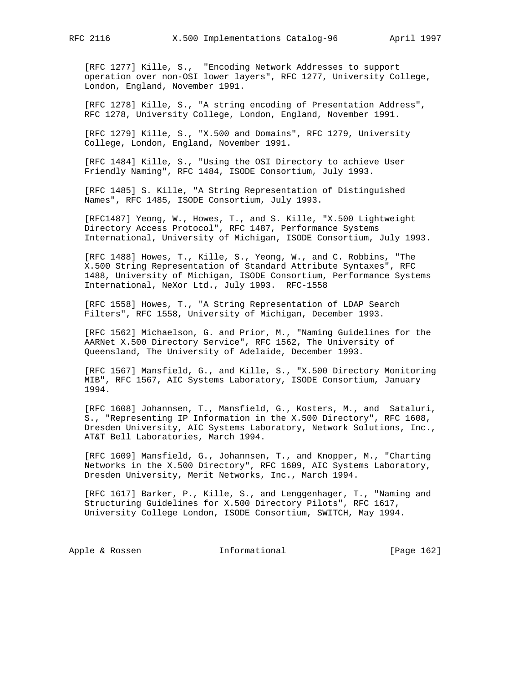[RFC 1277] Kille, S., "Encoding Network Addresses to support operation over non-OSI lower layers", RFC 1277, University College, London, England, November 1991.

 [RFC 1278] Kille, S., "A string encoding of Presentation Address", RFC 1278, University College, London, England, November 1991.

 [RFC 1279] Kille, S., "X.500 and Domains", RFC 1279, University College, London, England, November 1991.

 [RFC 1484] Kille, S., "Using the OSI Directory to achieve User Friendly Naming", RFC 1484, ISODE Consortium, July 1993.

 [RFC 1485] S. Kille, "A String Representation of Distinguished Names", RFC 1485, ISODE Consortium, July 1993.

 [RFC1487] Yeong, W., Howes, T., and S. Kille, "X.500 Lightweight Directory Access Protocol", RFC 1487, Performance Systems International, University of Michigan, ISODE Consortium, July 1993.

 [RFC 1488] Howes, T., Kille, S., Yeong, W., and C. Robbins, "The X.500 String Representation of Standard Attribute Syntaxes", RFC 1488, University of Michigan, ISODE Consortium, Performance Systems International, NeXor Ltd., July 1993. RFC-1558

 [RFC 1558] Howes, T., "A String Representation of LDAP Search Filters", RFC 1558, University of Michigan, December 1993.

 [RFC 1562] Michaelson, G. and Prior, M., "Naming Guidelines for the AARNet X.500 Directory Service", RFC 1562, The University of Queensland, The University of Adelaide, December 1993.

 [RFC 1567] Mansfield, G., and Kille, S., "X.500 Directory Monitoring MIB", RFC 1567, AIC Systems Laboratory, ISODE Consortium, January 1994.

 [RFC 1608] Johannsen, T., Mansfield, G., Kosters, M., and Sataluri, S., "Representing IP Information in the X.500 Directory", RFC 1608, Dresden University, AIC Systems Laboratory, Network Solutions, Inc., AT&T Bell Laboratories, March 1994.

 [RFC 1609] Mansfield, G., Johannsen, T., and Knopper, M., "Charting Networks in the X.500 Directory", RFC 1609, AIC Systems Laboratory, Dresden University, Merit Networks, Inc., March 1994.

 [RFC 1617] Barker, P., Kille, S., and Lenggenhager, T., "Naming and Structuring Guidelines for X.500 Directory Pilots", RFC 1617, University College London, ISODE Consortium, SWITCH, May 1994.

Apple & Rossen **Informational** [Page 162]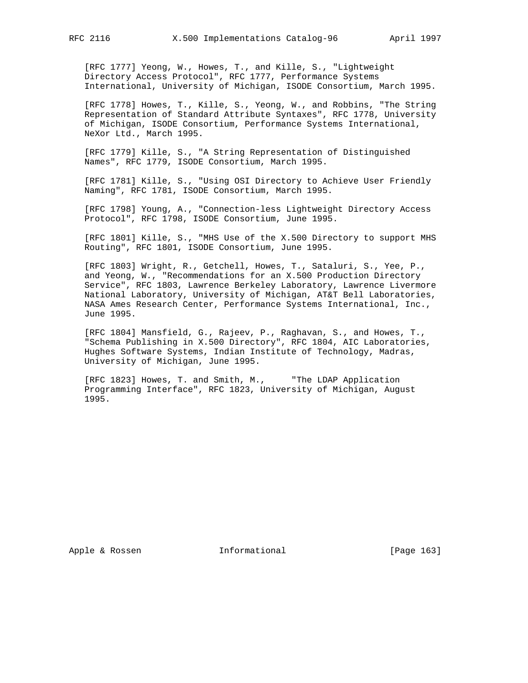[RFC 1777] Yeong, W., Howes, T., and Kille, S., "Lightweight Directory Access Protocol", RFC 1777, Performance Systems International, University of Michigan, ISODE Consortium, March 1995.

 [RFC 1778] Howes, T., Kille, S., Yeong, W., and Robbins, "The String Representation of Standard Attribute Syntaxes", RFC 1778, University of Michigan, ISODE Consortium, Performance Systems International, NeXor Ltd., March 1995.

 [RFC 1779] Kille, S., "A String Representation of Distinguished Names", RFC 1779, ISODE Consortium, March 1995.

 [RFC 1781] Kille, S., "Using OSI Directory to Achieve User Friendly Naming", RFC 1781, ISODE Consortium, March 1995.

 [RFC 1798] Young, A., "Connection-less Lightweight Directory Access Protocol", RFC 1798, ISODE Consortium, June 1995.

 [RFC 1801] Kille, S., "MHS Use of the X.500 Directory to support MHS Routing", RFC 1801, ISODE Consortium, June 1995.

 [RFC 1803] Wright, R., Getchell, Howes, T., Sataluri, S., Yee, P., and Yeong, W., "Recommendations for an X.500 Production Directory Service", RFC 1803, Lawrence Berkeley Laboratory, Lawrence Livermore National Laboratory, University of Michigan, AT&T Bell Laboratories, NASA Ames Research Center, Performance Systems International, Inc., June 1995.

 [RFC 1804] Mansfield, G., Rajeev, P., Raghavan, S., and Howes, T., "Schema Publishing in X.500 Directory", RFC 1804, AIC Laboratories, Hughes Software Systems, Indian Institute of Technology, Madras, University of Michigan, June 1995.

 [RFC 1823] Howes, T. and Smith, M., "The LDAP Application Programming Interface", RFC 1823, University of Michigan, August 1995.

Apple & Rossen **Informational** [Page 163]